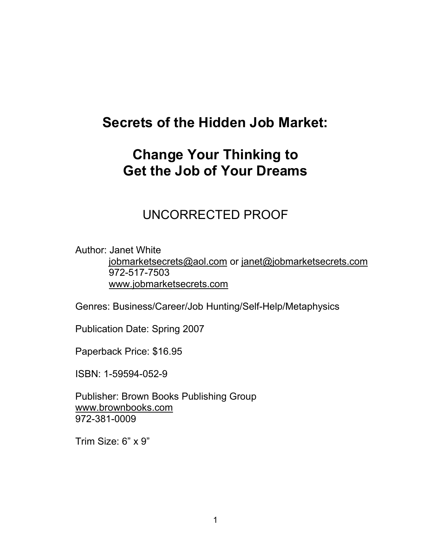# Secrets of the Hidden Job Market:

# Change Your Thinking to Get the Job of Your Dreams

## UNCORRECTED PROOF

Author: Janet White jobmarketsecrets@aol.com or janet@jobmarketsecrets.com 972-517-7503 www.jobmarketsecrets.com

Genres: Business/Career/Job Hunting/Self-Help/Metaphysics

Publication Date: Spring 2007

Paperback Price: \$16.95

ISBN: 1-59594-052-9

Publisher: Brown Books Publishing Group www.brownbooks.com 972-381-0009

Trim Size: 6" x 9"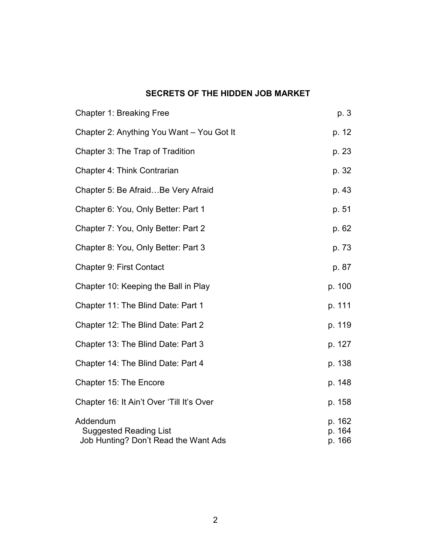## SECRETS OF THE HIDDEN JOB MARKET

| Chapter 1: Breaking Free                                                          | p. 3                       |
|-----------------------------------------------------------------------------------|----------------------------|
| Chapter 2: Anything You Want - You Got It                                         | p. 12                      |
| Chapter 3: The Trap of Tradition                                                  | p. 23                      |
| <b>Chapter 4: Think Contrarian</b>                                                | p. 32                      |
| Chapter 5: Be AfraidBe Very Afraid                                                | p. 43                      |
| Chapter 6: You, Only Better: Part 1                                               | p. 51                      |
| Chapter 7: You, Only Better: Part 2                                               | p. 62                      |
| Chapter 8: You, Only Better: Part 3                                               | p. 73                      |
| Chapter 9: First Contact                                                          | p. 87                      |
| Chapter 10: Keeping the Ball in Play                                              | p. 100                     |
| Chapter 11: The Blind Date: Part 1                                                | p. 111                     |
| Chapter 12: The Blind Date: Part 2                                                | p. 119                     |
| Chapter 13: The Blind Date: Part 3                                                | p. 127                     |
| Chapter 14: The Blind Date: Part 4                                                | p. 138                     |
| Chapter 15: The Encore                                                            | p. 148                     |
| Chapter 16: It Ain't Over 'Till It's Over                                         | p. 158                     |
| Addendum<br><b>Suggested Reading List</b><br>Job Hunting? Don't Read the Want Ads | p. 162<br>p. 164<br>p. 166 |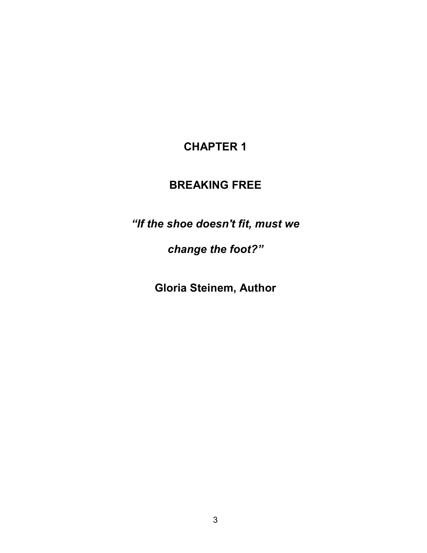## CHAPTER 1

## BREAKING FREE

"If the shoe doesn't fit, must we

change the foot?"

Gloria Steinem, Author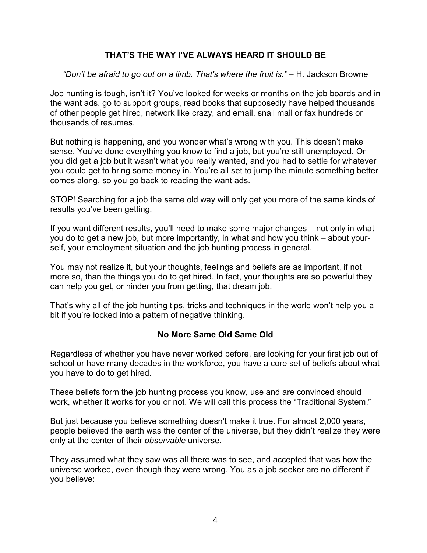## THAT'S THE WAY I'VE ALWAYS HEARD IT SHOULD BE

"Don't be afraid to go out on a limb. That's where the fruit is." – H. Jackson Browne

Job hunting is tough, isn't it? You've looked for weeks or months on the job boards and in the want ads, go to support groups, read books that supposedly have helped thousands of other people get hired, network like crazy, and email, snail mail or fax hundreds or thousands of resumes.

But nothing is happening, and you wonder what's wrong with you. This doesn't make sense. You've done everything you know to find a job, but you're still unemployed. Or you did get a job but it wasn't what you really wanted, and you had to settle for whatever you could get to bring some money in. You're all set to jump the minute something better comes along, so you go back to reading the want ads.

STOP! Searching for a job the same old way will only get you more of the same kinds of results you've been getting.

If you want different results, you'll need to make some major changes – not only in what you do to get a new job, but more importantly, in what and how you think – about yourself, your employment situation and the job hunting process in general.

You may not realize it, but your thoughts, feelings and beliefs are as important, if not more so, than the things you do to get hired. In fact, your thoughts are so powerful they can help you get, or hinder you from getting, that dream job.

That's why all of the job hunting tips, tricks and techniques in the world won't help you a bit if you're locked into a pattern of negative thinking.

## No More Same Old Same Old

Regardless of whether you have never worked before, are looking for your first job out of school or have many decades in the workforce, you have a core set of beliefs about what you have to do to get hired.

These beliefs form the job hunting process you know, use and are convinced should work, whether it works for you or not. We will call this process the "Traditional System."

But just because you believe something doesn't make it true. For almost 2,000 years, people believed the earth was the center of the universe, but they didn't realize they were only at the center of their observable universe.

They assumed what they saw was all there was to see, and accepted that was how the universe worked, even though they were wrong. You as a job seeker are no different if you believe: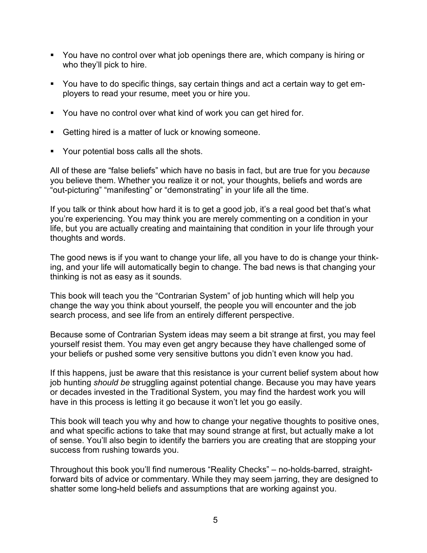- You have no control over what job openings there are, which company is hiring or who they'll pick to hire.
- You have to do specific things, say certain things and act a certain way to get employers to read your resume, meet you or hire you.
- You have no control over what kind of work you can get hired for.
- Getting hired is a matter of luck or knowing someone.
- Your potential boss calls all the shots.

All of these are "false beliefs" which have no basis in fact, but are true for you because you believe them. Whether you realize it or not, your thoughts, beliefs and words are "out-picturing" "manifesting" or "demonstrating" in your life all the time.

If you talk or think about how hard it is to get a good job, it's a real good bet that's what you're experiencing. You may think you are merely commenting on a condition in your life, but you are actually creating and maintaining that condition in your life through your thoughts and words.

The good news is if you want to change your life, all you have to do is change your thinking, and your life will automatically begin to change. The bad news is that changing your thinking is not as easy as it sounds.

This book will teach you the "Contrarian System" of job hunting which will help you change the way you think about yourself, the people you will encounter and the job search process, and see life from an entirely different perspective.

Because some of Contrarian System ideas may seem a bit strange at first, you may feel yourself resist them. You may even get angry because they have challenged some of your beliefs or pushed some very sensitive buttons you didn't even know you had.

If this happens, just be aware that this resistance is your current belief system about how job hunting should be struggling against potential change. Because you may have years or decades invested in the Traditional System, you may find the hardest work you will have in this process is letting it go because it won't let you go easily.

This book will teach you why and how to change your negative thoughts to positive ones, and what specific actions to take that may sound strange at first, but actually make a lot of sense. You'll also begin to identify the barriers you are creating that are stopping your success from rushing towards you.

Throughout this book you'll find numerous "Reality Checks" – no-holds-barred, straightforward bits of advice or commentary. While they may seem jarring, they are designed to shatter some long-held beliefs and assumptions that are working against you.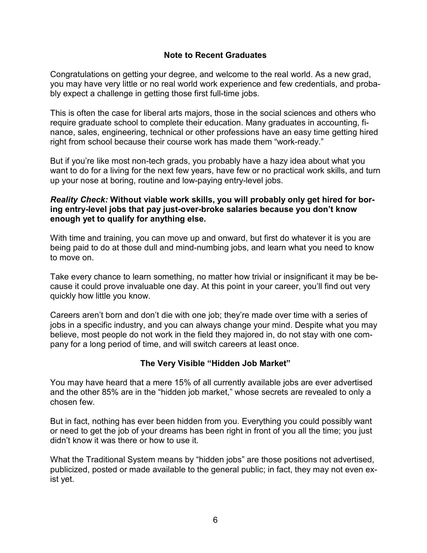#### Note to Recent Graduates

Congratulations on getting your degree, and welcome to the real world. As a new grad, you may have very little or no real world work experience and few credentials, and probably expect a challenge in getting those first full-time jobs.

This is often the case for liberal arts majors, those in the social sciences and others who require graduate school to complete their education. Many graduates in accounting, finance, sales, engineering, technical or other professions have an easy time getting hired right from school because their course work has made them "work-ready."

But if you're like most non-tech grads, you probably have a hazy idea about what you want to do for a living for the next few years, have few or no practical work skills, and turn up your nose at boring, routine and low-paying entry-level jobs.

#### Reality Check: Without viable work skills, you will probably only get hired for boring entry-level jobs that pay just-over-broke salaries because you don't know enough yet to qualify for anything else.

With time and training, you can move up and onward, but first do whatever it is you are being paid to do at those dull and mind-numbing jobs, and learn what you need to know to move on.

Take every chance to learn something, no matter how trivial or insignificant it may be because it could prove invaluable one day. At this point in your career, you'll find out very quickly how little you know.

Careers aren't born and don't die with one job; they're made over time with a series of jobs in a specific industry, and you can always change your mind. Despite what you may believe, most people do not work in the field they majored in, do not stay with one company for a long period of time, and will switch careers at least once.

## The Very Visible "Hidden Job Market"

You may have heard that a mere 15% of all currently available jobs are ever advertised and the other 85% are in the "hidden job market," whose secrets are revealed to only a chosen few.

But in fact, nothing has ever been hidden from you. Everything you could possibly want or need to get the job of your dreams has been right in front of you all the time; you just didn't know it was there or how to use it.

What the Traditional System means by "hidden jobs" are those positions not advertised, publicized, posted or made available to the general public; in fact, they may not even exist yet.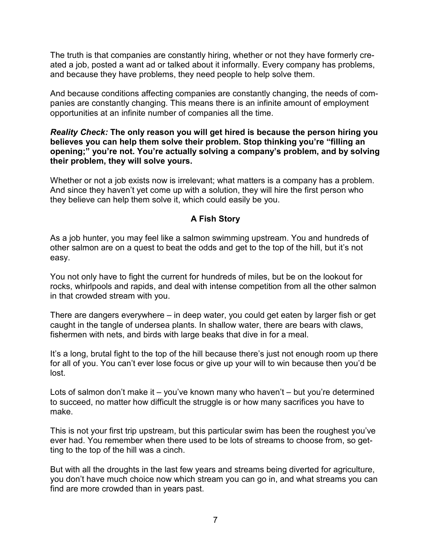The truth is that companies are constantly hiring, whether or not they have formerly created a job, posted a want ad or talked about it informally. Every company has problems, and because they have problems, they need people to help solve them.

And because conditions affecting companies are constantly changing, the needs of companies are constantly changing. This means there is an infinite amount of employment opportunities at an infinite number of companies all the time.

#### Reality Check: The only reason you will get hired is because the person hiring you believes you can help them solve their problem. Stop thinking you're "filling an opening;" you're not. You're actually solving a company's problem, and by solving their problem, they will solve yours.

Whether or not a job exists now is irrelevant; what matters is a company has a problem. And since they haven't yet come up with a solution, they will hire the first person who they believe can help them solve it, which could easily be you.

## A Fish Story

As a job hunter, you may feel like a salmon swimming upstream. You and hundreds of other salmon are on a quest to beat the odds and get to the top of the hill, but it's not easy.

You not only have to fight the current for hundreds of miles, but be on the lookout for rocks, whirlpools and rapids, and deal with intense competition from all the other salmon in that crowded stream with you.

There are dangers everywhere – in deep water, you could get eaten by larger fish or get caught in the tangle of undersea plants. In shallow water, there are bears with claws, fishermen with nets, and birds with large beaks that dive in for a meal.

It's a long, brutal fight to the top of the hill because there's just not enough room up there for all of you. You can't ever lose focus or give up your will to win because then you'd be lost.

Lots of salmon don't make it – you've known many who haven't – but you're determined to succeed, no matter how difficult the struggle is or how many sacrifices you have to make.

This is not your first trip upstream, but this particular swim has been the roughest you've ever had. You remember when there used to be lots of streams to choose from, so getting to the top of the hill was a cinch.

But with all the droughts in the last few years and streams being diverted for agriculture, you don't have much choice now which stream you can go in, and what streams you can find are more crowded than in years past.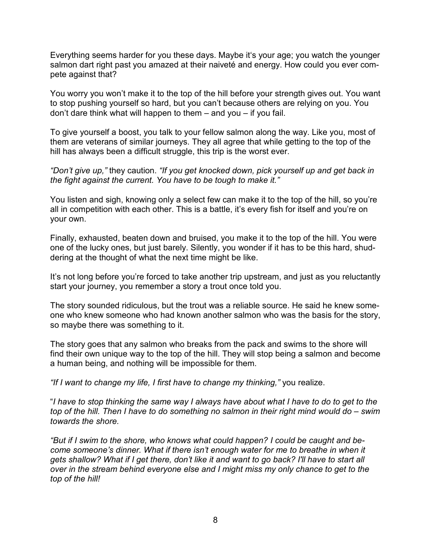Everything seems harder for you these days. Maybe it's your age; you watch the younger salmon dart right past you amazed at their naiveté and energy. How could you ever compete against that?

You worry you won't make it to the top of the hill before your strength gives out. You want to stop pushing yourself so hard, but you can't because others are relying on you. You don't dare think what will happen to them – and you – if you fail.

To give yourself a boost, you talk to your fellow salmon along the way. Like you, most of them are veterans of similar journeys. They all agree that while getting to the top of the hill has always been a difficult struggle, this trip is the worst ever.

"Don't give up," they caution. "If you get knocked down, pick yourself up and get back in the fight against the current. You have to be tough to make it."

You listen and sigh, knowing only a select few can make it to the top of the hill, so you're all in competition with each other. This is a battle, it's every fish for itself and you're on your own.

Finally, exhausted, beaten down and bruised, you make it to the top of the hill. You were one of the lucky ones, but just barely. Silently, you wonder if it has to be this hard, shuddering at the thought of what the next time might be like.

It's not long before you're forced to take another trip upstream, and just as you reluctantly start your journey, you remember a story a trout once told you.

The story sounded ridiculous, but the trout was a reliable source. He said he knew someone who knew someone who had known another salmon who was the basis for the story, so maybe there was something to it.

The story goes that any salmon who breaks from the pack and swims to the shore will find their own unique way to the top of the hill. They will stop being a salmon and become a human being, and nothing will be impossible for them.

"If I want to change my life, I first have to change my thinking," you realize.

"I have to stop thinking the same way I always have about what I have to do to get to the top of the hill. Then I have to do something no salmon in their right mind would do – swim towards the shore.

"But if I swim to the shore, who knows what could happen? I could be caught and become someone's dinner. What if there isn't enough water for me to breathe in when it gets shallow? What if I get there, don't like it and want to go back? I'll have to start all over in the stream behind everyone else and I might miss my only chance to get to the top of the hill!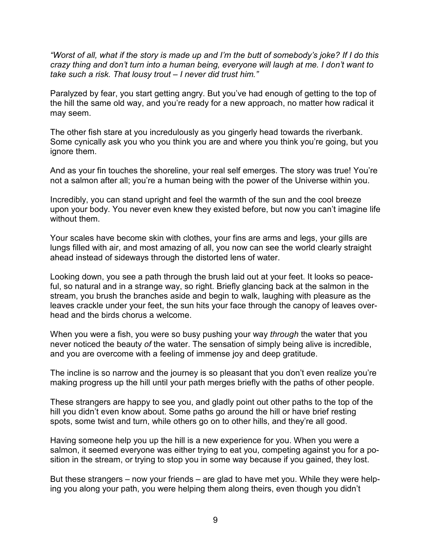"Worst of all, what if the story is made up and I'm the butt of somebody's joke? If I do this crazy thing and don't turn into a human being, everyone will laugh at me. I don't want to take such a risk. That lousy trout – I never did trust him."

Paralyzed by fear, you start getting angry. But you've had enough of getting to the top of the hill the same old way, and you're ready for a new approach, no matter how radical it may seem.

The other fish stare at you incredulously as you gingerly head towards the riverbank. Some cynically ask you who you think you are and where you think you're going, but you ignore them.

And as your fin touches the shoreline, your real self emerges. The story was true! You're not a salmon after all; you're a human being with the power of the Universe within you.

Incredibly, you can stand upright and feel the warmth of the sun and the cool breeze upon your body. You never even knew they existed before, but now you can't imagine life without them.

Your scales have become skin with clothes, your fins are arms and legs, your gills are lungs filled with air, and most amazing of all, you now can see the world clearly straight ahead instead of sideways through the distorted lens of water.

Looking down, you see a path through the brush laid out at your feet. It looks so peaceful, so natural and in a strange way, so right. Briefly glancing back at the salmon in the stream, you brush the branches aside and begin to walk, laughing with pleasure as the leaves crackle under your feet, the sun hits your face through the canopy of leaves overhead and the birds chorus a welcome.

When you were a fish, you were so busy pushing your way *through* the water that you never noticed the beauty of the water. The sensation of simply being alive is incredible, and you are overcome with a feeling of immense joy and deep gratitude.

The incline is so narrow and the journey is so pleasant that you don't even realize you're making progress up the hill until your path merges briefly with the paths of other people.

These strangers are happy to see you, and gladly point out other paths to the top of the hill you didn't even know about. Some paths go around the hill or have brief resting spots, some twist and turn, while others go on to other hills, and they're all good.

Having someone help you up the hill is a new experience for you. When you were a salmon, it seemed everyone was either trying to eat you, competing against you for a position in the stream, or trying to stop you in some way because if you gained, they lost.

But these strangers – now your friends – are glad to have met you. While they were helping you along your path, you were helping them along theirs, even though you didn't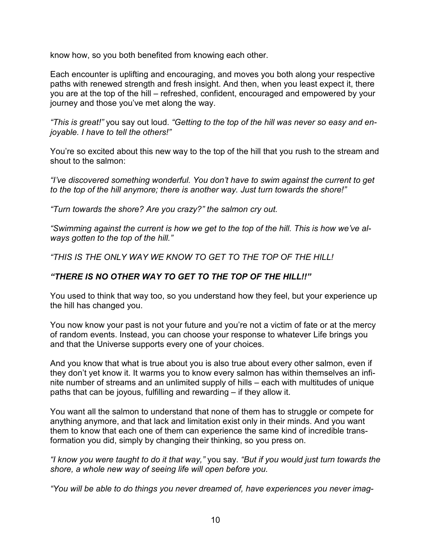know how, so you both benefited from knowing each other.

Each encounter is uplifting and encouraging, and moves you both along your respective paths with renewed strength and fresh insight. And then, when you least expect it, there you are at the top of the hill – refreshed, confident, encouraged and empowered by your journey and those you've met along the way.

"This is great!" you say out loud. "Getting to the top of the hill was never so easy and enjoyable. I have to tell the others!"

You're so excited about this new way to the top of the hill that you rush to the stream and shout to the salmon:

"I've discovered something wonderful. You don't have to swim against the current to get to the top of the hill anymore; there is another way. Just turn towards the shore!"

"Turn towards the shore? Are you crazy?" the salmon cry out.

"Swimming against the current is how we get to the top of the hill. This is how we've always gotten to the top of the hill."

"THIS IS THE ONLY WAY WE KNOW TO GET TO THE TOP OF THE HILL!

## "THERE IS NO OTHER WAY TO GET TO THE TOP OF THE HILL!!"

You used to think that way too, so you understand how they feel, but your experience up the hill has changed you.

You now know your past is not your future and you're not a victim of fate or at the mercy of random events. Instead, you can choose your response to whatever Life brings you and that the Universe supports every one of your choices.

And you know that what is true about you is also true about every other salmon, even if they don't yet know it. It warms you to know every salmon has within themselves an infinite number of streams and an unlimited supply of hills – each with multitudes of unique paths that can be joyous, fulfilling and rewarding – if they allow it.

You want all the salmon to understand that none of them has to struggle or compete for anything anymore, and that lack and limitation exist only in their minds. And you want them to know that each one of them can experience the same kind of incredible transformation you did, simply by changing their thinking, so you press on.

"I know you were taught to do it that way," you say. "But if you would just turn towards the shore, a whole new way of seeing life will open before you.

"You will be able to do things you never dreamed of, have experiences you never imag-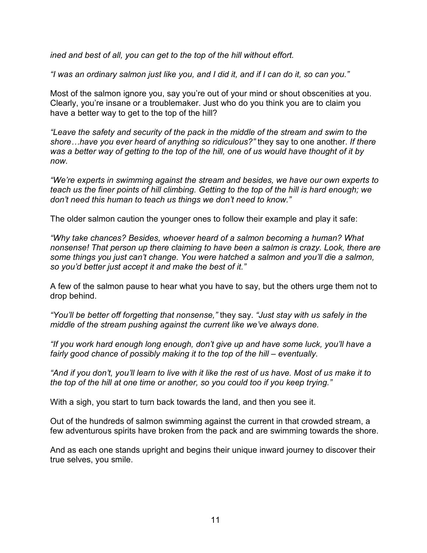ined and best of all, you can get to the top of the hill without effort.

"I was an ordinary salmon just like you, and I did it, and if I can do it, so can you."

Most of the salmon ignore you, say you're out of your mind or shout obscenities at you. Clearly, you're insane or a troublemaker. Just who do you think you are to claim you have a better way to get to the top of the hill?

"Leave the safety and security of the pack in the middle of the stream and swim to the shore...have you ever heard of anything so ridiculous?" they say to one another. If there was a better way of getting to the top of the hill, one of us would have thought of it by now.

"We're experts in swimming against the stream and besides, we have our own experts to teach us the finer points of hill climbing. Getting to the top of the hill is hard enough; we don't need this human to teach us things we don't need to know."

The older salmon caution the younger ones to follow their example and play it safe:

"Why take chances? Besides, whoever heard of a salmon becoming a human? What nonsense! That person up there claiming to have been a salmon is crazy. Look, there are some things you just can't change. You were hatched a salmon and you'll die a salmon, so you'd better just accept it and make the best of it."

A few of the salmon pause to hear what you have to say, but the others urge them not to drop behind.

"You'll be better off forgetting that nonsense," they say. "Just stay with us safely in the middle of the stream pushing against the current like we've always done.

"If you work hard enough long enough, don't give up and have some luck, you'll have a fairly good chance of possibly making it to the top of the hill – eventually.

"And if you don't, you'll learn to live with it like the rest of us have. Most of us make it to the top of the hill at one time or another, so you could too if you keep trying."

With a sigh, you start to turn back towards the land, and then you see it.

Out of the hundreds of salmon swimming against the current in that crowded stream, a few adventurous spirits have broken from the pack and are swimming towards the shore.

And as each one stands upright and begins their unique inward journey to discover their true selves, you smile.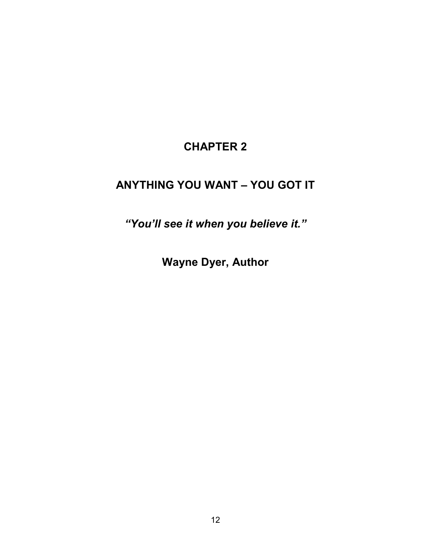## CHAPTER 2

## ANYTHING YOU WANT – YOU GOT IT

"You'll see it when you believe it."

Wayne Dyer, Author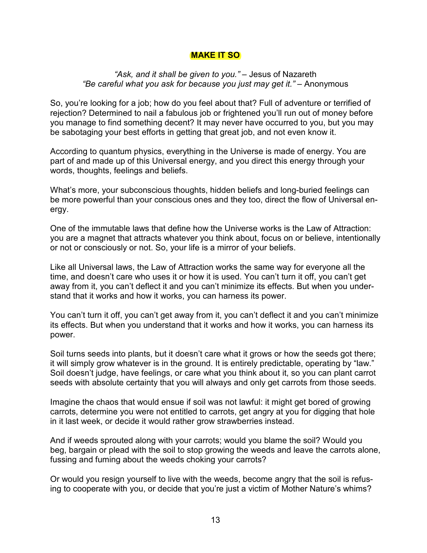#### MAKE IT SO

#### "Ask, and it shall be given to you." – Jesus of Nazareth "Be careful what you ask for because you just may get it." – Anonymous

So, you're looking for a job; how do you feel about that? Full of adventure or terrified of rejection? Determined to nail a fabulous job or frightened you'll run out of money before you manage to find something decent? It may never have occurred to you, but you may be sabotaging your best efforts in getting that great job, and not even know it.

According to quantum physics, everything in the Universe is made of energy. You are part of and made up of this Universal energy, and you direct this energy through your words, thoughts, feelings and beliefs.

What's more, your subconscious thoughts, hidden beliefs and long-buried feelings can be more powerful than your conscious ones and they too, direct the flow of Universal energy.

One of the immutable laws that define how the Universe works is the Law of Attraction: you are a magnet that attracts whatever you think about, focus on or believe, intentionally or not or consciously or not. So, your life is a mirror of your beliefs.

Like all Universal laws, the Law of Attraction works the same way for everyone all the time, and doesn't care who uses it or how it is used. You can't turn it off, you can't get away from it, you can't deflect it and you can't minimize its effects. But when you understand that it works and how it works, you can harness its power.

You can't turn it off, you can't get away from it, you can't deflect it and you can't minimize its effects. But when you understand that it works and how it works, you can harness its power.

Soil turns seeds into plants, but it doesn't care what it grows or how the seeds got there; it will simply grow whatever is in the ground. It is entirely predictable, operating by "law." Soil doesn't judge, have feelings, or care what you think about it, so you can plant carrot seeds with absolute certainty that you will always and only get carrots from those seeds.

Imagine the chaos that would ensue if soil was not lawful: it might get bored of growing carrots, determine you were not entitled to carrots, get angry at you for digging that hole in it last week, or decide it would rather grow strawberries instead.

And if weeds sprouted along with your carrots; would you blame the soil? Would you beg, bargain or plead with the soil to stop growing the weeds and leave the carrots alone, fussing and fuming about the weeds choking your carrots?

Or would you resign yourself to live with the weeds, become angry that the soil is refusing to cooperate with you, or decide that you're just a victim of Mother Nature's whims?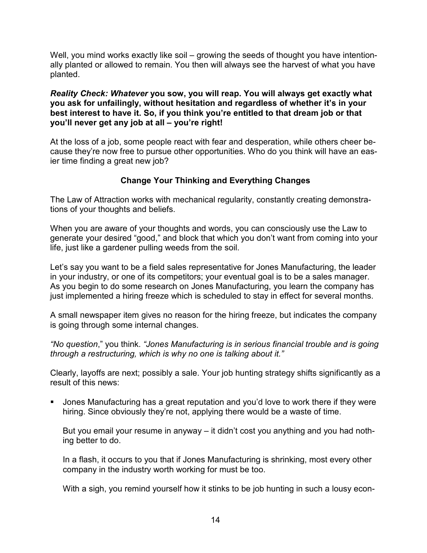Well, you mind works exactly like soil – growing the seeds of thought you have intentionally planted or allowed to remain. You then will always see the harvest of what you have planted.

Reality Check: Whatever you sow, you will reap. You will always get exactly what you ask for unfailingly, without hesitation and regardless of whether it's in your best interest to have it. So, if you think you're entitled to that dream job or that you'll never get any job at all – you're right!

At the loss of a job, some people react with fear and desperation, while others cheer because they're now free to pursue other opportunities. Who do you think will have an easier time finding a great new job?

## Change Your Thinking and Everything Changes

The Law of Attraction works with mechanical regularity, constantly creating demonstrations of your thoughts and beliefs.

When you are aware of your thoughts and words, you can consciously use the Law to generate your desired "good," and block that which you don't want from coming into your life, just like a gardener pulling weeds from the soil.

Let's say you want to be a field sales representative for Jones Manufacturing, the leader in your industry, or one of its competitors; your eventual goal is to be a sales manager. As you begin to do some research on Jones Manufacturing, you learn the company has just implemented a hiring freeze which is scheduled to stay in effect for several months.

A small newspaper item gives no reason for the hiring freeze, but indicates the company is going through some internal changes.

"No question," you think. "Jones Manufacturing is in serious financial trouble and is going through a restructuring, which is why no one is talking about it."

Clearly, layoffs are next; possibly a sale. Your job hunting strategy shifts significantly as a result of this news:

 Jones Manufacturing has a great reputation and you'd love to work there if they were hiring. Since obviously they're not, applying there would be a waste of time.

But you email your resume in anyway – it didn't cost you anything and you had nothing better to do.

In a flash, it occurs to you that if Jones Manufacturing is shrinking, most every other company in the industry worth working for must be too.

With a sigh, you remind yourself how it stinks to be job hunting in such a lousy econ-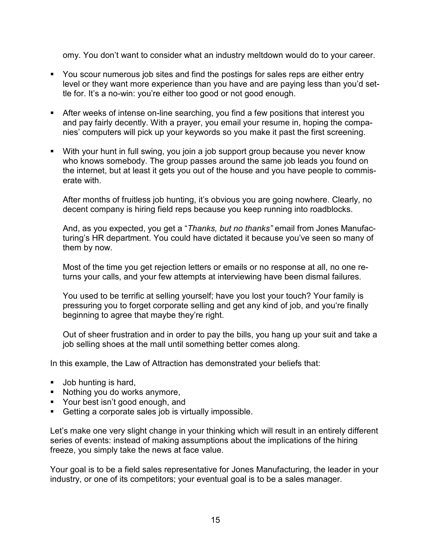omy. You don't want to consider what an industry meltdown would do to your career.

- You scour numerous job sites and find the postings for sales reps are either entry level or they want more experience than you have and are paying less than you'd settle for. It's a no-win: you're either too good or not good enough.
- After weeks of intense on-line searching, you find a few positions that interest you and pay fairly decently. With a prayer, you email your resume in, hoping the companies' computers will pick up your keywords so you make it past the first screening.
- With your hunt in full swing, you join a job support group because you never know who knows somebody. The group passes around the same job leads you found on the internet, but at least it gets you out of the house and you have people to commiserate with.

After months of fruitless job hunting, it's obvious you are going nowhere. Clearly, no decent company is hiring field reps because you keep running into roadblocks.

And, as you expected, you get a "Thanks, but no thanks" email from Jones Manufacturing's HR department. You could have dictated it because you've seen so many of them by now.

Most of the time you get rejection letters or emails or no response at all, no one returns your calls, and your few attempts at interviewing have been dismal failures.

You used to be terrific at selling yourself; have you lost your touch? Your family is pressuring you to forget corporate selling and get any kind of job, and you're finally beginning to agree that maybe they're right.

Out of sheer frustration and in order to pay the bills, you hang up your suit and take a job selling shoes at the mall until something better comes along.

In this example, the Law of Attraction has demonstrated your beliefs that:

- Uob hunting is hard,
- Nothing you do works anymore,
- Your best isn't good enough, and
- Getting a corporate sales job is virtually impossible.

Let's make one very slight change in your thinking which will result in an entirely different series of events: instead of making assumptions about the implications of the hiring freeze, you simply take the news at face value.

Your goal is to be a field sales representative for Jones Manufacturing, the leader in your industry, or one of its competitors; your eventual goal is to be a sales manager.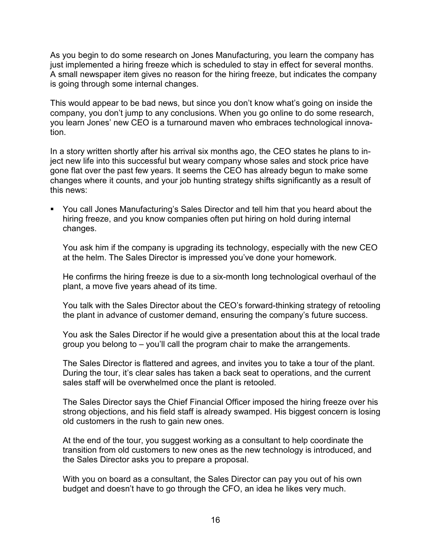As you begin to do some research on Jones Manufacturing, you learn the company has just implemented a hiring freeze which is scheduled to stay in effect for several months. A small newspaper item gives no reason for the hiring freeze, but indicates the company is going through some internal changes.

This would appear to be bad news, but since you don't know what's going on inside the company, you don't jump to any conclusions. When you go online to do some research, you learn Jones' new CEO is a turnaround maven who embraces technological innovation.

In a story written shortly after his arrival six months ago, the CEO states he plans to inject new life into this successful but weary company whose sales and stock price have gone flat over the past few years. It seems the CEO has already begun to make some changes where it counts, and your job hunting strategy shifts significantly as a result of this news:

 You call Jones Manufacturing's Sales Director and tell him that you heard about the hiring freeze, and you know companies often put hiring on hold during internal changes.

You ask him if the company is upgrading its technology, especially with the new CEO at the helm. The Sales Director is impressed you've done your homework.

He confirms the hiring freeze is due to a six-month long technological overhaul of the plant, a move five years ahead of its time.

You talk with the Sales Director about the CEO's forward-thinking strategy of retooling the plant in advance of customer demand, ensuring the company's future success.

You ask the Sales Director if he would give a presentation about this at the local trade group you belong to – you'll call the program chair to make the arrangements.

The Sales Director is flattered and agrees, and invites you to take a tour of the plant. During the tour, it's clear sales has taken a back seat to operations, and the current sales staff will be overwhelmed once the plant is retooled.

The Sales Director says the Chief Financial Officer imposed the hiring freeze over his strong objections, and his field staff is already swamped. His biggest concern is losing old customers in the rush to gain new ones.

At the end of the tour, you suggest working as a consultant to help coordinate the transition from old customers to new ones as the new technology is introduced, and the Sales Director asks you to prepare a proposal.

With you on board as a consultant, the Sales Director can pay you out of his own budget and doesn't have to go through the CFO, an idea he likes very much.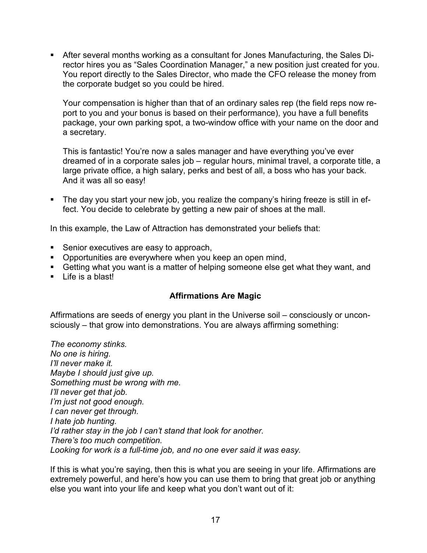After several months working as a consultant for Jones Manufacturing, the Sales Director hires you as "Sales Coordination Manager," a new position just created for you. You report directly to the Sales Director, who made the CFO release the money from the corporate budget so you could be hired.

Your compensation is higher than that of an ordinary sales rep (the field reps now report to you and your bonus is based on their performance), you have a full benefits package, your own parking spot, a two-window office with your name on the door and a secretary.

This is fantastic! You're now a sales manager and have everything you've ever dreamed of in a corporate sales job – regular hours, minimal travel, a corporate title, a large private office, a high salary, perks and best of all, a boss who has your back. And it was all so easy!

• The day you start your new job, you realize the company's hiring freeze is still in effect. You decide to celebrate by getting a new pair of shoes at the mall.

In this example, the Law of Attraction has demonstrated your beliefs that:

- Senior executives are easy to approach,
- **Opportunities are everywhere when you keep an open mind,**
- Getting what you want is a matter of helping someone else get what they want, and
- $\blacksquare$  Life is a blast!

## Affirmations Are Magic

Affirmations are seeds of energy you plant in the Universe soil – consciously or unconsciously – that grow into demonstrations. You are always affirming something:

The economy stinks. No one is hiring. I'll never make it. Maybe I should just give up. Something must be wrong with me. I'll never get that job. I'm just not good enough. I can never get through. I hate job hunting. I'd rather stay in the job I can't stand that look for another. There's too much competition. Looking for work is a full-time job, and no one ever said it was easy.

If this is what you're saying, then this is what you are seeing in your life. Affirmations are extremely powerful, and here's how you can use them to bring that great job or anything else you want into your life and keep what you don't want out of it: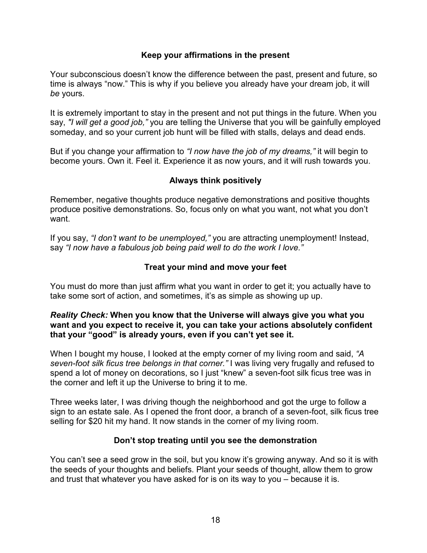### Keep your affirmations in the present

Your subconscious doesn't know the difference between the past, present and future, so time is always "now." This is why if you believe you already have your dream job, it will be yours.

It is extremely important to stay in the present and not put things in the future. When you say, "I will get a good job," you are telling the Universe that you will be gainfully employed someday, and so your current job hunt will be filled with stalls, delays and dead ends.

But if you change your affirmation to "I now have the job of my dreams," it will begin to become yours. Own it. Feel it. Experience it as now yours, and it will rush towards you.

## Always think positively

Remember, negative thoughts produce negative demonstrations and positive thoughts produce positive demonstrations. So, focus only on what you want, not what you don't want.

If you say, "I don't want to be unemployed," you are attracting unemployment! Instead, say "I now have a fabulous job being paid well to do the work I love."

## Treat your mind and move your feet

You must do more than just affirm what you want in order to get it; you actually have to take some sort of action, and sometimes, it's as simple as showing up up.

#### Reality Check: When you know that the Universe will always give you what you want and you expect to receive it, you can take your actions absolutely confident that your "good" is already yours, even if you can't yet see it.

When I bought my house, I looked at the empty corner of my living room and said, "A seven-foot silk ficus tree belongs in that corner." I was living very frugally and refused to spend a lot of money on decorations, so I just "knew" a seven-foot silk ficus tree was in the corner and left it up the Universe to bring it to me.

Three weeks later, I was driving though the neighborhood and got the urge to follow a sign to an estate sale. As I opened the front door, a branch of a seven-foot, silk ficus tree selling for \$20 hit my hand. It now stands in the corner of my living room.

## Don't stop treating until you see the demonstration

You can't see a seed grow in the soil, but you know it's growing anyway. And so it is with the seeds of your thoughts and beliefs. Plant your seeds of thought, allow them to grow and trust that whatever you have asked for is on its way to you – because it is.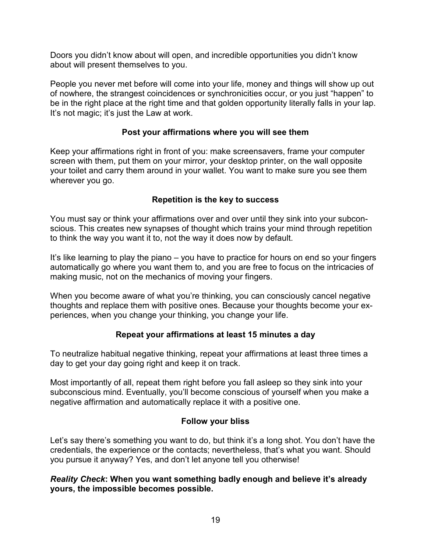Doors you didn't know about will open, and incredible opportunities you didn't know about will present themselves to you.

People you never met before will come into your life, money and things will show up out of nowhere, the strangest coincidences or synchronicities occur, or you just "happen" to be in the right place at the right time and that golden opportunity literally falls in your lap. It's not magic; it's just the Law at work.

## Post your affirmations where you will see them

Keep your affirmations right in front of you: make screensavers, frame your computer screen with them, put them on your mirror, your desktop printer, on the wall opposite your toilet and carry them around in your wallet. You want to make sure you see them wherever you go.

## Repetition is the key to success

You must say or think your affirmations over and over until they sink into your subconscious. This creates new synapses of thought which trains your mind through repetition to think the way you want it to, not the way it does now by default.

It's like learning to play the piano – you have to practice for hours on end so your fingers automatically go where you want them to, and you are free to focus on the intricacies of making music, not on the mechanics of moving your fingers.

When you become aware of what you're thinking, you can consciously cancel negative thoughts and replace them with positive ones. Because your thoughts become your experiences, when you change your thinking, you change your life.

## Repeat your affirmations at least 15 minutes a day

To neutralize habitual negative thinking, repeat your affirmations at least three times a day to get your day going right and keep it on track.

Most importantly of all, repeat them right before you fall asleep so they sink into your subconscious mind. Eventually, you'll become conscious of yourself when you make a negative affirmation and automatically replace it with a positive one.

## Follow your bliss

Let's say there's something you want to do, but think it's a long shot. You don't have the credentials, the experience or the contacts; nevertheless, that's what you want. Should you pursue it anyway? Yes, and don't let anyone tell you otherwise!

#### Reality Check: When you want something badly enough and believe it's already yours, the impossible becomes possible.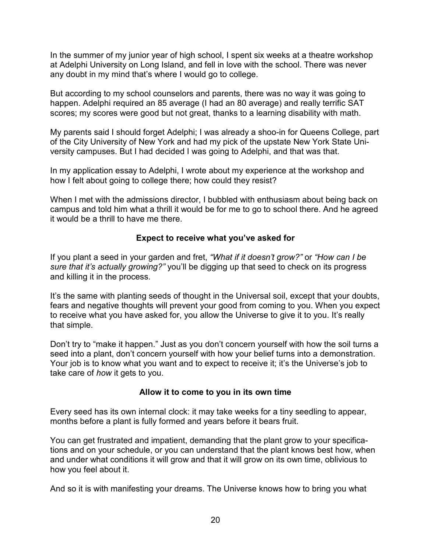In the summer of my junior year of high school, I spent six weeks at a theatre workshop at Adelphi University on Long Island, and fell in love with the school. There was never any doubt in my mind that's where I would go to college.

But according to my school counselors and parents, there was no way it was going to happen. Adelphi required an 85 average (I had an 80 average) and really terrific SAT scores; my scores were good but not great, thanks to a learning disability with math.

My parents said I should forget Adelphi; I was already a shoo-in for Queens College, part of the City University of New York and had my pick of the upstate New York State University campuses. But I had decided I was going to Adelphi, and that was that.

In my application essay to Adelphi, I wrote about my experience at the workshop and how I felt about going to college there; how could they resist?

When I met with the admissions director, I bubbled with enthusiasm about being back on campus and told him what a thrill it would be for me to go to school there. And he agreed it would be a thrill to have me there.

## Expect to receive what you've asked for

If you plant a seed in your garden and fret, "What if it doesn't grow?" or "How can I be sure that it's actually growing?" you'll be digging up that seed to check on its progress and killing it in the process.

It's the same with planting seeds of thought in the Universal soil, except that your doubts, fears and negative thoughts will prevent your good from coming to you. When you expect to receive what you have asked for, you allow the Universe to give it to you. It's really that simple.

Don't try to "make it happen." Just as you don't concern yourself with how the soil turns a seed into a plant, don't concern yourself with how your belief turns into a demonstration. Your job is to know what you want and to expect to receive it; it's the Universe's job to take care of how it gets to you.

#### Allow it to come to you in its own time

Every seed has its own internal clock: it may take weeks for a tiny seedling to appear, months before a plant is fully formed and years before it bears fruit.

You can get frustrated and impatient, demanding that the plant grow to your specifications and on your schedule, or you can understand that the plant knows best how, when and under what conditions it will grow and that it will grow on its own time, oblivious to how you feel about it.

And so it is with manifesting your dreams. The Universe knows how to bring you what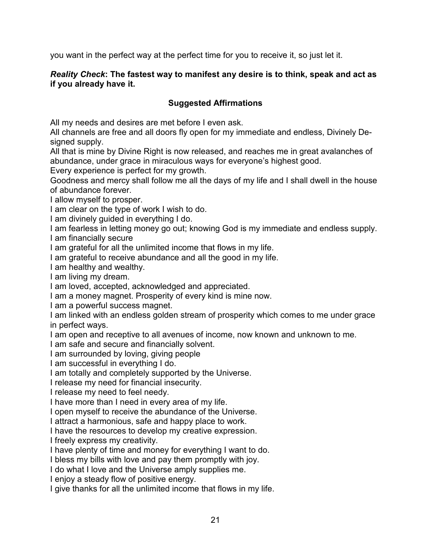you want in the perfect way at the perfect time for you to receive it, so just let it.

#### Reality Check: The fastest way to manifest any desire is to think, speak and act as if you already have it.

## Suggested Affirmations

All my needs and desires are met before I even ask.

All channels are free and all doors fly open for my immediate and endless, Divinely Designed supply.

All that is mine by Divine Right is now released, and reaches me in great avalanches of abundance, under grace in miraculous ways for everyone's highest good.

Every experience is perfect for my growth.

Goodness and mercy shall follow me all the days of my life and I shall dwell in the house of abundance forever.

I allow myself to prosper.

I am clear on the type of work I wish to do.

I am divinely guided in everything I do.

I am fearless in letting money go out; knowing God is my immediate and endless supply. I am financially secure

I am grateful for all the unlimited income that flows in my life.

I am grateful to receive abundance and all the good in my life.

I am healthy and wealthy.

I am living my dream.

I am loved, accepted, acknowledged and appreciated.

I am a money magnet. Prosperity of every kind is mine now.

I am a powerful success magnet.

I am linked with an endless golden stream of prosperity which comes to me under grace in perfect ways.

I am open and receptive to all avenues of income, now known and unknown to me.

I am safe and secure and financially solvent.

I am surrounded by loving, giving people

I am successful in everything I do.

I am totally and completely supported by the Universe.

I release my need for financial insecurity.

I release my need to feel needy.

I have more than I need in every area of my life.

I open myself to receive the abundance of the Universe.

I attract a harmonious, safe and happy place to work.

I have the resources to develop my creative expression.

I freely express my creativity.

I have plenty of time and money for everything I want to do.

I bless my bills with love and pay them promptly with joy.

I do what I love and the Universe amply supplies me.

I enjoy a steady flow of positive energy.

I give thanks for all the unlimited income that flows in my life.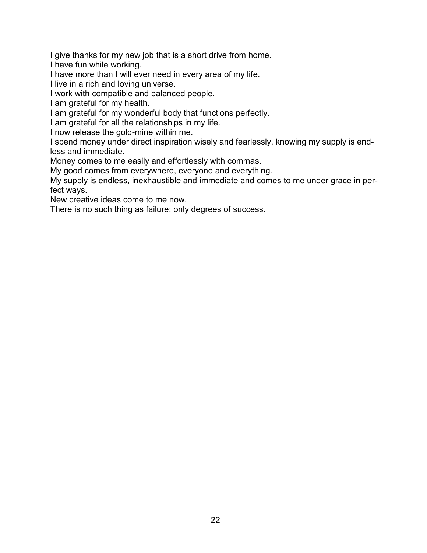I give thanks for my new job that is a short drive from home.

I have fun while working.

I have more than I will ever need in every area of my life.

I live in a rich and loving universe.

I work with compatible and balanced people.

I am grateful for my health.

I am grateful for my wonderful body that functions perfectly.

I am grateful for all the relationships in my life.

I now release the gold-mine within me.

I spend money under direct inspiration wisely and fearlessly, knowing my supply is endless and immediate.

Money comes to me easily and effortlessly with commas.

My good comes from everywhere, everyone and everything.

My supply is endless, inexhaustible and immediate and comes to me under grace in perfect ways.

New creative ideas come to me now.

There is no such thing as failure; only degrees of success.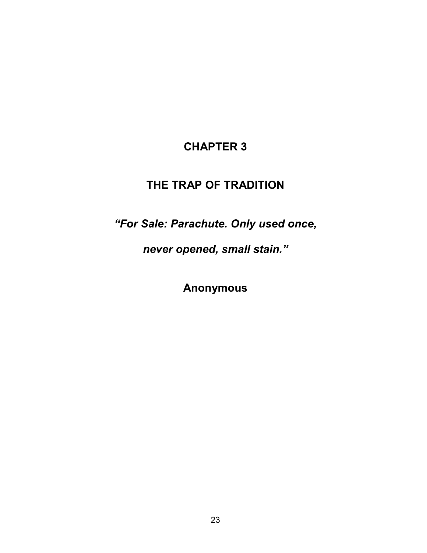## CHAPTER 3

## THE TRAP OF TRADITION

"For Sale: Parachute. Only used once,

never opened, small stain."

Anonymous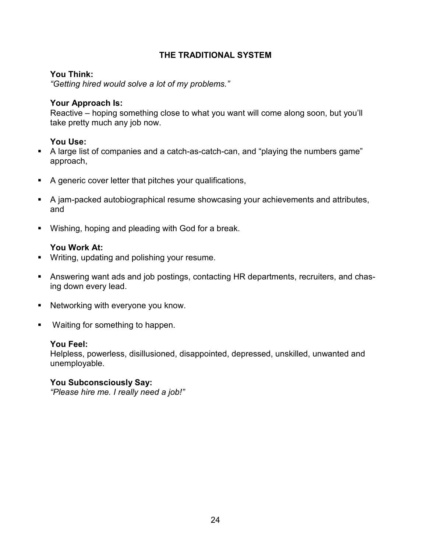### THE TRADITIONAL SYSTEM

#### You Think:

"Getting hired would solve a lot of my problems."

#### Your Approach Is:

Reactive – hoping something close to what you want will come along soon, but you'll take pretty much any job now.

#### You Use:

- A large list of companies and a catch-as-catch-can, and "playing the numbers game" approach,
- A generic cover letter that pitches your qualifications,
- A jam-packed autobiographical resume showcasing your achievements and attributes, and
- **Wishing, hoping and pleading with God for a break.**

#### You Work At:

- Writing, updating and polishing your resume.
- Answering want ads and job postings, contacting HR departments, recruiters, and chasing down every lead.
- Networking with everyone you know.
- **Waiting for something to happen.**

#### You Feel:

Helpless, powerless, disillusioned, disappointed, depressed, unskilled, unwanted and unemployable.

#### You Subconsciously Say:

"Please hire me. I really need a job!"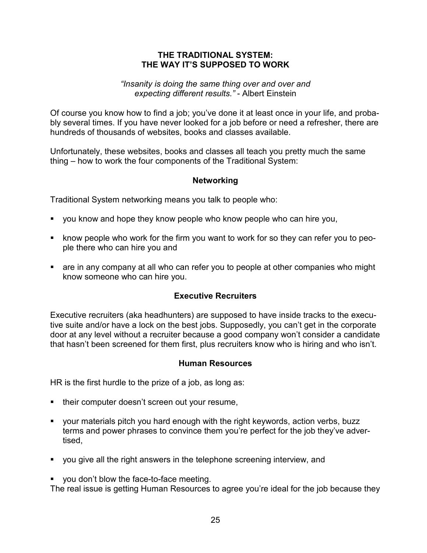#### THE TRADITIONAL SYSTEM: THE WAY IT'S SUPPOSED TO WORK

#### "Insanity is doing the same thing over and over and expecting different results." - Albert Einstein

Of course you know how to find a job; you've done it at least once in your life, and probably several times. If you have never looked for a job before or need a refresher, there are hundreds of thousands of websites, books and classes available.

Unfortunately, these websites, books and classes all teach you pretty much the same thing – how to work the four components of the Traditional System:

#### Networking

Traditional System networking means you talk to people who:

- you know and hope they know people who know people who can hire you,
- know people who work for the firm you want to work for so they can refer you to people there who can hire you and
- are in any company at all who can refer you to people at other companies who might know someone who can hire you.

## Executive Recruiters

Executive recruiters (aka headhunters) are supposed to have inside tracks to the executive suite and/or have a lock on the best jobs. Supposedly, you can't get in the corporate door at any level without a recruiter because a good company won't consider a candidate that hasn't been screened for them first, plus recruiters know who is hiring and who isn't.

#### Human Resources

HR is the first hurdle to the prize of a job, as long as:

- **their computer doesn't screen out your resume,**
- your materials pitch you hard enough with the right keywords, action verbs, buzz terms and power phrases to convince them you're perfect for the job they've advertised,
- you give all the right answers in the telephone screening interview, and
- you don't blow the face-to-face meeting.

The real issue is getting Human Resources to agree you're ideal for the job because they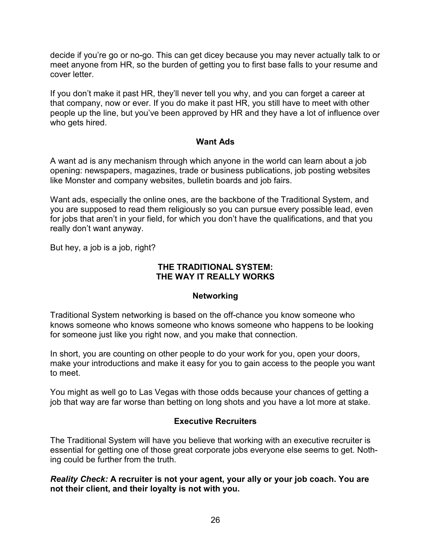decide if you're go or no-go. This can get dicey because you may never actually talk to or meet anyone from HR, so the burden of getting you to first base falls to your resume and cover letter.

If you don't make it past HR, they'll never tell you why, and you can forget a career at that company, now or ever. If you do make it past HR, you still have to meet with other people up the line, but you've been approved by HR and they have a lot of influence over who gets hired.

#### Want Ads

A want ad is any mechanism through which anyone in the world can learn about a job opening: newspapers, magazines, trade or business publications, job posting websites like Monster and company websites, bulletin boards and job fairs.

Want ads, especially the online ones, are the backbone of the Traditional System, and you are supposed to read them religiously so you can pursue every possible lead, even for jobs that aren't in your field, for which you don't have the qualifications, and that you really don't want anyway.

But hey, a job is a job, right?

#### THE TRADITIONAL SYSTEM: THE WAY IT REALLY WORKS

#### Networking

Traditional System networking is based on the off-chance you know someone who knows someone who knows someone who knows someone who happens to be looking for someone just like you right now, and you make that connection.

In short, you are counting on other people to do your work for you, open your doors, make your introductions and make it easy for you to gain access to the people you want to meet.

You might as well go to Las Vegas with those odds because your chances of getting a job that way are far worse than betting on long shots and you have a lot more at stake.

## Executive Recruiters

The Traditional System will have you believe that working with an executive recruiter is essential for getting one of those great corporate jobs everyone else seems to get. Nothing could be further from the truth.

Reality Check: A recruiter is not your agent, your ally or your job coach. You are not their client, and their loyalty is not with you.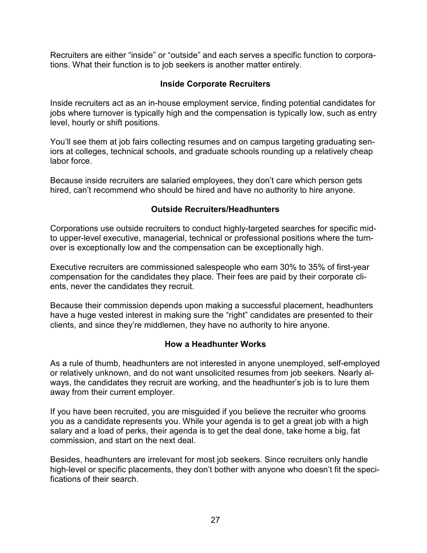Recruiters are either "inside" or "outside" and each serves a specific function to corporations. What their function is to job seekers is another matter entirely.

#### Inside Corporate Recruiters

Inside recruiters act as an in-house employment service, finding potential candidates for jobs where turnover is typically high and the compensation is typically low, such as entry level, hourly or shift positions.

You'll see them at job fairs collecting resumes and on campus targeting graduating seniors at colleges, technical schools, and graduate schools rounding up a relatively cheap labor force.

Because inside recruiters are salaried employees, they don't care which person gets hired, can't recommend who should be hired and have no authority to hire anyone.

#### Outside Recruiters/Headhunters

Corporations use outside recruiters to conduct highly-targeted searches for specific midto upper-level executive, managerial, technical or professional positions where the turnover is exceptionally low and the compensation can be exceptionally high.

Executive recruiters are commissioned salespeople who earn 30% to 35% of first-year compensation for the candidates they place. Their fees are paid by their corporate clients, never the candidates they recruit.

Because their commission depends upon making a successful placement, headhunters have a huge vested interest in making sure the "right" candidates are presented to their clients, and since they're middlemen, they have no authority to hire anyone.

## How a Headhunter Works

As a rule of thumb, headhunters are not interested in anyone unemployed, self-employed or relatively unknown, and do not want unsolicited resumes from job seekers. Nearly always, the candidates they recruit are working, and the headhunter's job is to lure them away from their current employer.

If you have been recruited, you are misguided if you believe the recruiter who grooms you as a candidate represents you. While your agenda is to get a great job with a high salary and a load of perks, their agenda is to get the deal done, take home a big, fat commission, and start on the next deal.

Besides, headhunters are irrelevant for most job seekers. Since recruiters only handle high-level or specific placements, they don't bother with anyone who doesn't fit the specifications of their search.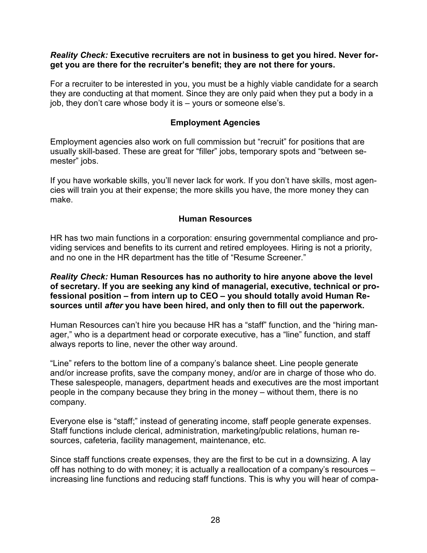#### Reality Check: Executive recruiters are not in business to get you hired. Never forget you are there for the recruiter's benefit; they are not there for yours.

For a recruiter to be interested in you, you must be a highly viable candidate for a search they are conducting at that moment. Since they are only paid when they put a body in a job, they don't care whose body it is – yours or someone else's.

#### Employment Agencies

Employment agencies also work on full commission but "recruit" for positions that are usually skill-based. These are great for "filler" jobs, temporary spots and "between semester" jobs.

If you have workable skills, you'll never lack for work. If you don't have skills, most agencies will train you at their expense; the more skills you have, the more money they can make.

#### Human Resources

HR has two main functions in a corporation: ensuring governmental compliance and providing services and benefits to its current and retired employees. Hiring is not a priority, and no one in the HR department has the title of "Resume Screener."

#### Reality Check: Human Resources has no authority to hire anyone above the level of secretary. If you are seeking any kind of managerial, executive, technical or professional position – from intern up to CEO – you should totally avoid Human Resources until after you have been hired, and only then to fill out the paperwork.

Human Resources can't hire you because HR has a "staff" function, and the "hiring manager," who is a department head or corporate executive, has a "line" function, and staff always reports to line, never the other way around.

"Line" refers to the bottom line of a company's balance sheet. Line people generate and/or increase profits, save the company money, and/or are in charge of those who do. These salespeople, managers, department heads and executives are the most important people in the company because they bring in the money – without them, there is no company.

Everyone else is "staff;" instead of generating income, staff people generate expenses. Staff functions include clerical, administration, marketing/public relations, human resources, cafeteria, facility management, maintenance, etc.

Since staff functions create expenses, they are the first to be cut in a downsizing. A lay off has nothing to do with money; it is actually a reallocation of a company's resources – increasing line functions and reducing staff functions. This is why you will hear of compa-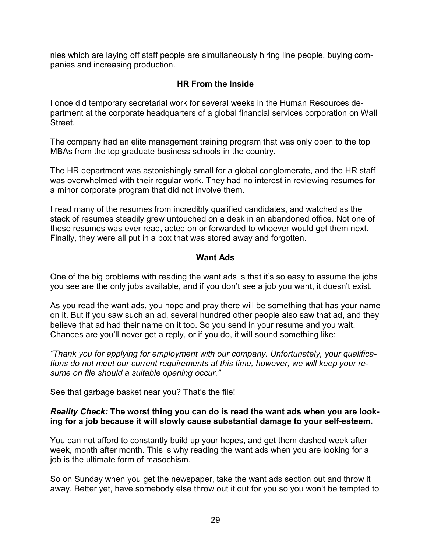nies which are laying off staff people are simultaneously hiring line people, buying companies and increasing production.

#### HR From the Inside

I once did temporary secretarial work for several weeks in the Human Resources department at the corporate headquarters of a global financial services corporation on Wall Street.

The company had an elite management training program that was only open to the top MBAs from the top graduate business schools in the country.

The HR department was astonishingly small for a global conglomerate, and the HR staff was overwhelmed with their regular work. They had no interest in reviewing resumes for a minor corporate program that did not involve them.

I read many of the resumes from incredibly qualified candidates, and watched as the stack of resumes steadily grew untouched on a desk in an abandoned office. Not one of these resumes was ever read, acted on or forwarded to whoever would get them next. Finally, they were all put in a box that was stored away and forgotten.

#### Want Ads

One of the big problems with reading the want ads is that it's so easy to assume the jobs you see are the only jobs available, and if you don't see a job you want, it doesn't exist.

As you read the want ads, you hope and pray there will be something that has your name on it. But if you saw such an ad, several hundred other people also saw that ad, and they believe that ad had their name on it too. So you send in your resume and you wait. Chances are you'll never get a reply, or if you do, it will sound something like:

"Thank you for applying for employment with our company. Unfortunately, your qualifications do not meet our current requirements at this time, however, we will keep your resume on file should a suitable opening occur."

See that garbage basket near you? That's the file!

#### Reality Check: The worst thing you can do is read the want ads when you are looking for a job because it will slowly cause substantial damage to your self-esteem.

You can not afford to constantly build up your hopes, and get them dashed week after week, month after month. This is why reading the want ads when you are looking for a job is the ultimate form of masochism.

So on Sunday when you get the newspaper, take the want ads section out and throw it away. Better yet, have somebody else throw out it out for you so you won't be tempted to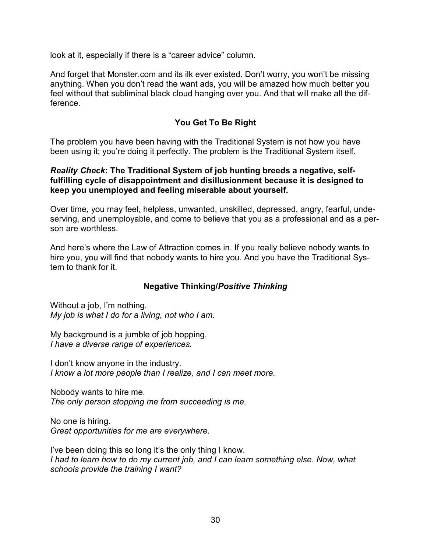look at it, especially if there is a "career advice" column.

And forget that Monster.com and its ilk ever existed. Don't worry, you won't be missing anything. When you don't read the want ads, you will be amazed how much better you feel without that subliminal black cloud hanging over you. And that will make all the difference.

## You Get To Be Right

The problem you have been having with the Traditional System is not how you have been using it; you're doing it perfectly. The problem is the Traditional System itself.

#### Reality Check: The Traditional System of job hunting breeds a negative, selffulfilling cycle of disappointment and disillusionment because it is designed to keep you unemployed and feeling miserable about yourself.

Over time, you may feel, helpless, unwanted, unskilled, depressed, angry, fearful, undeserving, and unemployable, and come to believe that you as a professional and as a person are worthless.

And here's where the Law of Attraction comes in. If you really believe nobody wants to hire you, you will find that nobody wants to hire you. And you have the Traditional System to thank for it.

#### Negative Thinking/Positive Thinking

Without a job, I'm nothing. My job is what I do for a living, not who I am.

My background is a jumble of job hopping. I have a diverse range of experiences.

I don't know anyone in the industry. I know a lot more people than I realize, and I can meet more.

Nobody wants to hire me. The only person stopping me from succeeding is me.

No one is hiring. Great opportunities for me are everywhere.

I've been doing this so long it's the only thing I know. I had to learn how to do my current job, and I can learn something else. Now, what schools provide the training I want?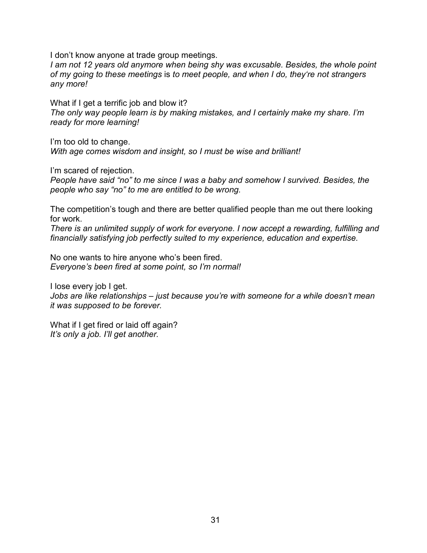I don't know anyone at trade group meetings.

I am not 12 years old anymore when being shy was excusable. Besides, the whole point of my going to these meetings is to meet people, and when I do, they're not strangers any more!

What if I get a terrific job and blow it? The only way people learn is by making mistakes, and I certainly make my share. I'm ready for more learning!

I'm too old to change. With age comes wisdom and insight, so I must be wise and brilliant!

I'm scared of rejection.

People have said "no" to me since I was a baby and somehow I survived. Besides, the people who say "no" to me are entitled to be wrong.

The competition's tough and there are better qualified people than me out there looking for work.

There is an unlimited supply of work for everyone. I now accept a rewarding, fulfilling and financially satisfying job perfectly suited to my experience, education and expertise.

No one wants to hire anyone who's been fired. Everyone's been fired at some point, so I'm normal!

I lose every job I get.

Jobs are like relationships – just because you're with someone for a while doesn't mean it was supposed to be forever.

What if I get fired or laid off again? It's only a job. I'll get another.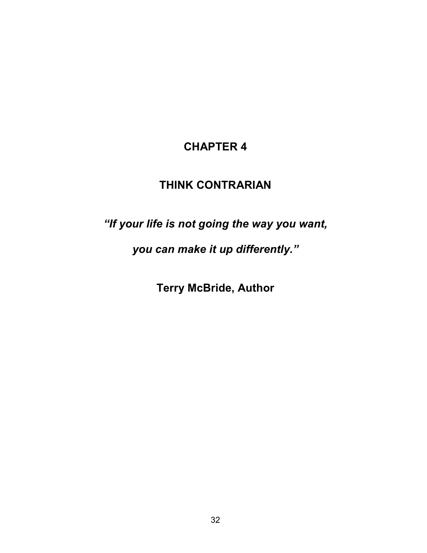## CHAPTER 4

## THINK CONTRARIAN

"If your life is not going the way you want,

you can make it up differently."

Terry McBride, Author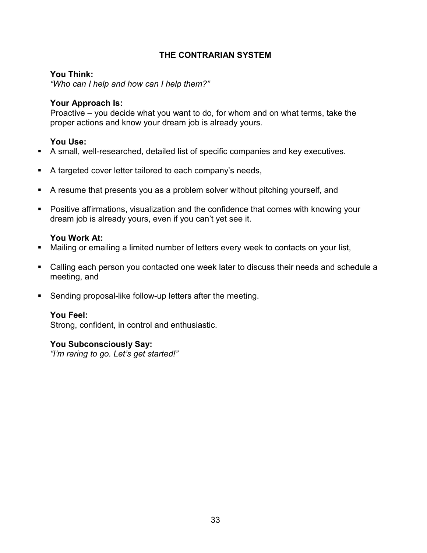### THE CONTRARIAN SYSTEM

#### You Think:

"Who can I help and how can I help them?"

#### Your Approach Is:

Proactive – you decide what you want to do, for whom and on what terms, take the proper actions and know your dream job is already yours.

## You Use:

- A small, well-researched, detailed list of specific companies and key executives.
- A targeted cover letter tailored to each company's needs,
- A resume that presents you as a problem solver without pitching yourself, and
- Positive affirmations, visualization and the confidence that comes with knowing your dream job is already yours, even if you can't yet see it.

## You Work At:

- Mailing or emailing a limited number of letters every week to contacts on your list,
- Calling each person you contacted one week later to discuss their needs and schedule a meeting, and
- **Sending proposal-like follow-up letters after the meeting.**

## You Feel:

Strong, confident, in control and enthusiastic.

## You Subconsciously Say:

"I'm raring to go. Let's get started!"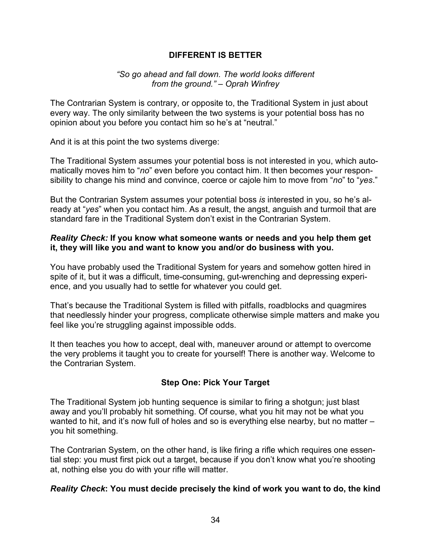### DIFFERENT IS BETTER

#### "So go ahead and fall down. The world looks different from the ground." – Oprah Winfrey

The Contrarian System is contrary, or opposite to, the Traditional System in just about every way. The only similarity between the two systems is your potential boss has no opinion about you before you contact him so he's at "neutral."

And it is at this point the two systems diverge:

The Traditional System assumes your potential boss is not interested in you, which automatically moves him to "no" even before you contact him. It then becomes your responsibility to change his mind and convince, coerce or cajole him to move from "no" to "yes."

But the Contrarian System assumes your potential boss is interested in you, so he's already at "yes" when you contact him. As a result, the angst, anguish and turmoil that are standard fare in the Traditional System don't exist in the Contrarian System.

#### Reality Check: If you know what someone wants or needs and you help them get it, they will like you and want to know you and/or do business with you.

You have probably used the Traditional System for years and somehow gotten hired in spite of it, but it was a difficult, time-consuming, gut-wrenching and depressing experience, and you usually had to settle for whatever you could get.

That's because the Traditional System is filled with pitfalls, roadblocks and quagmires that needlessly hinder your progress, complicate otherwise simple matters and make you feel like you're struggling against impossible odds.

It then teaches you how to accept, deal with, maneuver around or attempt to overcome the very problems it taught you to create for yourself! There is another way. Welcome to the Contrarian System.

#### Step One: Pick Your Target

The Traditional System job hunting sequence is similar to firing a shotgun; just blast away and you'll probably hit something. Of course, what you hit may not be what you wanted to hit, and it's now full of holes and so is everything else nearby, but no matter – you hit something.

The Contrarian System, on the other hand, is like firing a rifle which requires one essential step: you must first pick out a target, because if you don't know what you're shooting at, nothing else you do with your rifle will matter.

#### Reality Check: You must decide precisely the kind of work you want to do, the kind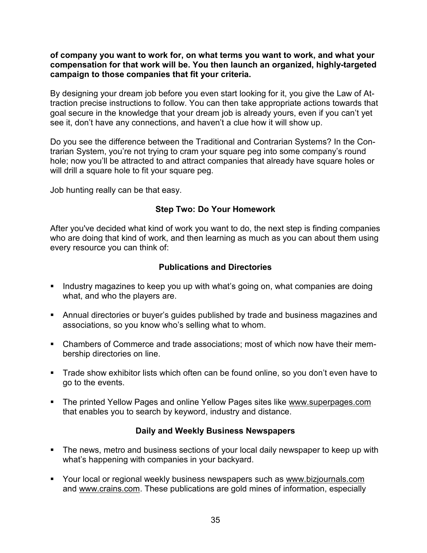#### of company you want to work for, on what terms you want to work, and what your compensation for that work will be. You then launch an organized, highly-targeted campaign to those companies that fit your criteria.

By designing your dream job before you even start looking for it, you give the Law of Attraction precise instructions to follow. You can then take appropriate actions towards that goal secure in the knowledge that your dream job is already yours, even if you can't yet see it, don't have any connections, and haven't a clue how it will show up.

Do you see the difference between the Traditional and Contrarian Systems? In the Contrarian System, you're not trying to cram your square peg into some company's round hole; now you'll be attracted to and attract companies that already have square holes or will drill a square hole to fit your square peg.

Job hunting really can be that easy.

## Step Two: Do Your Homework

After you've decided what kind of work you want to do, the next step is finding companies who are doing that kind of work, and then learning as much as you can about them using every resource you can think of:

#### Publications and Directories

- Industry magazines to keep you up with what's going on, what companies are doing what, and who the players are.
- Annual directories or buyer's guides published by trade and business magazines and associations, so you know who's selling what to whom.
- Chambers of Commerce and trade associations; most of which now have their membership directories on line.
- Trade show exhibitor lists which often can be found online, so you don't even have to go to the events.
- The printed Yellow Pages and online Yellow Pages sites like www.superpages.com that enables you to search by keyword, industry and distance.

## Daily and Weekly Business Newspapers

- The news, metro and business sections of your local daily newspaper to keep up with what's happening with companies in your backyard.
- Your local or regional weekly business newspapers such as www.bizjournals.com and www.crains.com. These publications are gold mines of information, especially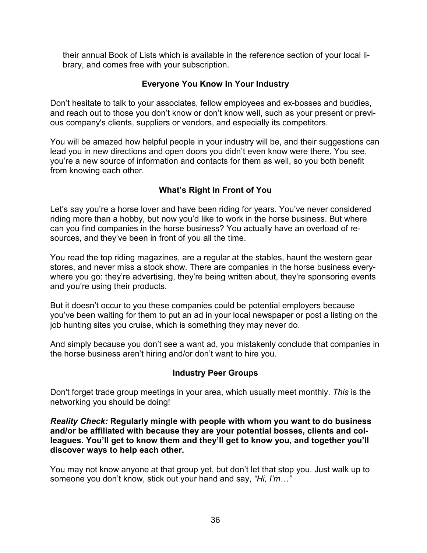their annual Book of Lists which is available in the reference section of your local library, and comes free with your subscription.

### Everyone You Know In Your Industry

Don't hesitate to talk to your associates, fellow employees and ex-bosses and buddies, and reach out to those you don't know or don't know well, such as your present or previous company's clients, suppliers or vendors, and especially its competitors.

You will be amazed how helpful people in your industry will be, and their suggestions can lead you in new directions and open doors you didn't even know were there. You see, you're a new source of information and contacts for them as well, so you both benefit from knowing each other.

## What's Right In Front of You

Let's say you're a horse lover and have been riding for years. You've never considered riding more than a hobby, but now you'd like to work in the horse business. But where can you find companies in the horse business? You actually have an overload of resources, and they've been in front of you all the time.

You read the top riding magazines, are a regular at the stables, haunt the western gear stores, and never miss a stock show. There are companies in the horse business everywhere you go: they're advertising, they're being written about, they're sponsoring events and you're using their products.

But it doesn't occur to you these companies could be potential employers because you've been waiting for them to put an ad in your local newspaper or post a listing on the job hunting sites you cruise, which is something they may never do.

And simply because you don't see a want ad, you mistakenly conclude that companies in the horse business aren't hiring and/or don't want to hire you.

#### Industry Peer Groups

Don't forget trade group meetings in your area, which usually meet monthly. This is the networking you should be doing!

Reality Check: Regularly mingle with people with whom you want to do business and/or be affiliated with because they are your potential bosses, clients and colleagues. You'll get to know them and they'll get to know you, and together you'll discover ways to help each other.

You may not know anyone at that group yet, but don't let that stop you. Just walk up to someone you don't know, stick out your hand and say, "Hi, I'm..."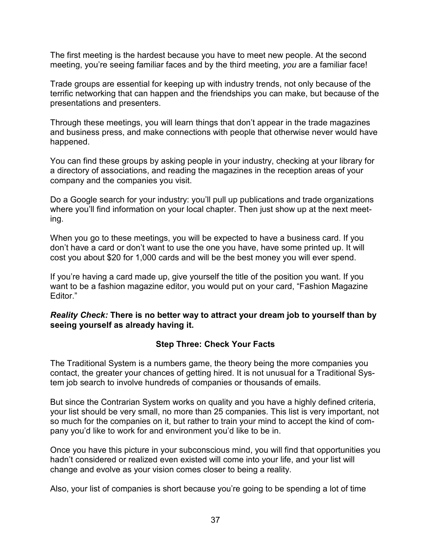The first meeting is the hardest because you have to meet new people. At the second meeting, you're seeing familiar faces and by the third meeting, you are a familiar face!

Trade groups are essential for keeping up with industry trends, not only because of the terrific networking that can happen and the friendships you can make, but because of the presentations and presenters.

Through these meetings, you will learn things that don't appear in the trade magazines and business press, and make connections with people that otherwise never would have happened.

You can find these groups by asking people in your industry, checking at your library for a directory of associations, and reading the magazines in the reception areas of your company and the companies you visit.

Do a Google search for your industry: you'll pull up publications and trade organizations where you'll find information on your local chapter. Then just show up at the next meeting.

When you go to these meetings, you will be expected to have a business card. If you don't have a card or don't want to use the one you have, have some printed up. It will cost you about \$20 for 1,000 cards and will be the best money you will ever spend.

If you're having a card made up, give yourself the title of the position you want. If you want to be a fashion magazine editor, you would put on your card, "Fashion Magazine Editor."

# Reality Check: There is no better way to attract your dream job to yourself than by seeing yourself as already having it.

# Step Three: Check Your Facts

The Traditional System is a numbers game, the theory being the more companies you contact, the greater your chances of getting hired. It is not unusual for a Traditional System job search to involve hundreds of companies or thousands of emails.

But since the Contrarian System works on quality and you have a highly defined criteria, your list should be very small, no more than 25 companies. This list is very important, not so much for the companies on it, but rather to train your mind to accept the kind of company you'd like to work for and environment you'd like to be in.

Once you have this picture in your subconscious mind, you will find that opportunities you hadn't considered or realized even existed will come into your life, and your list will change and evolve as your vision comes closer to being a reality.

Also, your list of companies is short because you're going to be spending a lot of time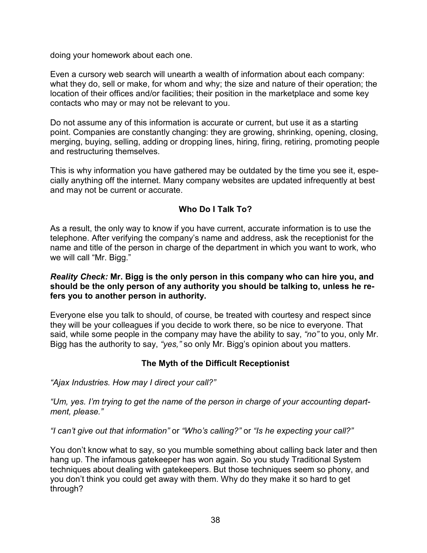doing your homework about each one.

Even a cursory web search will unearth a wealth of information about each company: what they do, sell or make, for whom and why; the size and nature of their operation; the location of their offices and/or facilities; their position in the marketplace and some key contacts who may or may not be relevant to you.

Do not assume any of this information is accurate or current, but use it as a starting point. Companies are constantly changing: they are growing, shrinking, opening, closing, merging, buying, selling, adding or dropping lines, hiring, firing, retiring, promoting people and restructuring themselves.

This is why information you have gathered may be outdated by the time you see it, especially anything off the internet. Many company websites are updated infrequently at best and may not be current or accurate.

# Who Do I Talk To?

As a result, the only way to know if you have current, accurate information is to use the telephone. After verifying the company's name and address, ask the receptionist for the name and title of the person in charge of the department in which you want to work, who we will call "Mr. Bigg."

#### Reality Check: Mr. Bigg is the only person in this company who can hire you, and should be the only person of any authority you should be talking to, unless he refers you to another person in authority.

Everyone else you talk to should, of course, be treated with courtesy and respect since they will be your colleagues if you decide to work there, so be nice to everyone. That said, while some people in the company may have the ability to say, "no" to you, only Mr. Bigg has the authority to say, "yes," so only Mr. Bigg's opinion about you matters.

# The Myth of the Difficult Receptionist

"Ajax Industries. How may I direct your call?"

"Um, yes. I'm trying to get the name of the person in charge of your accounting department, please."

"I can't give out that information" or "Who's calling?" or "Is he expecting your call?"

You don't know what to say, so you mumble something about calling back later and then hang up. The infamous gatekeeper has won again. So you study Traditional System techniques about dealing with gatekeepers. But those techniques seem so phony, and you don't think you could get away with them. Why do they make it so hard to get through?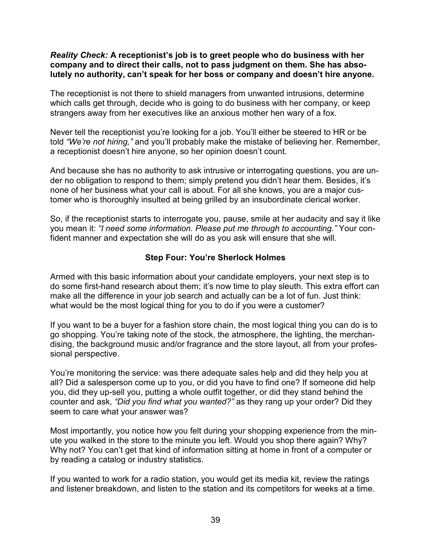#### Reality Check: A receptionist's job is to greet people who do business with her company and to direct their calls, not to pass judgment on them. She has absolutely no authority, can't speak for her boss or company and doesn't hire anyone.

The receptionist is not there to shield managers from unwanted intrusions, determine which calls get through, decide who is going to do business with her company, or keep strangers away from her executives like an anxious mother hen wary of a fox.

Never tell the receptionist you're looking for a job. You'll either be steered to HR or be told "We're not hiring," and you'll probably make the mistake of believing her. Remember, a receptionist doesn't hire anyone, so her opinion doesn't count.

And because she has no authority to ask intrusive or interrogating questions, you are under no obligation to respond to them; simply pretend you didn't hear them. Besides, it's none of her business what your call is about. For all she knows, you are a major customer who is thoroughly insulted at being grilled by an insubordinate clerical worker.

So, if the receptionist starts to interrogate you, pause, smile at her audacity and say it like you mean it: "I need some information. Please put me through to accounting." Your confident manner and expectation she will do as you ask will ensure that she will.

# Step Four: You're Sherlock Holmes

Armed with this basic information about your candidate employers, your next step is to do some first-hand research about them; it's now time to play sleuth. This extra effort can make all the difference in your job search and actually can be a lot of fun. Just think: what would be the most logical thing for you to do if you were a customer?

If you want to be a buyer for a fashion store chain, the most logical thing you can do is to go shopping. You're taking note of the stock, the atmosphere, the lighting, the merchandising, the background music and/or fragrance and the store layout, all from your professional perspective.

You're monitoring the service: was there adequate sales help and did they help you at all? Did a salesperson come up to you, or did you have to find one? If someone did help you, did they up-sell you, putting a whole outfit together, or did they stand behind the counter and ask, "Did you find what you wanted?" as they rang up your order? Did they seem to care what your answer was?

Most importantly, you notice how you felt during your shopping experience from the minute you walked in the store to the minute you left. Would you shop there again? Why? Why not? You can't get that kind of information sitting at home in front of a computer or by reading a catalog or industry statistics.

If you wanted to work for a radio station, you would get its media kit, review the ratings and listener breakdown, and listen to the station and its competitors for weeks at a time.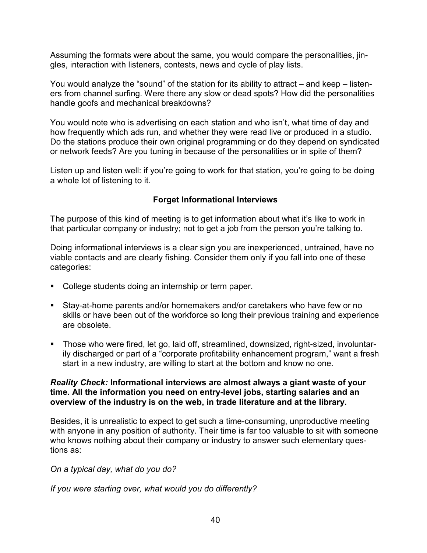Assuming the formats were about the same, you would compare the personalities, jingles, interaction with listeners, contests, news and cycle of play lists.

You would analyze the "sound" of the station for its ability to attract – and keep – listeners from channel surfing. Were there any slow or dead spots? How did the personalities handle goofs and mechanical breakdowns?

You would note who is advertising on each station and who isn't, what time of day and how frequently which ads run, and whether they were read live or produced in a studio. Do the stations produce their own original programming or do they depend on syndicated or network feeds? Are you tuning in because of the personalities or in spite of them?

Listen up and listen well: if you're going to work for that station, you're going to be doing a whole lot of listening to it.

# Forget Informational Interviews

The purpose of this kind of meeting is to get information about what it's like to work in that particular company or industry; not to get a job from the person you're talking to.

Doing informational interviews is a clear sign you are inexperienced, untrained, have no viable contacts and are clearly fishing. Consider them only if you fall into one of these categories:

- College students doing an internship or term paper.
- Stay-at-home parents and/or homemakers and/or caretakers who have few or no skills or have been out of the workforce so long their previous training and experience are obsolete.
- Those who were fired, let go, laid off, streamlined, downsized, right-sized, involuntarily discharged or part of a "corporate profitability enhancement program," want a fresh start in a new industry, are willing to start at the bottom and know no one.

#### Reality Check: Informational interviews are almost always a giant waste of your time. All the information you need on entry-level jobs, starting salaries and an overview of the industry is on the web, in trade literature and at the library.

Besides, it is unrealistic to expect to get such a time-consuming, unproductive meeting with anyone in any position of authority. Their time is far too valuable to sit with someone who knows nothing about their company or industry to answer such elementary questions as:

On a typical day, what do you do?

If you were starting over, what would you do differently?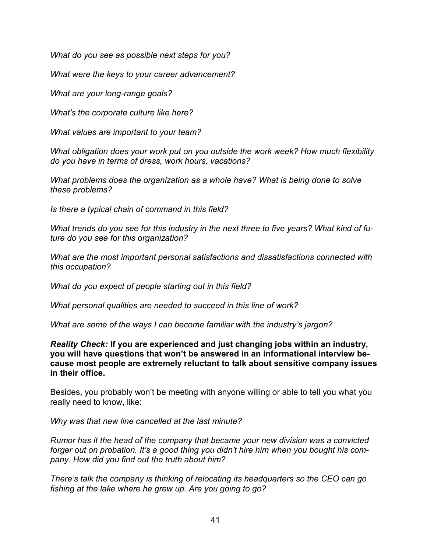What do you see as possible next steps for you?

What were the keys to your career advancement?

What are your long-range goals?

What's the corporate culture like here?

What values are important to your team?

What obligation does your work put on you outside the work week? How much flexibility do you have in terms of dress, work hours, vacations?

What problems does the organization as a whole have? What is being done to solve these problems?

Is there a typical chain of command in this field?

What trends do you see for this industry in the next three to five years? What kind of future do you see for this organization?

What are the most important personal satisfactions and dissatisfactions connected with this occupation?

What do you expect of people starting out in this field?

What personal qualities are needed to succeed in this line of work?

What are some of the ways I can become familiar with the industry's jargon?

Reality Check: If you are experienced and just changing jobs within an industry, you will have questions that won't be answered in an informational interview because most people are extremely reluctant to talk about sensitive company issues in their office.

Besides, you probably won't be meeting with anyone willing or able to tell you what you really need to know, like:

Why was that new line cancelled at the last minute?

Rumor has it the head of the company that became your new division was a convicted forger out on probation. It's a good thing you didn't hire him when you bought his company. How did you find out the truth about him?

There's talk the company is thinking of relocating its headquarters so the CEO can go fishing at the lake where he grew up. Are you going to go?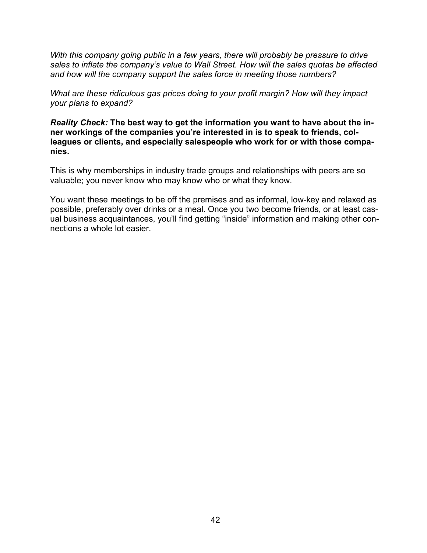With this company going public in a few years, there will probably be pressure to drive sales to inflate the company's value to Wall Street. How will the sales quotas be affected and how will the company support the sales force in meeting those numbers?

What are these ridiculous gas prices doing to your profit margin? How will they impact your plans to expand?

Reality Check: The best way to get the information you want to have about the inner workings of the companies you're interested in is to speak to friends, colleagues or clients, and especially salespeople who work for or with those companies.

This is why memberships in industry trade groups and relationships with peers are so valuable; you never know who may know who or what they know.

You want these meetings to be off the premises and as informal, low-key and relaxed as possible, preferably over drinks or a meal. Once you two become friends, or at least casual business acquaintances, you'll find getting "inside" information and making other connections a whole lot easier.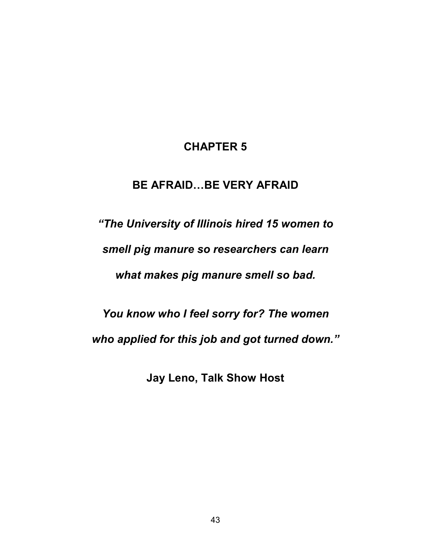# CHAPTER 5

# BE AFRAID…BE VERY AFRAID

# "The University of Illinois hired 15 women to smell pig manure so researchers can learn what makes pig manure smell so bad.

You know who I feel sorry for? The women who applied for this job and got turned down."

Jay Leno, Talk Show Host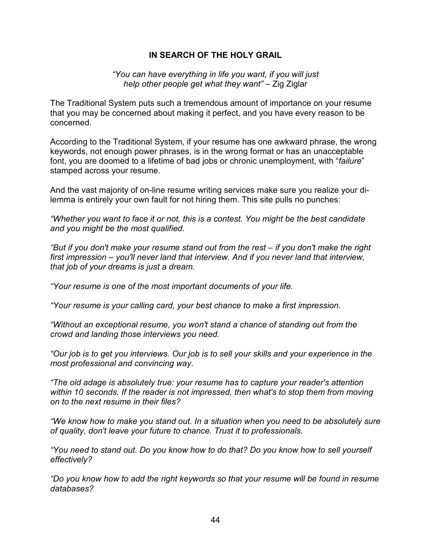# IN SEARCH OF THE HOLY GRAIL

"You can have everything in life you want, if you will just help other people get what they want" – Zig Ziglar

The Traditional System puts such a tremendous amount of importance on your resume that you may be concerned about making it perfect, and you have every reason to be concerned.

According to the Traditional System, if your resume has one awkward phrase, the wrong keywords, not enough power phrases, is in the wrong format or has an unacceptable font, you are doomed to a lifetime of bad jobs or chronic unemployment, with "failure" stamped across your resume.

And the vast majority of on-line resume writing services make sure you realize your dilemma is entirely your own fault for not hiring them. This site pulls no punches:

"Whether you want to face it or not, this is a contest. You might be the best candidate and you might be the most qualified.

"But if you don't make your resume stand out from the rest – if you don't make the right first impression – you'll never land that interview. And if you never land that interview, that job of your dreams is just a dream.

"Your resume is one of the most important documents of your life.

"Your resume is your calling card, your best chance to make a first impression.

"Without an exceptional resume, you won't stand a chance of standing out from the crowd and landing those interviews you need.

"Our job is to get you interviews. Our job is to sell your skills and your experience in the most professional and convincing way.

"The old adage is absolutely true: your resume has to capture your reader's attention within 10 seconds. If the reader is not impressed, then what's to stop them from moving on to the next resume in their files?

"We know how to make you stand out. In a situation when you need to be absolutely sure of quality, don't leave your future to chance. Trust it to professionals.

"You need to stand out. Do you know how to do that? Do you know how to sell yourself effectively?

"Do you know how to add the right keywords so that your resume will be found in resume databases?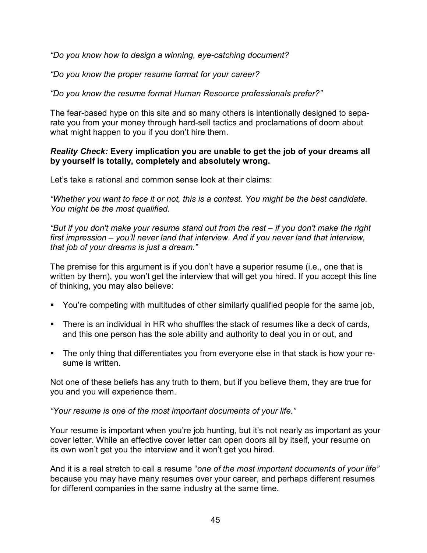"Do you know how to design a winning, eye-catching document?

"Do you know the proper resume format for your career?

"Do you know the resume format Human Resource professionals prefer?"

The fear-based hype on this site and so many others is intentionally designed to separate you from your money through hard-sell tactics and proclamations of doom about what might happen to you if you don't hire them.

### Reality Check: Every implication you are unable to get the job of your dreams all by yourself is totally, completely and absolutely wrong.

Let's take a rational and common sense look at their claims:

"Whether you want to face it or not, this is a contest. You might be the best candidate. You might be the most qualified.

"But if you don't make your resume stand out from the rest – if you don't make the right first impression – you'll never land that interview. And if you never land that interview, that job of your dreams is just a dream."

The premise for this argument is if you don't have a superior resume (i.e., one that is written by them), you won't get the interview that will get you hired. If you accept this line of thinking, you may also believe:

- You're competing with multitudes of other similarly qualified people for the same job,
- **There is an individual in HR who shuffles the stack of resumes like a deck of cards,** and this one person has the sole ability and authority to deal you in or out, and
- The only thing that differentiates you from everyone else in that stack is how your resume is written.

Not one of these beliefs has any truth to them, but if you believe them, they are true for you and you will experience them.

"Your resume is one of the most important documents of your life."

Your resume is important when you're job hunting, but it's not nearly as important as your cover letter. While an effective cover letter can open doors all by itself, your resume on its own won't get you the interview and it won't get you hired.

And it is a real stretch to call a resume "one of the most important documents of your life" because you may have many resumes over your career, and perhaps different resumes for different companies in the same industry at the same time.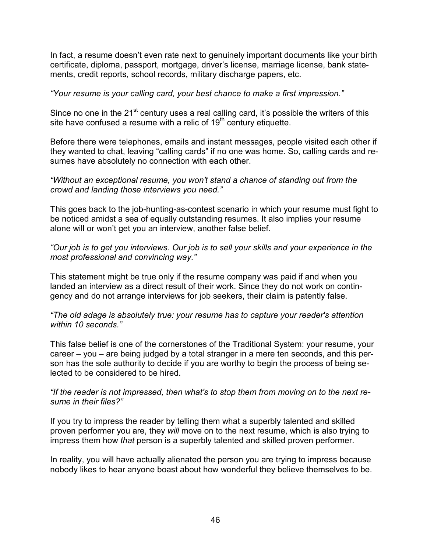In fact, a resume doesn't even rate next to genuinely important documents like your birth certificate, diploma, passport, mortgage, driver's license, marriage license, bank statements, credit reports, school records, military discharge papers, etc.

"Your resume is your calling card, your best chance to make a first impression."

Since no one in the  $21<sup>st</sup>$  century uses a real calling card, it's possible the writers of this site have confused a resume with a relic of  $19<sup>th</sup>$  century etiquette.

Before there were telephones, emails and instant messages, people visited each other if they wanted to chat, leaving "calling cards" if no one was home. So, calling cards and resumes have absolutely no connection with each other.

# "Without an exceptional resume, you won't stand a chance of standing out from the crowd and landing those interviews you need."

This goes back to the job-hunting-as-contest scenario in which your resume must fight to be noticed amidst a sea of equally outstanding resumes. It also implies your resume alone will or won't get you an interview, another false belief.

"Our job is to get you interviews. Our job is to sell your skills and your experience in the most professional and convincing way."

This statement might be true only if the resume company was paid if and when you landed an interview as a direct result of their work. Since they do not work on contingency and do not arrange interviews for job seekers, their claim is patently false.

"The old adage is absolutely true: your resume has to capture your reader's attention within 10 seconds."

This false belief is one of the cornerstones of the Traditional System: your resume, your career – you – are being judged by a total stranger in a mere ten seconds, and this person has the sole authority to decide if you are worthy to begin the process of being selected to be considered to be hired.

"If the reader is not impressed, then what's to stop them from moving on to the next resume in their files?"

If you try to impress the reader by telling them what a superbly talented and skilled proven performer you are, they will move on to the next resume, which is also trying to impress them how that person is a superbly talented and skilled proven performer.

In reality, you will have actually alienated the person you are trying to impress because nobody likes to hear anyone boast about how wonderful they believe themselves to be.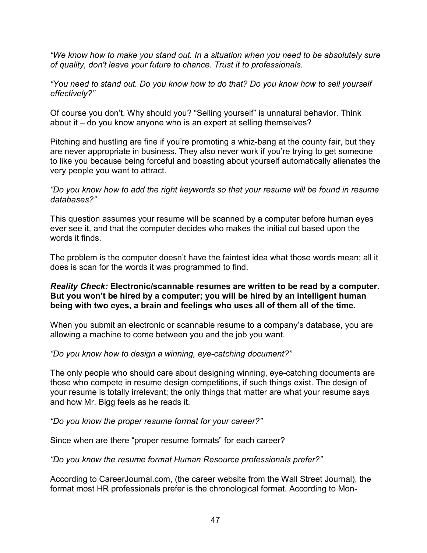"We know how to make you stand out. In a situation when you need to be absolutely sure of quality, don't leave your future to chance. Trust it to professionals.

"You need to stand out. Do you know how to do that? Do you know how to sell yourself effectively?"

Of course you don't. Why should you? "Selling yourself" is unnatural behavior. Think about it – do you know anyone who is an expert at selling themselves?

Pitching and hustling are fine if you're promoting a whiz-bang at the county fair, but they are never appropriate in business. They also never work if you're trying to get someone to like you because being forceful and boasting about yourself automatically alienates the very people you want to attract.

#### "Do you know how to add the right keywords so that your resume will be found in resume databases?"

This question assumes your resume will be scanned by a computer before human eyes ever see it, and that the computer decides who makes the initial cut based upon the words it finds.

The problem is the computer doesn't have the faintest idea what those words mean; all it does is scan for the words it was programmed to find.

#### Reality Check: Electronic/scannable resumes are written to be read by a computer. But you won't be hired by a computer; you will be hired by an intelligent human being with two eyes, a brain and feelings who uses all of them all of the time.

When you submit an electronic or scannable resume to a company's database, you are allowing a machine to come between you and the job you want.

"Do you know how to design a winning, eye-catching document?"

The only people who should care about designing winning, eye-catching documents are those who compete in resume design competitions, if such things exist. The design of your resume is totally irrelevant; the only things that matter are what your resume says and how Mr. Bigg feels as he reads it.

"Do you know the proper resume format for your career?"

Since when are there "proper resume formats" for each career?

"Do you know the resume format Human Resource professionals prefer?"

According to CareerJournal.com, (the career website from the Wall Street Journal), the format most HR professionals prefer is the chronological format. According to Mon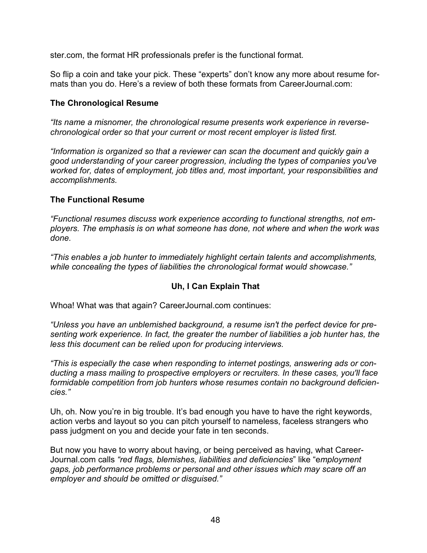ster.com, the format HR professionals prefer is the functional format.

So flip a coin and take your pick. These "experts" don't know any more about resume formats than you do. Here's a review of both these formats from CareerJournal.com:

#### The Chronological Resume

"Its name a misnomer, the chronological resume presents work experience in reversechronological order so that your current or most recent employer is listed first.

"Information is organized so that a reviewer can scan the document and quickly gain a good understanding of your career progression, including the types of companies you've worked for, dates of employment, job titles and, most important, your responsibilities and accomplishments.

#### The Functional Resume

"Functional resumes discuss work experience according to functional strengths, not employers. The emphasis is on what someone has done, not where and when the work was done.

"This enables a job hunter to immediately highlight certain talents and accomplishments, while concealing the types of liabilities the chronological format would showcase."

#### Uh, I Can Explain That

Whoa! What was that again? CareerJournal.com continues:

"Unless you have an unblemished background, a resume isn't the perfect device for presenting work experience. In fact, the greater the number of liabilities a job hunter has, the less this document can be relied upon for producing interviews.

"This is especially the case when responding to internet postings, answering ads or conducting a mass mailing to prospective employers or recruiters. In these cases, you'll face formidable competition from job hunters whose resumes contain no background deficiencies."

Uh, oh. Now you're in big trouble. It's bad enough you have to have the right keywords, action verbs and layout so you can pitch yourself to nameless, faceless strangers who pass judgment on you and decide your fate in ten seconds.

But now you have to worry about having, or being perceived as having, what Career-Journal.com calls "red flags, blemishes, liabilities and deficiencies" like "employment gaps, job performance problems or personal and other issues which may scare off an employer and should be omitted or disguised."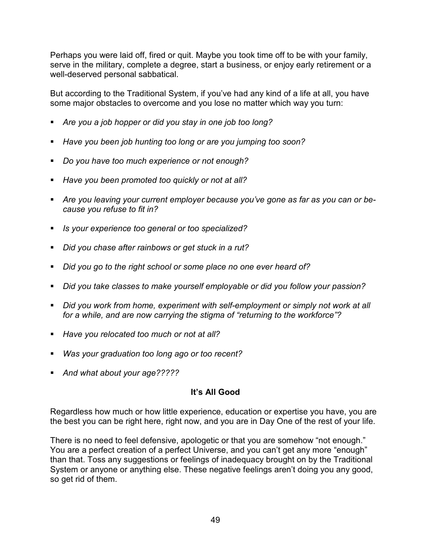Perhaps you were laid off, fired or quit. Maybe you took time off to be with your family, serve in the military, complete a degree, start a business, or enjoy early retirement or a well-deserved personal sabbatical.

But according to the Traditional System, if you've had any kind of a life at all, you have some major obstacles to overcome and you lose no matter which way you turn:

- Are you a job hopper or did you stay in one job too long?
- Have you been job hunting too long or are you jumping too soon?
- Do you have too much experience or not enough?
- Have you been promoted too quickly or not at all?
- Are you leaving your current employer because you've gone as far as you can or because you refuse to fit in?
- If Is your experience too general or too specialized?
- Did you chase after rainbows or get stuck in a rut?
- Did you go to the right school or some place no one ever heard of?
- Did you take classes to make yourself employable or did you follow your passion?
- Did you work from home, experiment with self-employment or simply not work at all for a while, and are now carrying the stigma of "returning to the workforce"?
- Have you relocated too much or not at all?
- Was your graduation too long ago or too recent?
- And what about your age?????

# It's All Good

Regardless how much or how little experience, education or expertise you have, you are the best you can be right here, right now, and you are in Day One of the rest of your life.

There is no need to feel defensive, apologetic or that you are somehow "not enough." You are a perfect creation of a perfect Universe, and you can't get any more "enough" than that. Toss any suggestions or feelings of inadequacy brought on by the Traditional System or anyone or anything else. These negative feelings aren't doing you any good, so get rid of them.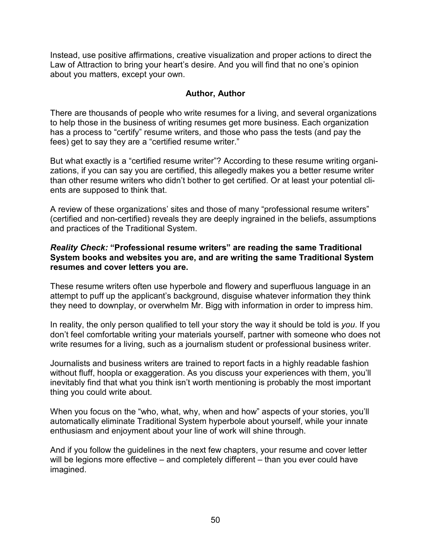Instead, use positive affirmations, creative visualization and proper actions to direct the Law of Attraction to bring your heart's desire. And you will find that no one's opinion about you matters, except your own.

### Author, Author

There are thousands of people who write resumes for a living, and several organizations to help those in the business of writing resumes get more business. Each organization has a process to "certify" resume writers, and those who pass the tests (and pay the fees) get to say they are a "certified resume writer."

But what exactly is a "certified resume writer"? According to these resume writing organizations, if you can say you are certified, this allegedly makes you a better resume writer than other resume writers who didn't bother to get certified. Or at least your potential clients are supposed to think that.

A review of these organizations' sites and those of many "professional resume writers" (certified and non-certified) reveals they are deeply ingrained in the beliefs, assumptions and practices of the Traditional System.

#### Reality Check: "Professional resume writers" are reading the same Traditional System books and websites you are, and are writing the same Traditional System resumes and cover letters you are.

These resume writers often use hyperbole and flowery and superfluous language in an attempt to puff up the applicant's background, disguise whatever information they think they need to downplay, or overwhelm Mr. Bigg with information in order to impress him.

In reality, the only person qualified to tell your story the way it should be told is you. If you don't feel comfortable writing your materials yourself, partner with someone who does not write resumes for a living, such as a journalism student or professional business writer.

Journalists and business writers are trained to report facts in a highly readable fashion without fluff, hoopla or exaggeration. As you discuss your experiences with them, you'll inevitably find that what you think isn't worth mentioning is probably the most important thing you could write about.

When you focus on the "who, what, why, when and how" aspects of your stories, you'll automatically eliminate Traditional System hyperbole about yourself, while your innate enthusiasm and enjoyment about your line of work will shine through.

And if you follow the guidelines in the next few chapters, your resume and cover letter will be legions more effective – and completely different – than you ever could have imagined.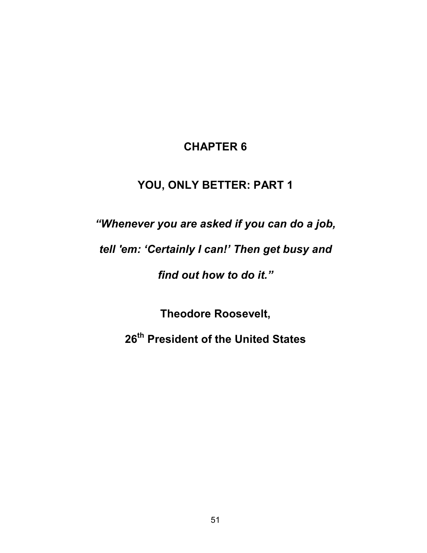# CHAPTER 6

# YOU, ONLY BETTER: PART 1

# "Whenever you are asked if you can do a job,

# tell 'em: 'Certainly I can!' Then get busy and

find out how to do it."

Theodore Roosevelt,

26<sup>th</sup> President of the United States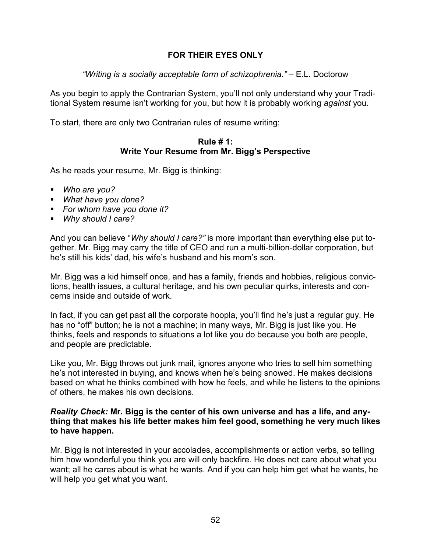# FOR THEIR EYES ONLY

"Writing is a socially acceptable form of schizophrenia." – E.L. Doctorow

As you begin to apply the Contrarian System, you'll not only understand why your Traditional System resume isn't working for you, but how it is probably working against you.

To start, there are only two Contrarian rules of resume writing:

#### Rule # 1: Write Your Resume from Mr. Bigg's Perspective

As he reads your resume, Mr. Bigg is thinking:

- Who are you?
- **What have you done?**
- **For whom have you done it?**
- **Why should I care?**

And you can believe "Why should I care?" is more important than everything else put together. Mr. Bigg may carry the title of CEO and run a multi-billion-dollar corporation, but he's still his kids' dad, his wife's husband and his mom's son.

Mr. Bigg was a kid himself once, and has a family, friends and hobbies, religious convictions, health issues, a cultural heritage, and his own peculiar quirks, interests and concerns inside and outside of work.

In fact, if you can get past all the corporate hoopla, you'll find he's just a regular guy. He has no "off" button; he is not a machine; in many ways, Mr. Bigg is just like you. He thinks, feels and responds to situations a lot like you do because you both are people, and people are predictable.

Like you, Mr. Bigg throws out junk mail, ignores anyone who tries to sell him something he's not interested in buying, and knows when he's being snowed. He makes decisions based on what he thinks combined with how he feels, and while he listens to the opinions of others, he makes his own decisions.

#### Reality Check: Mr. Bigg is the center of his own universe and has a life, and anything that makes his life better makes him feel good, something he very much likes to have happen.

Mr. Bigg is not interested in your accolades, accomplishments or action verbs, so telling him how wonderful you think you are will only backfire. He does not care about what you want; all he cares about is what he wants. And if you can help him get what he wants, he will help you get what you want.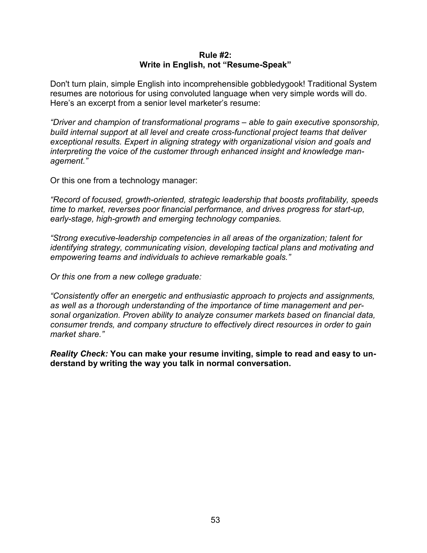#### Rule #2: Write in English, not "Resume-Speak"

Don't turn plain, simple English into incomprehensible gobbledygook! Traditional System resumes are notorious for using convoluted language when very simple words will do. Here's an excerpt from a senior level marketer's resume:

"Driver and champion of transformational programs – able to gain executive sponsorship, build internal support at all level and create cross-functional project teams that deliver exceptional results. Expert in aligning strategy with organizational vision and goals and interpreting the voice of the customer through enhanced insight and knowledge management."

Or this one from a technology manager:

"Record of focused, growth-oriented, strategic leadership that boosts profitability, speeds time to market, reverses poor financial performance, and drives progress for start-up, early-stage, high-growth and emerging technology companies.

"Strong executive-leadership competencies in all areas of the organization; talent for identifying strategy, communicating vision, developing tactical plans and motivating and empowering teams and individuals to achieve remarkable goals."

Or this one from a new college graduate:

"Consistently offer an energetic and enthusiastic approach to projects and assignments, as well as a thorough understanding of the importance of time management and personal organization. Proven ability to analyze consumer markets based on financial data, consumer trends, and company structure to effectively direct resources in order to gain market share."

Reality Check: You can make your resume inviting, simple to read and easy to understand by writing the way you talk in normal conversation.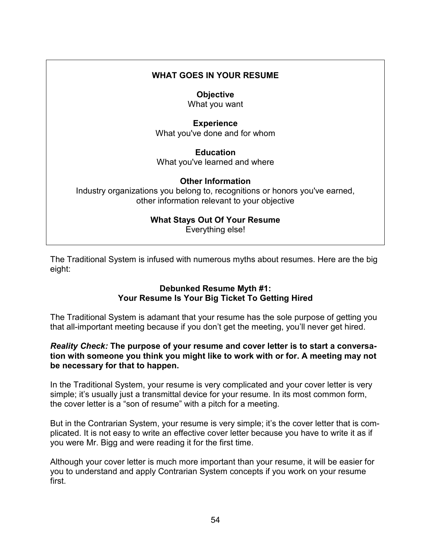# WHAT GOES IN YOUR RESUME

#### **Objective**

What you want

# **Experience**

What you've done and for whom

**Education** What you've learned and where

#### Other Information

Industry organizations you belong to, recognitions or honors you've earned, other information relevant to your objective

# What Stays Out Of Your Resume

Everything else!

The Traditional System is infused with numerous myths about resumes. Here are the big eight:

# Debunked Resume Myth #1: Your Resume Is Your Big Ticket To Getting Hired

The Traditional System is adamant that your resume has the sole purpose of getting you that all-important meeting because if you don't get the meeting, you'll never get hired.

#### Reality Check: The purpose of your resume and cover letter is to start a conversation with someone you think you might like to work with or for. A meeting may not be necessary for that to happen.

In the Traditional System, your resume is very complicated and your cover letter is very simple; it's usually just a transmittal device for your resume. In its most common form, the cover letter is a "son of resume" with a pitch for a meeting.

But in the Contrarian System, your resume is very simple; it's the cover letter that is complicated. It is not easy to write an effective cover letter because you have to write it as if you were Mr. Bigg and were reading it for the first time.

Although your cover letter is much more important than your resume, it will be easier for you to understand and apply Contrarian System concepts if you work on your resume first.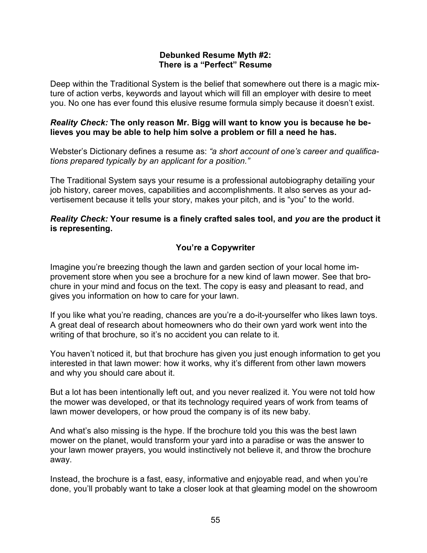#### Debunked Resume Myth #2: There is a "Perfect" Resume

Deep within the Traditional System is the belief that somewhere out there is a magic mixture of action verbs, keywords and layout which will fill an employer with desire to meet you. No one has ever found this elusive resume formula simply because it doesn't exist.

#### Reality Check: The only reason Mr. Bigg will want to know you is because he believes you may be able to help him solve a problem or fill a need he has.

Webster's Dictionary defines a resume as: "a short account of one's career and qualifications prepared typically by an applicant for a position."

The Traditional System says your resume is a professional autobiography detailing your job history, career moves, capabilities and accomplishments. It also serves as your advertisement because it tells your story, makes your pitch, and is "you" to the world.

# Reality Check: Your resume is a finely crafted sales tool, and you are the product it is representing.

# You're a Copywriter

Imagine you're breezing though the lawn and garden section of your local home improvement store when you see a brochure for a new kind of lawn mower. See that brochure in your mind and focus on the text. The copy is easy and pleasant to read, and gives you information on how to care for your lawn.

If you like what you're reading, chances are you're a do-it-yourselfer who likes lawn toys. A great deal of research about homeowners who do their own yard work went into the writing of that brochure, so it's no accident you can relate to it.

You haven't noticed it, but that brochure has given you just enough information to get you interested in that lawn mower: how it works, why it's different from other lawn mowers and why you should care about it.

But a lot has been intentionally left out, and you never realized it. You were not told how the mower was developed, or that its technology required years of work from teams of lawn mower developers, or how proud the company is of its new baby.

And what's also missing is the hype. If the brochure told you this was the best lawn mower on the planet, would transform your yard into a paradise or was the answer to your lawn mower prayers, you would instinctively not believe it, and throw the brochure away.

Instead, the brochure is a fast, easy, informative and enjoyable read, and when you're done, you'll probably want to take a closer look at that gleaming model on the showroom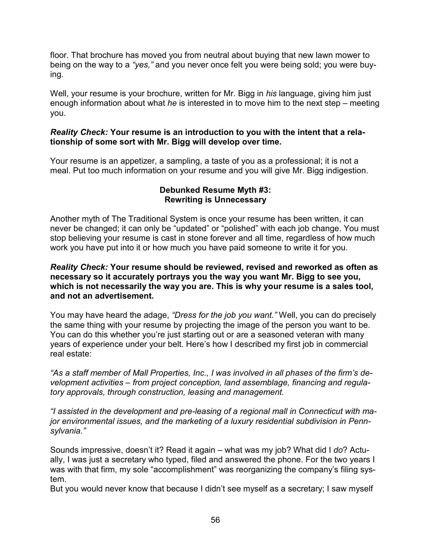floor. That brochure has moved you from neutral about buying that new lawn mower to being on the way to a "yes," and you never once felt you were being sold; you were buying.

Well, your resume is your brochure, written for Mr. Bigg in his language, giving him just enough information about what he is interested in to move him to the next step – meeting you.

### Reality Check: Your resume is an introduction to you with the intent that a relationship of some sort with Mr. Bigg will develop over time.

Your resume is an appetizer, a sampling, a taste of you as a professional; it is not a meal. Put too much information on your resume and you will give Mr. Bigg indigestion.

# Debunked Resume Myth #3: Rewriting is Unnecessary

Another myth of The Traditional System is once your resume has been written, it can never be changed; it can only be "updated" or "polished" with each job change. You must stop believing your resume is cast in stone forever and all time, regardless of how much work you have put into it or how much you have paid someone to write it for you.

### Reality Check: Your resume should be reviewed, revised and reworked as often as necessary so it accurately portrays you the way you want Mr. Bigg to see you, which is not necessarily the way you are. This is why your resume is a sales tool, and not an advertisement.

You may have heard the adage, "Dress for the job you want." Well, you can do precisely the same thing with your resume by projecting the image of the person you want to be. You can do this whether you're just starting out or are a seasoned veteran with many years of experience under your belt. Here's how I described my first job in commercial real estate:

"As a staff member of Mall Properties, Inc., I was involved in all phases of the firm's development activities – from project conception, land assemblage, financing and regulatory approvals, through construction, leasing and management.

"I assisted in the development and pre-leasing of a regional mall in Connecticut with major environmental issues, and the marketing of a luxury residential subdivision in Pennsylvania."

Sounds impressive, doesn't it? Read it again – what was my job? What did I do? Actually, I was just a secretary who typed, filed and answered the phone. For the two years I was with that firm, my sole "accomplishment" was reorganizing the company's filing system.

But you would never know that because I didn't see myself as a secretary; I saw myself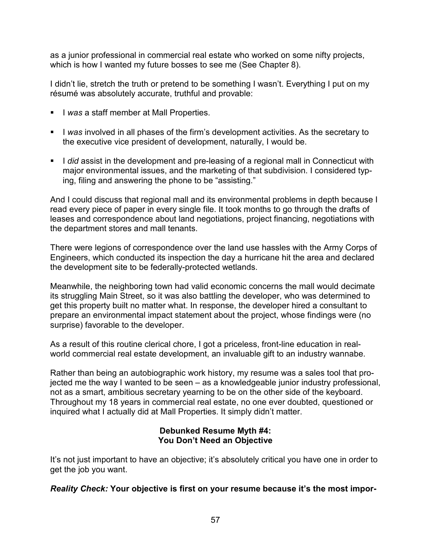as a junior professional in commercial real estate who worked on some nifty projects, which is how I wanted my future bosses to see me (See Chapter 8).

I didn't lie, stretch the truth or pretend to be something I wasn't. Everything I put on my résumé was absolutely accurate, truthful and provable:

- I was a staff member at Mall Properties.
- I was involved in all phases of the firm's development activities. As the secretary to the executive vice president of development, naturally, I would be.
- I did assist in the development and pre-leasing of a regional mall in Connecticut with major environmental issues, and the marketing of that subdivision. I considered typing, filing and answering the phone to be "assisting."

And I could discuss that regional mall and its environmental problems in depth because I read every piece of paper in every single file. It took months to go through the drafts of leases and correspondence about land negotiations, project financing, negotiations with the department stores and mall tenants.

There were legions of correspondence over the land use hassles with the Army Corps of Engineers, which conducted its inspection the day a hurricane hit the area and declared the development site to be federally-protected wetlands.

Meanwhile, the neighboring town had valid economic concerns the mall would decimate its struggling Main Street, so it was also battling the developer, who was determined to get this property built no matter what. In response, the developer hired a consultant to prepare an environmental impact statement about the project, whose findings were (no surprise) favorable to the developer.

As a result of this routine clerical chore, I got a priceless, front-line education in realworld commercial real estate development, an invaluable gift to an industry wannabe.

Rather than being an autobiographic work history, my resume was a sales tool that projected me the way I wanted to be seen – as a knowledgeable junior industry professional, not as a smart, ambitious secretary yearning to be on the other side of the keyboard. Throughout my 18 years in commercial real estate, no one ever doubted, questioned or inquired what I actually did at Mall Properties. It simply didn't matter.

# Debunked Resume Myth #4: You Don't Need an Objective

It's not just important to have an objective; it's absolutely critical you have one in order to get the job you want.

# Reality Check: Your objective is first on your resume because it's the most impor-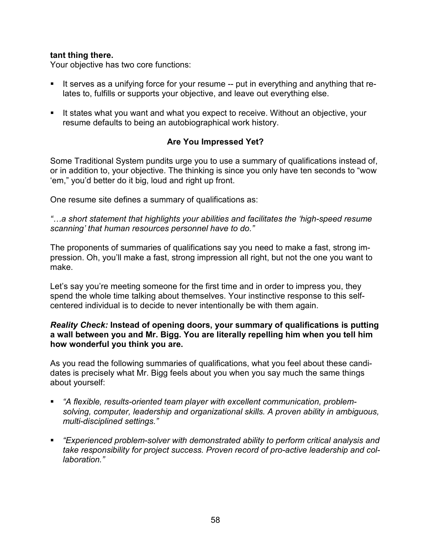#### tant thing there.

Your objective has two core functions:

- It serves as a unifying force for your resume -- put in everything and anything that relates to, fulfills or supports your objective, and leave out everything else.
- It states what you want and what you expect to receive. Without an objective, your resume defaults to being an autobiographical work history.

#### Are You Impressed Yet?

Some Traditional System pundits urge you to use a summary of qualifications instead of, or in addition to, your objective. The thinking is since you only have ten seconds to "wow 'em," you'd better do it big, loud and right up front.

One resume site defines a summary of qualifications as:

"…a short statement that highlights your abilities and facilitates the 'high-speed resume scanning' that human resources personnel have to do."

The proponents of summaries of qualifications say you need to make a fast, strong impression. Oh, you'll make a fast, strong impression all right, but not the one you want to make.

Let's say you're meeting someone for the first time and in order to impress you, they spend the whole time talking about themselves. Your instinctive response to this selfcentered individual is to decide to never intentionally be with them again.

#### Reality Check: Instead of opening doors, your summary of qualifications is putting a wall between you and Mr. Bigg. You are literally repelling him when you tell him how wonderful you think you are.

As you read the following summaries of qualifications, what you feel about these candidates is precisely what Mr. Bigg feels about you when you say much the same things about yourself:

- "A flexible, results-oriented team player with excellent communication, problemsolving, computer, leadership and organizational skills. A proven ability in ambiguous, multi-disciplined settings."
- "Experienced problem-solver with demonstrated ability to perform critical analysis and take responsibility for project success. Proven record of pro-active leadership and collaboration<sup>"</sup>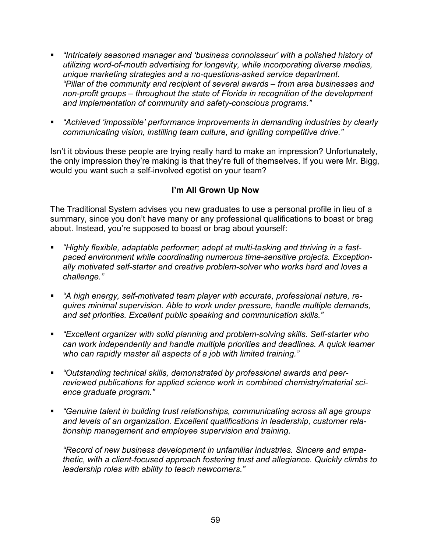- "Intricately seasoned manager and 'business connoisseur' with a polished history of utilizing word-of-mouth advertising for longevity, while incorporating diverse medias, unique marketing strategies and a no-questions-asked service department. "Pillar of the community and recipient of several awards – from area businesses and non-profit groups – throughout the state of Florida in recognition of the development and implementation of community and safety-conscious programs."
- "Achieved 'impossible' performance improvements in demanding industries by clearly communicating vision, instilling team culture, and igniting competitive drive."

Isn't it obvious these people are trying really hard to make an impression? Unfortunately, the only impression they're making is that they're full of themselves. If you were Mr. Bigg, would you want such a self-involved egotist on your team?

# I'm All Grown Up Now

The Traditional System advises you new graduates to use a personal profile in lieu of a summary, since you don't have many or any professional qualifications to boast or brag about. Instead, you're supposed to boast or brag about yourself:

- "Highly flexible, adaptable performer; adept at multi-tasking and thriving in a fastpaced environment while coordinating numerous time-sensitive projects. Exceptionally motivated self-starter and creative problem-solver who works hard and loves a challenge."
- "A high energy, self-motivated team player with accurate, professional nature, requires minimal supervision. Able to work under pressure, handle multiple demands, and set priorities. Excellent public speaking and communication skills."
- "Excellent organizer with solid planning and problem-solving skills. Self-starter who can work independently and handle multiple priorities and deadlines. A quick learner who can rapidly master all aspects of a job with limited training."
- "Outstanding technical skills, demonstrated by professional awards and peerreviewed publications for applied science work in combined chemistry/material science graduate program."
- "Genuine talent in building trust relationships, communicating across all age groups and levels of an organization. Excellent qualifications in leadership, customer relationship management and employee supervision and training.

"Record of new business development in unfamiliar industries. Sincere and empathetic, with a client-focused approach fostering trust and allegiance. Quickly climbs to leadership roles with ability to teach newcomers."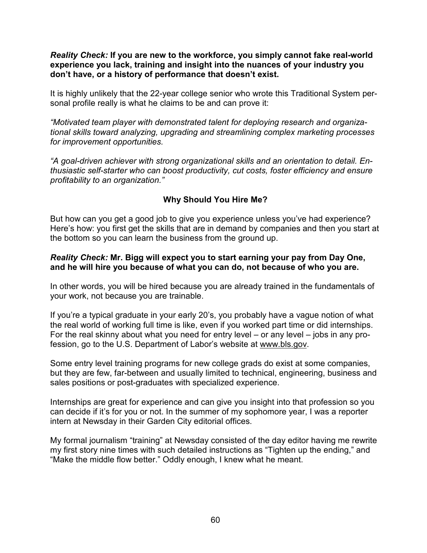Reality Check: If you are new to the workforce, you simply cannot fake real-world experience you lack, training and insight into the nuances of your industry you don't have, or a history of performance that doesn't exist.

It is highly unlikely that the 22-year college senior who wrote this Traditional System personal profile really is what he claims to be and can prove it:

"Motivated team player with demonstrated talent for deploying research and organizational skills toward analyzing, upgrading and streamlining complex marketing processes for improvement opportunities.

"A goal-driven achiever with strong organizational skills and an orientation to detail. Enthusiastic self-starter who can boost productivity, cut costs, foster efficiency and ensure profitability to an organization."

# Why Should You Hire Me?

But how can you get a good job to give you experience unless you've had experience? Here's how: you first get the skills that are in demand by companies and then you start at the bottom so you can learn the business from the ground up.

#### Reality Check: Mr. Bigg will expect you to start earning your pay from Day One, and he will hire you because of what you can do, not because of who you are.

In other words, you will be hired because you are already trained in the fundamentals of your work, not because you are trainable.

If you're a typical graduate in your early 20's, you probably have a vague notion of what the real world of working full time is like, even if you worked part time or did internships. For the real skinny about what you need for entry level – or any level – jobs in any profession, go to the U.S. Department of Labor's website at www.bls.gov.

Some entry level training programs for new college grads do exist at some companies, but they are few, far-between and usually limited to technical, engineering, business and sales positions or post-graduates with specialized experience.

Internships are great for experience and can give you insight into that profession so you can decide if it's for you or not. In the summer of my sophomore year, I was a reporter intern at Newsday in their Garden City editorial offices.

My formal journalism "training" at Newsday consisted of the day editor having me rewrite my first story nine times with such detailed instructions as "Tighten up the ending," and "Make the middle flow better." Oddly enough, I knew what he meant.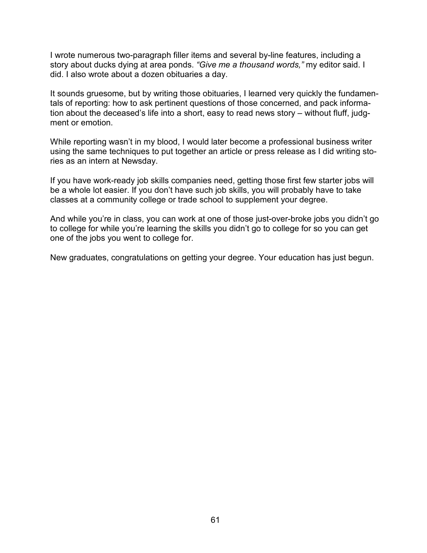I wrote numerous two-paragraph filler items and several by-line features, including a story about ducks dying at area ponds. "Give me a thousand words," my editor said. I did. I also wrote about a dozen obituaries a day.

It sounds gruesome, but by writing those obituaries, I learned very quickly the fundamentals of reporting: how to ask pertinent questions of those concerned, and pack information about the deceased's life into a short, easy to read news story – without fluff, judgment or emotion.

While reporting wasn't in my blood, I would later become a professional business writer using the same techniques to put together an article or press release as I did writing stories as an intern at Newsday.

If you have work-ready job skills companies need, getting those first few starter jobs will be a whole lot easier. If you don't have such job skills, you will probably have to take classes at a community college or trade school to supplement your degree.

And while you're in class, you can work at one of those just-over-broke jobs you didn't go to college for while you're learning the skills you didn't go to college for so you can get one of the jobs you went to college for.

New graduates, congratulations on getting your degree. Your education has just begun.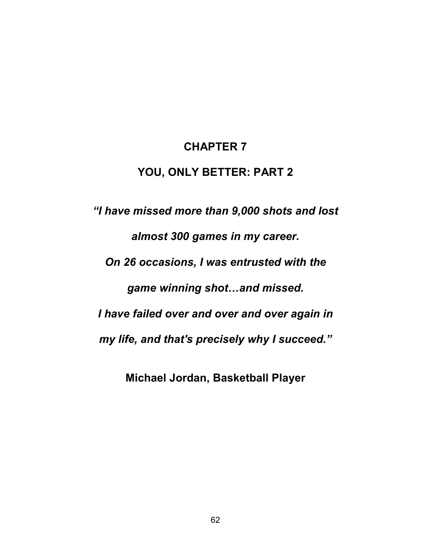# CHAPTER 7

# YOU, ONLY BETTER: PART 2

"I have missed more than 9,000 shots and lost almost 300 games in my career. On 26 occasions, I was entrusted with the game winning shot…and missed. I have failed over and over and over again in my life, and that's precisely why I succeed."

Michael Jordan, Basketball Player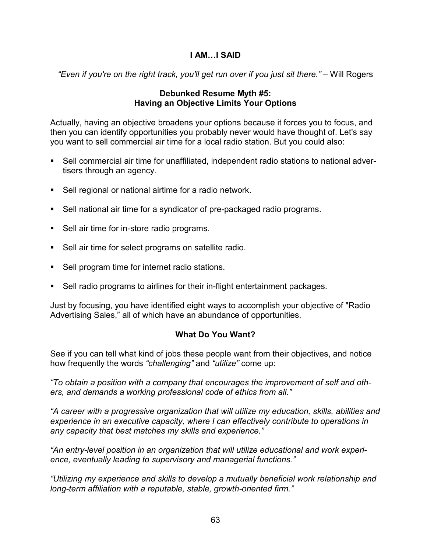# I AM…I SAID

"Even if you're on the right track, you'll get run over if you just sit there." – Will Rogers

### Debunked Resume Myth #5: Having an Objective Limits Your Options

Actually, having an objective broadens your options because it forces you to focus, and then you can identify opportunities you probably never would have thought of. Let's say you want to sell commercial air time for a local radio station. But you could also:

- Sell commercial air time for unaffiliated, independent radio stations to national advertisers through an agency.
- Sell regional or national airtime for a radio network.
- Sell national air time for a syndicator of pre-packaged radio programs.
- Sell air time for in-store radio programs.
- Sell air time for select programs on satellite radio.
- Sell program time for internet radio stations.
- Sell radio programs to airlines for their in-flight entertainment packages.

Just by focusing, you have identified eight ways to accomplish your objective of "Radio Advertising Sales," all of which have an abundance of opportunities.

# What Do You Want?

See if you can tell what kind of jobs these people want from their objectives, and notice how frequently the words "challenging" and "utilize" come up:

"To obtain a position with a company that encourages the improvement of self and others, and demands a working professional code of ethics from all."

"A career with a progressive organization that will utilize my education, skills, abilities and experience in an executive capacity, where I can effectively contribute to operations in any capacity that best matches my skills and experience."

"An entry-level position in an organization that will utilize educational and work experience, eventually leading to supervisory and managerial functions."

"Utilizing my experience and skills to develop a mutually beneficial work relationship and long-term affiliation with a reputable, stable, growth-oriented firm."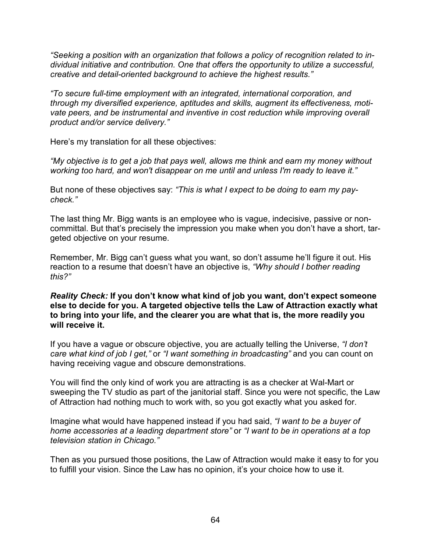"Seeking a position with an organization that follows a policy of recognition related to individual initiative and contribution. One that offers the opportunity to utilize a successful, creative and detail-oriented background to achieve the highest results."

"To secure full-time employment with an integrated, international corporation, and through my diversified experience, aptitudes and skills, augment its effectiveness, motivate peers, and be instrumental and inventive in cost reduction while improving overall product and/or service delivery."

Here's my translation for all these objectives:

"My objective is to get a job that pays well, allows me think and earn my money without working too hard, and won't disappear on me until and unless I'm ready to leave it."

But none of these objectives say: "This is what I expect to be doing to earn my paycheck."

The last thing Mr. Bigg wants is an employee who is vague, indecisive, passive or noncommittal. But that's precisely the impression you make when you don't have a short, targeted objective on your resume.

Remember, Mr. Bigg can't guess what you want, so don't assume he'll figure it out. His reaction to a resume that doesn't have an objective is, "Why should I bother reading this?"

Reality Check: If you don't know what kind of job you want, don't expect someone else to decide for you. A targeted objective tells the Law of Attraction exactly what to bring into your life, and the clearer you are what that is, the more readily you will receive it.

If you have a vague or obscure objective, you are actually telling the Universe, "I don't care what kind of job I get," or "I want something in broadcasting" and you can count on having receiving vague and obscure demonstrations.

You will find the only kind of work you are attracting is as a checker at Wal-Mart or sweeping the TV studio as part of the janitorial staff. Since you were not specific, the Law of Attraction had nothing much to work with, so you got exactly what you asked for.

Imagine what would have happened instead if you had said, "I want to be a buyer of home accessories at a leading department store" or "I want to be in operations at a top television station in Chicago."

Then as you pursued those positions, the Law of Attraction would make it easy to for you to fulfill your vision. Since the Law has no opinion, it's your choice how to use it.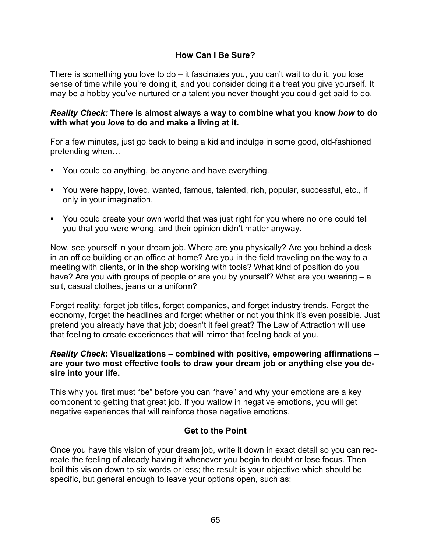# How Can I Be Sure?

There is something you love to do – it fascinates you, you can't wait to do it, you lose sense of time while you're doing it, and you consider doing it a treat you give yourself. It may be a hobby you've nurtured or a talent you never thought you could get paid to do.

#### Reality Check: There is almost always a way to combine what you know how to do with what you love to do and make a living at it.

For a few minutes, just go back to being a kid and indulge in some good, old-fashioned pretending when…

- You could do anything, be anyone and have everything.
- You were happy, loved, wanted, famous, talented, rich, popular, successful, etc., if only in your imagination.
- You could create your own world that was just right for you where no one could tell you that you were wrong, and their opinion didn't matter anyway.

Now, see yourself in your dream job. Where are you physically? Are you behind a desk in an office building or an office at home? Are you in the field traveling on the way to a meeting with clients, or in the shop working with tools? What kind of position do you have? Are you with groups of people or are you by yourself? What are you wearing – a suit, casual clothes, jeans or a uniform?

Forget reality: forget job titles, forget companies, and forget industry trends. Forget the economy, forget the headlines and forget whether or not you think it's even possible. Just pretend you already have that job; doesn't it feel great? The Law of Attraction will use that feeling to create experiences that will mirror that feeling back at you.

#### Reality Check: Visualizations – combined with positive, empowering affirmations – are your two most effective tools to draw your dream job or anything else you desire into your life.

This why you first must "be" before you can "have" and why your emotions are a key component to getting that great job. If you wallow in negative emotions, you will get negative experiences that will reinforce those negative emotions.

# Get to the Point

Once you have this vision of your dream job, write it down in exact detail so you can recreate the feeling of already having it whenever you begin to doubt or lose focus. Then boil this vision down to six words or less; the result is your objective which should be specific, but general enough to leave your options open, such as: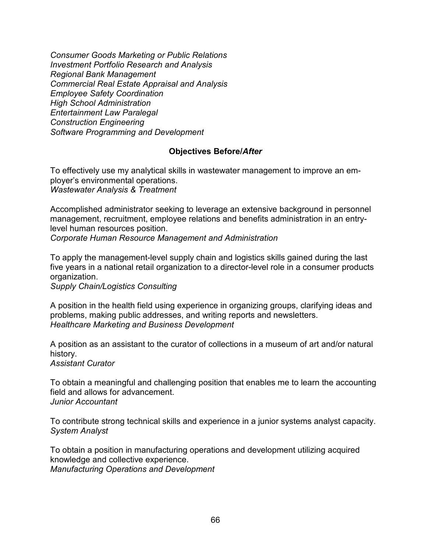Consumer Goods Marketing or Public Relations Investment Portfolio Research and Analysis Regional Bank Management Commercial Real Estate Appraisal and Analysis Employee Safety Coordination High School Administration Entertainment Law Paralegal Construction Engineering Software Programming and Development

# Objectives Before/After

To effectively use my analytical skills in wastewater management to improve an employer's environmental operations. Wastewater Analysis & Treatment

Accomplished administrator seeking to leverage an extensive background in personnel management, recruitment, employee relations and benefits administration in an entrylevel human resources position. Corporate Human Resource Management and Administration

To apply the management-level supply chain and logistics skills gained during the last five years in a national retail organization to a director-level role in a consumer products organization.

Supply Chain/Logistics Consulting

A position in the health field using experience in organizing groups, clarifying ideas and problems, making public addresses, and writing reports and newsletters. Healthcare Marketing and Business Development

A position as an assistant to the curator of collections in a museum of art and/or natural history.

Assistant Curator

To obtain a meaningful and challenging position that enables me to learn the accounting field and allows for advancement. Junior Accountant

To contribute strong technical skills and experience in a junior systems analyst capacity. System Analyst

To obtain a position in manufacturing operations and development utilizing acquired knowledge and collective experience. Manufacturing Operations and Development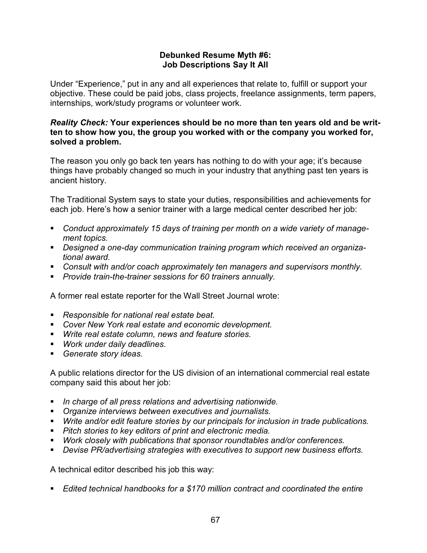#### Debunked Resume Myth #6: Job Descriptions Say It All

Under "Experience," put in any and all experiences that relate to, fulfill or support your objective. These could be paid jobs, class projects, freelance assignments, term papers, internships, work/study programs or volunteer work.

#### Reality Check: Your experiences should be no more than ten years old and be written to show how you, the group you worked with or the company you worked for, solved a problem.

The reason you only go back ten years has nothing to do with your age; it's because things have probably changed so much in your industry that anything past ten years is ancient history.

The Traditional System says to state your duties, responsibilities and achievements for each job. Here's how a senior trainer with a large medical center described her job:

- Conduct approximately 15 days of training per month on a wide variety of management topics.
- **Designed a one-day communication training program which received an organiza**tional award.
- **Consult with and/or coach approximately ten managers and supervisors monthly.**
- **Provide train-the-trainer sessions for 60 trainers annually.**

A former real estate reporter for the Wall Street Journal wrote:

- **Responsible for national real estate beat.**
- **Cover New York real estate and economic development.**
- **Write real estate column, news and feature stories.**
- Work under daily deadlines.
- **Generate story ideas.**

A public relations director for the US division of an international commercial real estate company said this about her job:

- In charge of all press relations and advertising nationwide.
- **Organize interviews between executives and journalists.**
- Write and/or edit feature stories by our principals for inclusion in trade publications.
- **Pitch stories to key editors of print and electronic media.**
- **Work closely with publications that sponsor roundtables and/or conferences.**
- Devise PR/advertising strategies with executives to support new business efforts.

A technical editor described his job this way:

**Edited technical handbooks for a \$170 million contract and coordinated the entire**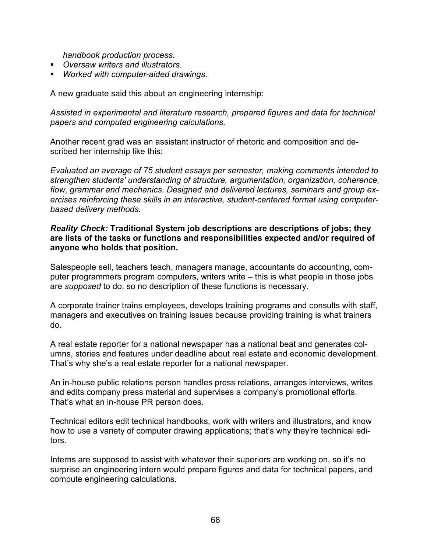handbook production process.

- **Oversaw writers and illustrators.**
- **Worked with computer-aided drawings.**

A new graduate said this about an engineering internship:

Assisted in experimental and literature research, prepared figures and data for technical papers and computed engineering calculations.

Another recent grad was an assistant instructor of rhetoric and composition and described her internship like this:

Evaluated an average of 75 student essays per semester, making comments intended to strengthen students' understanding of structure, argumentation, organization, coherence, flow, grammar and mechanics. Designed and delivered lectures, seminars and group exercises reinforcing these skills in an interactive, student-centered format using computerbased delivery methods.

#### Reality Check: Traditional System job descriptions are descriptions of jobs; they are lists of the tasks or functions and responsibilities expected and/or required of anyone who holds that position.

Salespeople sell, teachers teach, managers manage, accountants do accounting, computer programmers program computers, writers write – this is what people in those jobs are supposed to do, so no description of these functions is necessary.

A corporate trainer trains employees, develops training programs and consults with staff, managers and executives on training issues because providing training is what trainers do.

A real estate reporter for a national newspaper has a national beat and generates columns, stories and features under deadline about real estate and economic development. That's why she's a real estate reporter for a national newspaper.

An in-house public relations person handles press relations, arranges interviews, writes and edits company press material and supervises a company's promotional efforts. That's what an in-house PR person does.

Technical editors edit technical handbooks, work with writers and illustrators, and know how to use a variety of computer drawing applications; that's why they're technical editors.

Interns are supposed to assist with whatever their superiors are working on, so it's no surprise an engineering intern would prepare figures and data for technical papers, and compute engineering calculations.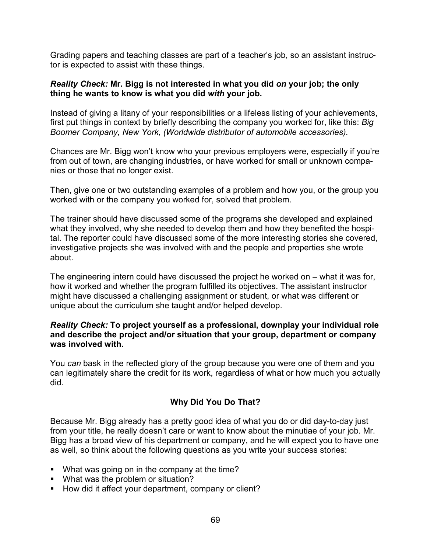Grading papers and teaching classes are part of a teacher's job, so an assistant instructor is expected to assist with these things.

#### Reality Check: Mr. Bigg is not interested in what you did on your job; the only thing he wants to know is what you did with your job.

Instead of giving a litany of your responsibilities or a lifeless listing of your achievements, first put things in context by briefly describing the company you worked for, like this: Big Boomer Company, New York, (Worldwide distributor of automobile accessories).

Chances are Mr. Bigg won't know who your previous employers were, especially if you're from out of town, are changing industries, or have worked for small or unknown companies or those that no longer exist.

Then, give one or two outstanding examples of a problem and how you, or the group you worked with or the company you worked for, solved that problem.

The trainer should have discussed some of the programs she developed and explained what they involved, why she needed to develop them and how they benefited the hospital. The reporter could have discussed some of the more interesting stories she covered, investigative projects she was involved with and the people and properties she wrote about.

The engineering intern could have discussed the project he worked on – what it was for, how it worked and whether the program fulfilled its objectives. The assistant instructor might have discussed a challenging assignment or student, or what was different or unique about the curriculum she taught and/or helped develop.

#### Reality Check: To project yourself as a professional, downplay your individual role and describe the project and/or situation that your group, department or company was involved with.

You can bask in the reflected glory of the group because you were one of them and you can legitimately share the credit for its work, regardless of what or how much you actually did.

# Why Did You Do That?

Because Mr. Bigg already has a pretty good idea of what you do or did day-to-day just from your title, he really doesn't care or want to know about the minutiae of your job. Mr. Bigg has a broad view of his department or company, and he will expect you to have one as well, so think about the following questions as you write your success stories:

- **What was going on in the company at the time?**
- **What was the problem or situation?**
- How did it affect your department, company or client?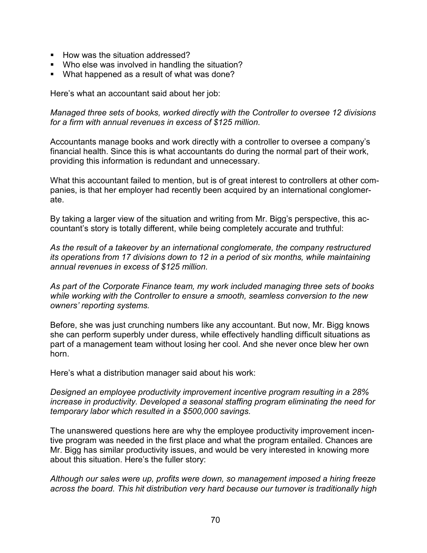- How was the situation addressed?
- Who else was involved in handling the situation?
- What happened as a result of what was done?

Here's what an accountant said about her job:

Managed three sets of books, worked directly with the Controller to oversee 12 divisions for a firm with annual revenues in excess of \$125 million.

Accountants manage books and work directly with a controller to oversee a company's financial health. Since this is what accountants do during the normal part of their work, providing this information is redundant and unnecessary.

What this accountant failed to mention, but is of great interest to controllers at other companies, is that her employer had recently been acquired by an international conglomerate.

By taking a larger view of the situation and writing from Mr. Bigg's perspective, this accountant's story is totally different, while being completely accurate and truthful:

As the result of a takeover by an international conglomerate, the company restructured its operations from 17 divisions down to 12 in a period of six months, while maintaining annual revenues in excess of \$125 million.

As part of the Corporate Finance team, my work included managing three sets of books while working with the Controller to ensure a smooth, seamless conversion to the new owners' reporting systems.

Before, she was just crunching numbers like any accountant. But now, Mr. Bigg knows she can perform superbly under duress, while effectively handling difficult situations as part of a management team without losing her cool. And she never once blew her own horn.

Here's what a distribution manager said about his work:

Designed an employee productivity improvement incentive program resulting in a 28% increase in productivity. Developed a seasonal staffing program eliminating the need for temporary labor which resulted in a \$500,000 savings.

The unanswered questions here are why the employee productivity improvement incentive program was needed in the first place and what the program entailed. Chances are Mr. Bigg has similar productivity issues, and would be very interested in knowing more about this situation. Here's the fuller story:

Although our sales were up, profits were down, so management imposed a hiring freeze across the board. This hit distribution very hard because our turnover is traditionally high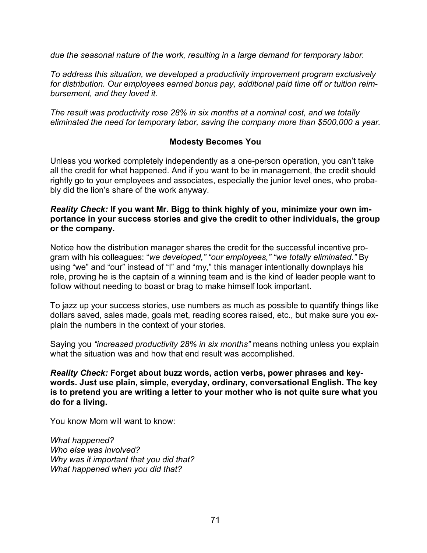due the seasonal nature of the work, resulting in a large demand for temporary labor.

To address this situation, we developed a productivity improvement program exclusively for distribution. Our employees earned bonus pay, additional paid time off or tuition reimbursement, and they loved it.

The result was productivity rose 28% in six months at a nominal cost, and we totally eliminated the need for temporary labor, saving the company more than \$500,000 a year.

# Modesty Becomes You

Unless you worked completely independently as a one-person operation, you can't take all the credit for what happened. And if you want to be in management, the credit should rightly go to your employees and associates, especially the junior level ones, who probably did the lion's share of the work anyway.

#### Reality Check: If you want Mr. Bigg to think highly of you, minimize your own importance in your success stories and give the credit to other individuals, the group or the company.

Notice how the distribution manager shares the credit for the successful incentive program with his colleagues: "we developed," "our employees," "we totally eliminated." By using "we" and "our" instead of "I" and "my," this manager intentionally downplays his role, proving he is the captain of a winning team and is the kind of leader people want to follow without needing to boast or brag to make himself look important.

To jazz up your success stories, use numbers as much as possible to quantify things like dollars saved, sales made, goals met, reading scores raised, etc., but make sure you explain the numbers in the context of your stories.

Saying you "increased productivity 28% in six months" means nothing unless you explain what the situation was and how that end result was accomplished.

Reality Check: Forget about buzz words, action verbs, power phrases and keywords. Just use plain, simple, everyday, ordinary, conversational English. The key is to pretend you are writing a letter to your mother who is not quite sure what you do for a living.

You know Mom will want to know:

What happened? Who else was involved? Why was it important that you did that? What happened when you did that?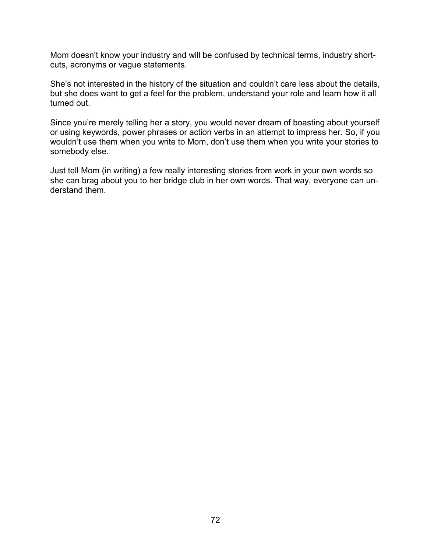Mom doesn't know your industry and will be confused by technical terms, industry shortcuts, acronyms or vague statements.

She's not interested in the history of the situation and couldn't care less about the details, but she does want to get a feel for the problem, understand your role and learn how it all turned out.

Since you're merely telling her a story, you would never dream of boasting about yourself or using keywords, power phrases or action verbs in an attempt to impress her. So, if you wouldn't use them when you write to Mom, don't use them when you write your stories to somebody else.

Just tell Mom (in writing) a few really interesting stories from work in your own words so she can brag about you to her bridge club in her own words. That way, everyone can understand them.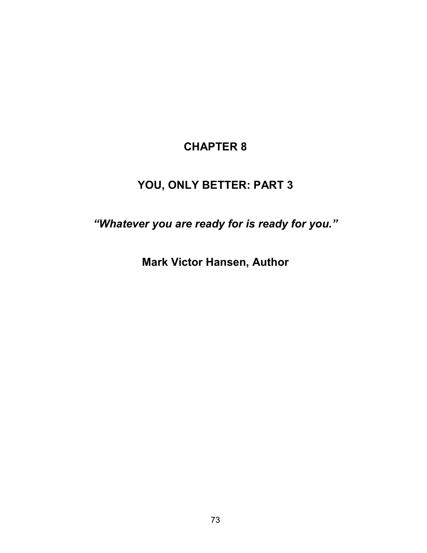## CHAPTER 8

# YOU, ONLY BETTER: PART 3

"Whatever you are ready for is ready for you."

Mark Victor Hansen, Author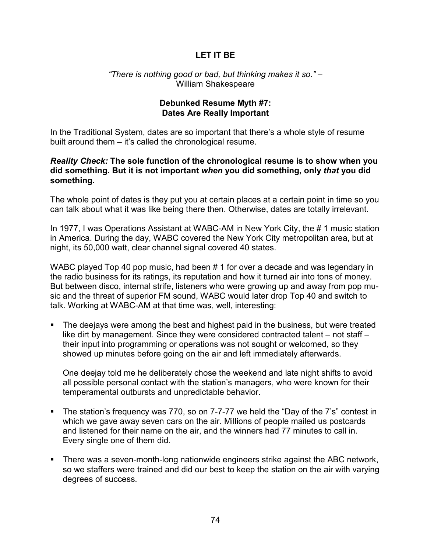## LET IT BE

#### "There is nothing good or bad, but thinking makes it so." – William Shakespeare

#### Debunked Resume Myth #7: Dates Are Really Important

In the Traditional System, dates are so important that there's a whole style of resume built around them – it's called the chronological resume.

#### Reality Check: The sole function of the chronological resume is to show when you did something. But it is not important when you did something, only that you did something.

The whole point of dates is they put you at certain places at a certain point in time so you can talk about what it was like being there then. Otherwise, dates are totally irrelevant.

In 1977, I was Operations Assistant at WABC-AM in New York City, the # 1 music station in America. During the day, WABC covered the New York City metropolitan area, but at night, its 50,000 watt, clear channel signal covered 40 states.

WABC played Top 40 pop music, had been # 1 for over a decade and was legendary in the radio business for its ratings, its reputation and how it turned air into tons of money. But between disco, internal strife, listeners who were growing up and away from pop music and the threat of superior FM sound, WABC would later drop Top 40 and switch to talk. Working at WABC-AM at that time was, well, interesting:

 The deejays were among the best and highest paid in the business, but were treated like dirt by management. Since they were considered contracted talent – not staff – their input into programming or operations was not sought or welcomed, so they showed up minutes before going on the air and left immediately afterwards.

One deejay told me he deliberately chose the weekend and late night shifts to avoid all possible personal contact with the station's managers, who were known for their temperamental outbursts and unpredictable behavior.

- The station's frequency was 770, so on 7-7-77 we held the "Day of the 7's" contest in which we gave away seven cars on the air. Millions of people mailed us postcards and listened for their name on the air, and the winners had 77 minutes to call in. Every single one of them did.
- There was a seven-month-long nationwide engineers strike against the ABC network, so we staffers were trained and did our best to keep the station on the air with varying degrees of success.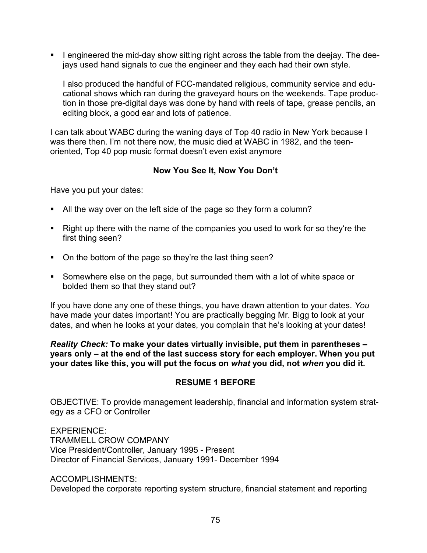I engineered the mid-day show sitting right across the table from the deejay. The deejays used hand signals to cue the engineer and they each had their own style.

I also produced the handful of FCC-mandated religious, community service and educational shows which ran during the graveyard hours on the weekends. Tape production in those pre-digital days was done by hand with reels of tape, grease pencils, an editing block, a good ear and lots of patience.

I can talk about WABC during the waning days of Top 40 radio in New York because I was there then. I'm not there now, the music died at WABC in 1982, and the teenoriented, Top 40 pop music format doesn't even exist anymore

## Now You See It, Now You Don't

Have you put your dates:

- All the way over on the left side of the page so they form a column?
- Right up there with the name of the companies you used to work for so they're the first thing seen?
- On the bottom of the page so they're the last thing seen?
- Somewhere else on the page, but surrounded them with a lot of white space or bolded them so that they stand out?

If you have done any one of these things, you have drawn attention to your dates. You have made your dates important! You are practically begging Mr. Bigg to look at your dates, and when he looks at your dates, you complain that he's looking at your dates!

Reality Check: To make your dates virtually invisible, put them in parentheses – years only – at the end of the last success story for each employer. When you put your dates like this, you will put the focus on what you did, not when you did it.

## RESUME 1 BEFORE

OBJECTIVE: To provide management leadership, financial and information system strategy as a CFO or Controller

EXPERIENCE: TRAMMELL CROW COMPANY Vice President/Controller, January 1995 - Present Director of Financial Services, January 1991- December 1994

ACCOMPLISHMENTS:

Developed the corporate reporting system structure, financial statement and reporting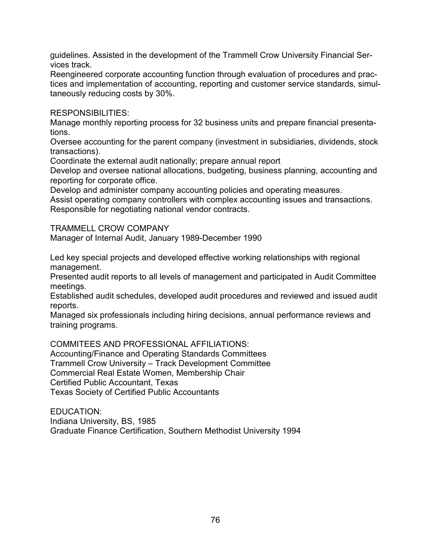guidelines. Assisted in the development of the Trammell Crow University Financial Services track.

Reengineered corporate accounting function through evaluation of procedures and practices and implementation of accounting, reporting and customer service standards, simultaneously reducing costs by 30%.

RESPONSIBILITIES:

Manage monthly reporting process for 32 business units and prepare financial presentations.

Oversee accounting for the parent company (investment in subsidiaries, dividends, stock transactions).

Coordinate the external audit nationally; prepare annual report

Develop and oversee national allocations, budgeting, business planning, accounting and reporting for corporate office.

Develop and administer company accounting policies and operating measures.

Assist operating company controllers with complex accounting issues and transactions. Responsible for negotiating national vendor contracts.

TRAMMELL CROW COMPANY

Manager of Internal Audit, January 1989-December 1990

Led key special projects and developed effective working relationships with regional management.

Presented audit reports to all levels of management and participated in Audit Committee meetings.

Established audit schedules, developed audit procedures and reviewed and issued audit reports.

Managed six professionals including hiring decisions, annual performance reviews and training programs.

COMMITEES AND PROFESSIONAL AFFILIATIONS: Accounting/Finance and Operating Standards Committees Trammell Crow University – Track Development Committee Commercial Real Estate Women, Membership Chair Certified Public Accountant, Texas Texas Society of Certified Public Accountants

EDUCATION: Indiana University, BS, 1985 Graduate Finance Certification, Southern Methodist University 1994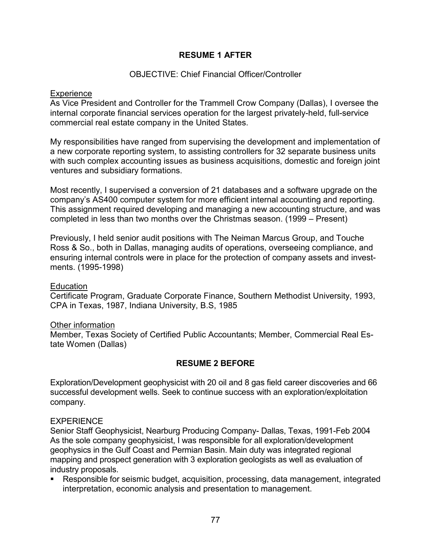## RESUME 1 AFTER

### OBJECTIVE: Chief Financial Officer/Controller

#### **Experience**

As Vice President and Controller for the Trammell Crow Company (Dallas), I oversee the internal corporate financial services operation for the largest privately-held, full-service commercial real estate company in the United States.

My responsibilities have ranged from supervising the development and implementation of a new corporate reporting system, to assisting controllers for 32 separate business units with such complex accounting issues as business acquisitions, domestic and foreign joint ventures and subsidiary formations.

Most recently, I supervised a conversion of 21 databases and a software upgrade on the company's AS400 computer system for more efficient internal accounting and reporting. This assignment required developing and managing a new accounting structure, and was completed in less than two months over the Christmas season. (1999 – Present)

Previously, I held senior audit positions with The Neiman Marcus Group, and Touche Ross & So., both in Dallas, managing audits of operations, overseeing compliance, and ensuring internal controls were in place for the protection of company assets and investments. (1995-1998)

#### **Education**

Certificate Program, Graduate Corporate Finance, Southern Methodist University, 1993, CPA in Texas, 1987, Indiana University, B.S, 1985

### Other information

Member, Texas Society of Certified Public Accountants; Member, Commercial Real Estate Women (Dallas)

## RESUME 2 BEFORE

Exploration/Development geophysicist with 20 oil and 8 gas field career discoveries and 66 successful development wells. Seek to continue success with an exploration/exploitation company.

### **EXPERIENCE**

Senior Staff Geophysicist, Nearburg Producing Company- Dallas, Texas, 1991-Feb 2004 As the sole company geophysicist, I was responsible for all exploration/development geophysics in the Gulf Coast and Permian Basin. Main duty was integrated regional mapping and prospect generation with 3 exploration geologists as well as evaluation of industry proposals.

 Responsible for seismic budget, acquisition, processing, data management, integrated interpretation, economic analysis and presentation to management.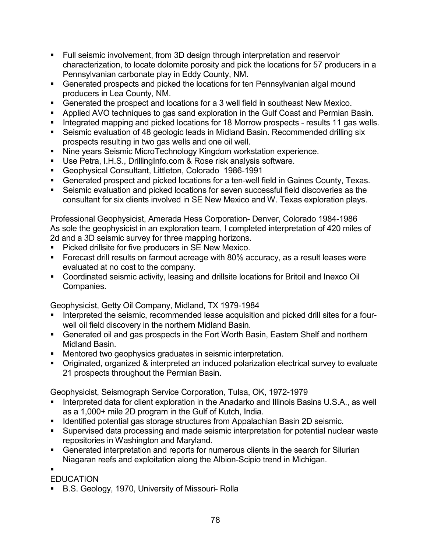- Full seismic involvement, from 3D design through interpretation and reservoir characterization, to locate dolomite porosity and pick the locations for 57 producers in a Pennsylvanian carbonate play in Eddy County, NM.
- Generated prospects and picked the locations for ten Pennsylvanian algal mound producers in Lea County, NM.
- Generated the prospect and locations for a 3 well field in southeast New Mexico.
- Applied AVO techniques to gas sand exploration in the Gulf Coast and Permian Basin.
- Integrated mapping and picked locations for 18 Morrow prospects results 11 gas wells.
- Seismic evaluation of 48 geologic leads in Midland Basin. Recommended drilling six prospects resulting in two gas wells and one oil well.
- Nine years Seismic MicroTechnology Kingdom workstation experience.
- Use Petra, I.H.S., DrillingInfo.com & Rose risk analysis software.
- Geophysical Consultant, Littleton, Colorado 1986-1991
- Generated prospect and picked locations for a ten-well field in Gaines County, Texas.
- Seismic evaluation and picked locations for seven successful field discoveries as the consultant for six clients involved in SE New Mexico and W. Texas exploration plays.

Professional Geophysicist, Amerada Hess Corporation- Denver, Colorado 1984-1986 As sole the geophysicist in an exploration team, I completed interpretation of 420 miles of 2d and a 3D seismic survey for three mapping horizons.

- **Picked drillsite for five producers in SE New Mexico.**
- Forecast drill results on farmout acreage with 80% accuracy, as a result leases were evaluated at no cost to the company.
- Coordinated seismic activity, leasing and drillsite locations for Britoil and Inexco Oil Companies.

Geophysicist, Getty Oil Company, Midland, TX 1979-1984

- Interpreted the seismic, recommended lease acquisition and picked drill sites for a fourwell oil field discovery in the northern Midland Basin.
- Generated oil and gas prospects in the Fort Worth Basin, Eastern Shelf and northern Midland Basin.
- **Mentored two geophysics graduates in seismic interpretation.**
- Originated, organized & interpreted an induced polarization electrical survey to evaluate 21 prospects throughout the Permian Basin.

Geophysicist, Seismograph Service Corporation, Tulsa, OK, 1972-1979

- **Interpreted data for client exploration in the Anadarko and Illinois Basins U.S.A., as well** as a 1,000+ mile 2D program in the Gulf of Kutch, India.
- **IDEDED FOR STARK ISS IN A SET 10 SET 10 SEE SHOT ISS IS SEEN SEE SHOT SEE SHOT SEE SHOT SEE SHOT SEE SHOT SEE SHOT SEE SHOT SEE SHOT SEE SHOT SEE SHOT SEE SHOT SEE SHOT SEE SHOT SEE SHOT SEE SHOT SEE SHOT SEE SHOT SEE SHO**
- Supervised data processing and made seismic interpretation for potential nuclear waste repositories in Washington and Maryland.
- Generated interpretation and reports for numerous clients in the search for Silurian Niagaran reefs and exploitation along the Albion-Scipio trend in Michigan.

×,

## **EDUCATION**

■ B.S. Geology, 1970, University of Missouri- Rolla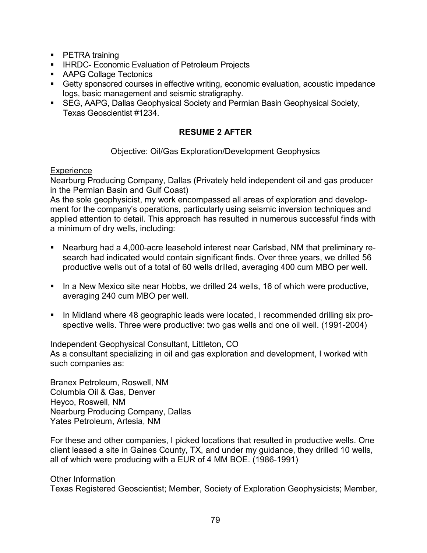- PETRA training
- **IHRDC- Economic Evaluation of Petroleum Projects**
- **AAPG Collage Tectonics**
- Getty sponsored courses in effective writing, economic evaluation, acoustic impedance logs, basic management and seismic stratigraphy.
- SEG, AAPG, Dallas Geophysical Society and Permian Basin Geophysical Society, Texas Geoscientist #1234.

## RESUME 2 AFTER

### Objective: Oil/Gas Exploration/Development Geophysics

#### **Experience**

Nearburg Producing Company, Dallas (Privately held independent oil and gas producer in the Permian Basin and Gulf Coast)

As the sole geophysicist, my work encompassed all areas of exploration and development for the company's operations, particularly using seismic inversion techniques and applied attention to detail. This approach has resulted in numerous successful finds with a minimum of dry wells, including:

- Nearburg had a 4,000-acre leasehold interest near Carlsbad, NM that preliminary research had indicated would contain significant finds. Over three years, we drilled 56 productive wells out of a total of 60 wells drilled, averaging 400 cum MBO per well.
- In a New Mexico site near Hobbs, we drilled 24 wells, 16 of which were productive, averaging 240 cum MBO per well.
- In Midland where 48 geographic leads were located, I recommended drilling six prospective wells. Three were productive: two gas wells and one oil well. (1991-2004)

Independent Geophysical Consultant, Littleton, CO As a consultant specializing in oil and gas exploration and development, I worked with such companies as:

Branex Petroleum, Roswell, NM Columbia Oil & Gas, Denver Heyco, Roswell, NM Nearburg Producing Company, Dallas Yates Petroleum, Artesia, NM

For these and other companies, I picked locations that resulted in productive wells. One client leased a site in Gaines County, TX, and under my guidance, they drilled 10 wells, all of which were producing with a EUR of 4 MM BOE. (1986-1991)

#### Other Information

Texas Registered Geoscientist; Member, Society of Exploration Geophysicists; Member,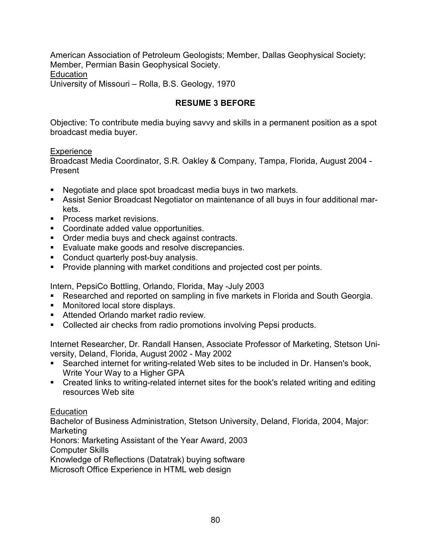American Association of Petroleum Geologists; Member, Dallas Geophysical Society; Member, Permian Basin Geophysical Society. Education University of Missouri – Rolla, B.S. Geology, 1970

## RESUME 3 BEFORE

Objective: To contribute media buying savvy and skills in a permanent position as a spot broadcast media buyer.

#### Experience

Broadcast Media Coordinator, S.R. Oakley & Company, Tampa, Florida, August 2004 - Present

- Negotiate and place spot broadcast media buys in two markets.
- Assist Senior Broadcast Negotiator on maintenance of all buys in four additional markets.
- **Process market revisions.**
- **Coordinate added value opportunities.**
- **Order media buys and check against contracts.**
- Evaluate make goods and resolve discrepancies.
- Conduct quarterly post-buy analysis.
- **Provide planning with market conditions and projected cost per points.**

Intern, PepsiCo Bottling, Orlando, Florida, May -July 2003

- Researched and reported on sampling in five markets in Florida and South Georgia.
- **Monitored local store displays.**
- **Attended Orlando market radio review.**
- Collected air checks from radio promotions involving Pepsi products.

Internet Researcher, Dr. Randall Hansen, Associate Professor of Marketing, Stetson University, Deland, Florida, August 2002 - May 2002

- Searched internet for writing-related Web sites to be included in Dr. Hansen's book, Write Your Way to a Higher GPA
- Created links to writing-related internet sites for the book's related writing and editing resources Web site

### **Education**

Bachelor of Business Administration, Stetson University, Deland, Florida, 2004, Major: Marketing

Honors: Marketing Assistant of the Year Award, 2003

Computer Skills

Knowledge of Reflections (Datatrak) buying software

Microsoft Office Experience in HTML web design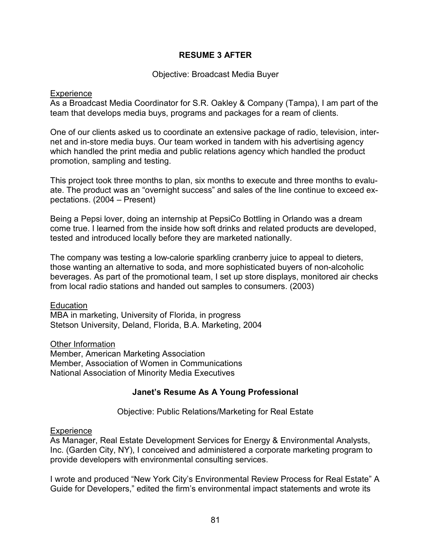## RESUME 3 AFTER

## Objective: Broadcast Media Buyer

#### **Experience**

As a Broadcast Media Coordinator for S.R. Oakley & Company (Tampa), I am part of the team that develops media buys, programs and packages for a ream of clients.

One of our clients asked us to coordinate an extensive package of radio, television, internet and in-store media buys. Our team worked in tandem with his advertising agency which handled the print media and public relations agency which handled the product promotion, sampling and testing.

This project took three months to plan, six months to execute and three months to evaluate. The product was an "overnight success" and sales of the line continue to exceed expectations. (2004 – Present)

Being a Pepsi lover, doing an internship at PepsiCo Bottling in Orlando was a dream come true. I learned from the inside how soft drinks and related products are developed, tested and introduced locally before they are marketed nationally.

The company was testing a low-calorie sparkling cranberry juice to appeal to dieters, those wanting an alternative to soda, and more sophisticated buyers of non-alcoholic beverages. As part of the promotional team, I set up store displays, monitored air checks from local radio stations and handed out samples to consumers. (2003)

Education MBA in marketing, University of Florida, in progress Stetson University, Deland, Florida, B.A. Marketing, 2004

Other Information Member, American Marketing Association Member, Association of Women in Communications National Association of Minority Media Executives

## Janet's Resume As A Young Professional

Objective: Public Relations/Marketing for Real Estate

### **Experience**

As Manager, Real Estate Development Services for Energy & Environmental Analysts, Inc. (Garden City, NY), I conceived and administered a corporate marketing program to provide developers with environmental consulting services.

I wrote and produced "New York City's Environmental Review Process for Real Estate" A Guide for Developers," edited the firm's environmental impact statements and wrote its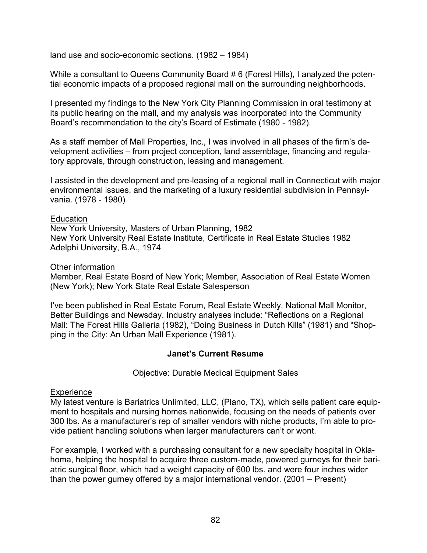land use and socio-economic sections. (1982 – 1984)

While a consultant to Queens Community Board # 6 (Forest Hills), I analyzed the potential economic impacts of a proposed regional mall on the surrounding neighborhoods.

I presented my findings to the New York City Planning Commission in oral testimony at its public hearing on the mall, and my analysis was incorporated into the Community Board's recommendation to the city's Board of Estimate (1980 - 1982).

As a staff member of Mall Properties, Inc., I was involved in all phases of the firm's development activities – from project conception, land assemblage, financing and regulatory approvals, through construction, leasing and management.

I assisted in the development and pre-leasing of a regional mall in Connecticut with major environmental issues, and the marketing of a luxury residential subdivision in Pennsylvania. (1978 - 1980)

#### **Education**

New York University, Masters of Urban Planning, 1982 New York University Real Estate Institute, Certificate in Real Estate Studies 1982 Adelphi University, B.A., 1974

#### Other information

Member, Real Estate Board of New York; Member, Association of Real Estate Women (New York); New York State Real Estate Salesperson

I've been published in Real Estate Forum, Real Estate Weekly, National Mall Monitor, Better Buildings and Newsday. Industry analyses include: "Reflections on a Regional Mall: The Forest Hills Galleria (1982), "Doing Business in Dutch Kills" (1981) and "Shopping in the City: An Urban Mall Experience (1981).

### Janet's Current Resume

Objective: Durable Medical Equipment Sales

### **Experience**

My latest venture is Bariatrics Unlimited, LLC, (Plano, TX), which sells patient care equipment to hospitals and nursing homes nationwide, focusing on the needs of patients over 300 lbs. As a manufacturer's rep of smaller vendors with niche products, I'm able to provide patient handling solutions when larger manufacturers can't or wont.

For example, I worked with a purchasing consultant for a new specialty hospital in Oklahoma, helping the hospital to acquire three custom-made, powered gurneys for their bariatric surgical floor, which had a weight capacity of 600 lbs. and were four inches wider than the power gurney offered by a major international vendor. (2001 – Present)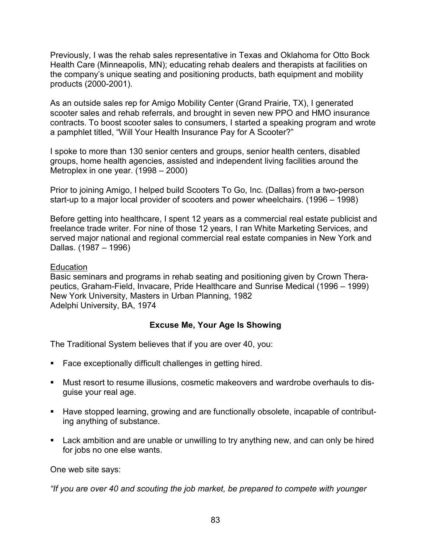Previously, I was the rehab sales representative in Texas and Oklahoma for Otto Bock Health Care (Minneapolis, MN); educating rehab dealers and therapists at facilities on the company's unique seating and positioning products, bath equipment and mobility products (2000-2001).

As an outside sales rep for Amigo Mobility Center (Grand Prairie, TX), I generated scooter sales and rehab referrals, and brought in seven new PPO and HMO insurance contracts. To boost scooter sales to consumers, I started a speaking program and wrote a pamphlet titled, "Will Your Health Insurance Pay for A Scooter?"

I spoke to more than 130 senior centers and groups, senior health centers, disabled groups, home health agencies, assisted and independent living facilities around the Metroplex in one year. (1998 – 2000)

Prior to joining Amigo, I helped build Scooters To Go, Inc. (Dallas) from a two-person start-up to a major local provider of scooters and power wheelchairs. (1996 – 1998)

Before getting into healthcare, I spent 12 years as a commercial real estate publicist and freelance trade writer. For nine of those 12 years, I ran White Marketing Services, and served major national and regional commercial real estate companies in New York and Dallas. (1987 – 1996)

### **Education**

Basic seminars and programs in rehab seating and positioning given by Crown Therapeutics, Graham-Field, Invacare, Pride Healthcare and Sunrise Medical (1996 – 1999) New York University, Masters in Urban Planning, 1982 Adelphi University, BA, 1974

## Excuse Me, Your Age Is Showing

The Traditional System believes that if you are over 40, you:

- Face exceptionally difficult challenges in getting hired.
- Must resort to resume illusions, cosmetic makeovers and wardrobe overhauls to disguise your real age.
- Have stopped learning, growing and are functionally obsolete, incapable of contributing anything of substance.
- Lack ambition and are unable or unwilling to try anything new, and can only be hired for jobs no one else wants.

One web site says:

"If you are over 40 and scouting the job market, be prepared to compete with younger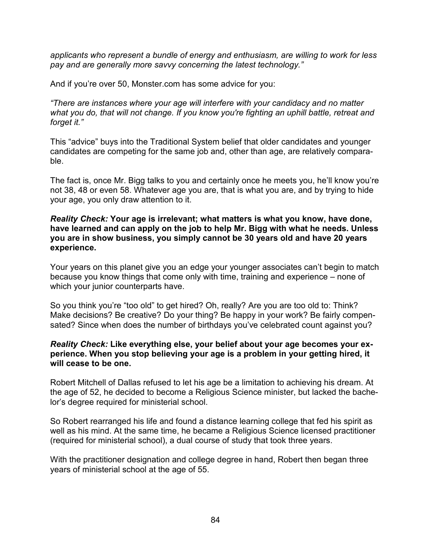applicants who represent a bundle of energy and enthusiasm, are willing to work for less pay and are generally more savvy concerning the latest technology."

And if you're over 50, Monster.com has some advice for you:

"There are instances where your age will interfere with your candidacy and no matter what you do, that will not change. If you know you're fighting an uphill battle, retreat and forget it."

This "advice" buys into the Traditional System belief that older candidates and younger candidates are competing for the same job and, other than age, are relatively comparable.

The fact is, once Mr. Bigg talks to you and certainly once he meets you, he'll know you're not 38, 48 or even 58. Whatever age you are, that is what you are, and by trying to hide your age, you only draw attention to it.

#### Reality Check: Your age is irrelevant; what matters is what you know, have done, have learned and can apply on the job to help Mr. Bigg with what he needs. Unless you are in show business, you simply cannot be 30 years old and have 20 years experience.

Your years on this planet give you an edge your younger associates can't begin to match because you know things that come only with time, training and experience – none of which your junior counterparts have.

So you think you're "too old" to get hired? Oh, really? Are you are too old to: Think? Make decisions? Be creative? Do your thing? Be happy in your work? Be fairly compensated? Since when does the number of birthdays you've celebrated count against you?

### Reality Check: Like everything else, your belief about your age becomes your experience. When you stop believing your age is a problem in your getting hired, it will cease to be one.

Robert Mitchell of Dallas refused to let his age be a limitation to achieving his dream. At the age of 52, he decided to become a Religious Science minister, but lacked the bachelor's degree required for ministerial school.

So Robert rearranged his life and found a distance learning college that fed his spirit as well as his mind. At the same time, he became a Religious Science licensed practitioner (required for ministerial school), a dual course of study that took three years.

With the practitioner designation and college degree in hand, Robert then began three years of ministerial school at the age of 55.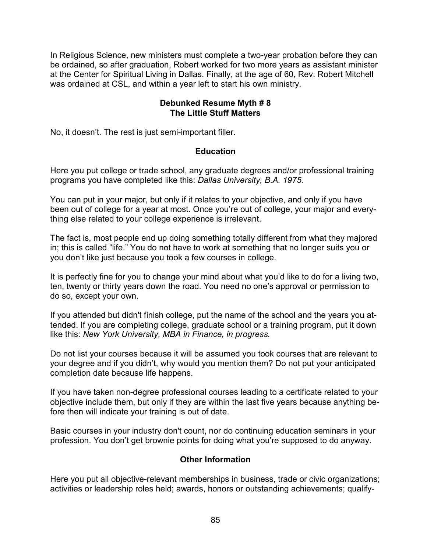In Religious Science, new ministers must complete a two-year probation before they can be ordained, so after graduation, Robert worked for two more years as assistant minister at the Center for Spiritual Living in Dallas. Finally, at the age of 60, Rev. Robert Mitchell was ordained at CSL, and within a year left to start his own ministry.

### Debunked Resume Myth # 8 The Little Stuff Matters

No, it doesn't. The rest is just semi-important filler.

## **Education**

Here you put college or trade school, any graduate degrees and/or professional training programs you have completed like this: Dallas University, B.A. 1975.

You can put in your major, but only if it relates to your objective, and only if you have been out of college for a year at most. Once you're out of college, your major and everything else related to your college experience is irrelevant.

The fact is, most people end up doing something totally different from what they majored in; this is called "life." You do not have to work at something that no longer suits you or you don't like just because you took a few courses in college.

It is perfectly fine for you to change your mind about what you'd like to do for a living two, ten, twenty or thirty years down the road. You need no one's approval or permission to do so, except your own.

If you attended but didn't finish college, put the name of the school and the years you attended. If you are completing college, graduate school or a training program, put it down like this: New York University, MBA in Finance, in progress.

Do not list your courses because it will be assumed you took courses that are relevant to your degree and if you didn't, why would you mention them? Do not put your anticipated completion date because life happens.

If you have taken non-degree professional courses leading to a certificate related to your objective include them, but only if they are within the last five years because anything before then will indicate your training is out of date.

Basic courses in your industry don't count, nor do continuing education seminars in your profession. You don't get brownie points for doing what you're supposed to do anyway.

## Other Information

Here you put all objective-relevant memberships in business, trade or civic organizations; activities or leadership roles held; awards, honors or outstanding achievements; qualify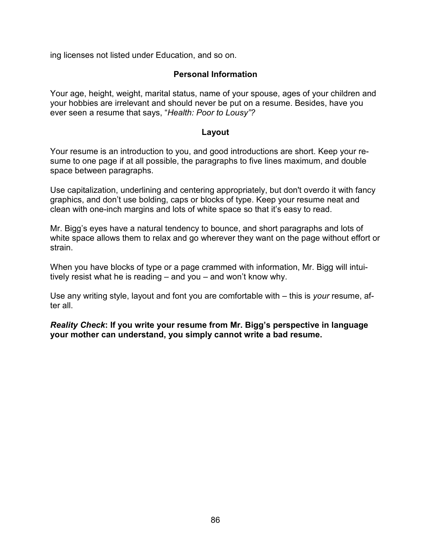ing licenses not listed under Education, and so on.

#### Personal Information

Your age, height, weight, marital status, name of your spouse, ages of your children and your hobbies are irrelevant and should never be put on a resume. Besides, have you ever seen a resume that says, "Health: Poor to Lousy"?

#### Layout

Your resume is an introduction to you, and good introductions are short. Keep your resume to one page if at all possible, the paragraphs to five lines maximum, and double space between paragraphs.

Use capitalization, underlining and centering appropriately, but don't overdo it with fancy graphics, and don't use bolding, caps or blocks of type. Keep your resume neat and clean with one-inch margins and lots of white space so that it's easy to read.

Mr. Bigg's eyes have a natural tendency to bounce, and short paragraphs and lots of white space allows them to relax and go wherever they want on the page without effort or strain.

When you have blocks of type or a page crammed with information, Mr. Bigg will intuitively resist what he is reading – and you – and won't know why.

Use any writing style, layout and font you are comfortable with – this is your resume, after all.

Reality Check: If you write your resume from Mr. Bigg's perspective in language your mother can understand, you simply cannot write a bad resume.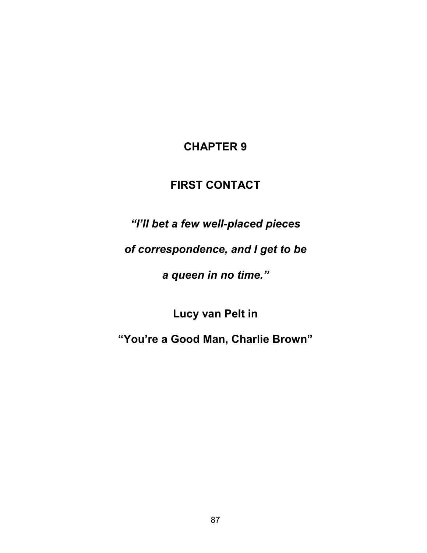## CHAPTER 9

## FIRST CONTACT

## "I'll bet a few well-placed pieces

## of correspondence, and I get to be

a queen in no time."

Lucy van Pelt in

"You're a Good Man, Charlie Brown"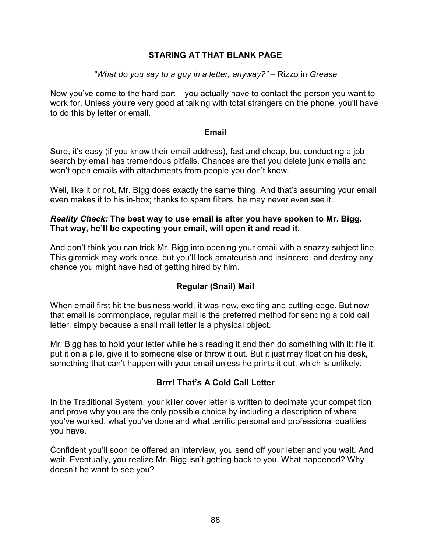## STARING AT THAT BLANK PAGE

### "What do you say to a guy in a letter, anyway?" – Rizzo in Grease

Now you've come to the hard part – you actually have to contact the person you want to work for. Unless you're very good at talking with total strangers on the phone, you'll have to do this by letter or email.

#### Email

Sure, it's easy (if you know their email address), fast and cheap, but conducting a job search by email has tremendous pitfalls. Chances are that you delete junk emails and won't open emails with attachments from people you don't know.

Well, like it or not, Mr. Bigg does exactly the same thing. And that's assuming your email even makes it to his in-box; thanks to spam filters, he may never even see it.

### Reality Check: The best way to use email is after you have spoken to Mr. Bigg. That way, he'll be expecting your email, will open it and read it.

And don't think you can trick Mr. Bigg into opening your email with a snazzy subject line. This gimmick may work once, but you'll look amateurish and insincere, and destroy any chance you might have had of getting hired by him.

## Regular (Snail) Mail

When email first hit the business world, it was new, exciting and cutting-edge. But now that email is commonplace, regular mail is the preferred method for sending a cold call letter, simply because a snail mail letter is a physical object.

Mr. Bigg has to hold your letter while he's reading it and then do something with it: file it, put it on a pile, give it to someone else or throw it out. But it just may float on his desk, something that can't happen with your email unless he prints it out, which is unlikely.

## Brrr! That's A Cold Call Letter

In the Traditional System, your killer cover letter is written to decimate your competition and prove why you are the only possible choice by including a description of where you've worked, what you've done and what terrific personal and professional qualities you have.

Confident you'll soon be offered an interview, you send off your letter and you wait. And wait. Eventually, you realize Mr. Bigg isn't getting back to you. What happened? Why doesn't he want to see you?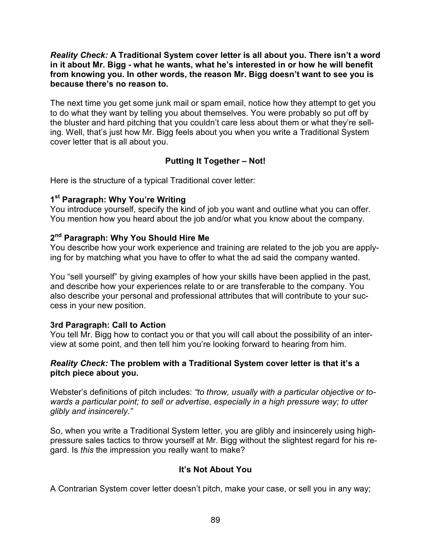Reality Check: A Traditional System cover letter is all about you. There isn't a word in it about Mr. Bigg - what he wants, what he's interested in or how he will benefit from knowing you. In other words, the reason Mr. Bigg doesn't want to see you is because there's no reason to.

The next time you get some junk mail or spam email, notice how they attempt to get you to do what they want by telling you about themselves. You were probably so put off by the bluster and hard pitching that you couldn't care less about them or what they're selling. Well, that's just how Mr. Bigg feels about you when you write a Traditional System cover letter that is all about you.

## Putting It Together – Not!

Here is the structure of a typical Traditional cover letter:

## 1<sup>st</sup> Paragraph: Why You're Writing

You introduce yourself, specify the kind of job you want and outline what you can offer. You mention how you heard about the job and/or what you know about the company.

## 2<sup>nd</sup> Paragraph: Why You Should Hire Me

You describe how your work experience and training are related to the job you are applying for by matching what you have to offer to what the ad said the company wanted.

You "sell yourself" by giving examples of how your skills have been applied in the past, and describe how your experiences relate to or are transferable to the company. You also describe your personal and professional attributes that will contribute to your success in your new position.

### 3rd Paragraph: Call to Action

You tell Mr. Bigg how to contact you or that you will call about the possibility of an interview at some point, and then tell him you're looking forward to hearing from him.

## Reality Check: The problem with a Traditional System cover letter is that it's a pitch piece about you.

Webster's definitions of pitch includes: "to throw, usually with a particular objective or towards a particular point; to sell or advertise, especially in a high pressure way; to utter glibly and insincerely."

So, when you write a Traditional System letter, you are glibly and insincerely using highpressure sales tactics to throw yourself at Mr. Bigg without the slightest regard for his regard. Is this the impression you really want to make?

## It's Not About You

A Contrarian System cover letter doesn't pitch, make your case, or sell you in any way;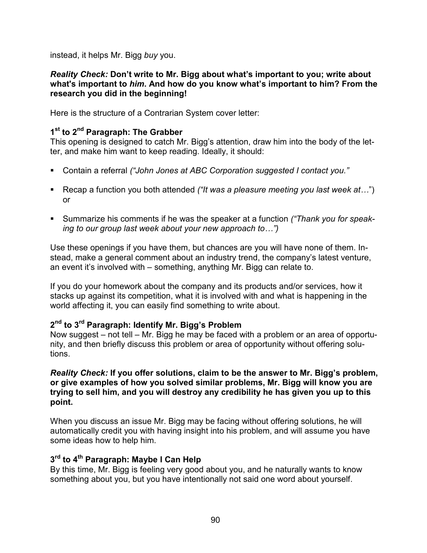instead, it helps Mr. Bigg buy you.

## Reality Check: Don't write to Mr. Bigg about what's important to you; write about what's important to *him*. And how do you know what's important to him? From the research you did in the beginning!

Here is the structure of a Contrarian System cover letter:

## 1<sup>st</sup> to 2<sup>nd</sup> Paragraph: The Grabber

This opening is designed to catch Mr. Bigg's attention, draw him into the body of the letter, and make him want to keep reading. Ideally, it should:

- Contain a referral ("John Jones at ABC Corporation suggested I contact you."
- Recap a function you both attended ("It was a pleasure meeting you last week at...") or
- Summarize his comments if he was the speaker at a function ("Thank you for speaking to our group last week about your new approach to…")

Use these openings if you have them, but chances are you will have none of them. Instead, make a general comment about an industry trend, the company's latest venture, an event it's involved with – something, anything Mr. Bigg can relate to.

If you do your homework about the company and its products and/or services, how it stacks up against its competition, what it is involved with and what is happening in the world affecting it, you can easily find something to write about.

## 2<sup>nd</sup> to 3<sup>rd</sup> Paragraph: Identify Mr. Bigg's Problem

Now suggest – not tell – Mr. Bigg he may be faced with a problem or an area of opportunity, and then briefly discuss this problem or area of opportunity without offering solutions.

### Reality Check: If you offer solutions, claim to be the answer to Mr. Bigg's problem, or give examples of how you solved similar problems, Mr. Bigg will know you are trying to sell him, and you will destroy any credibility he has given you up to this point.

When you discuss an issue Mr. Bigg may be facing without offering solutions, he will automatically credit you with having insight into his problem, and will assume you have some ideas how to help him.

## 3<sup>rd</sup> to 4<sup>th</sup> Paragraph: Maybe I Can Help

By this time, Mr. Bigg is feeling very good about you, and he naturally wants to know something about you, but you have intentionally not said one word about yourself.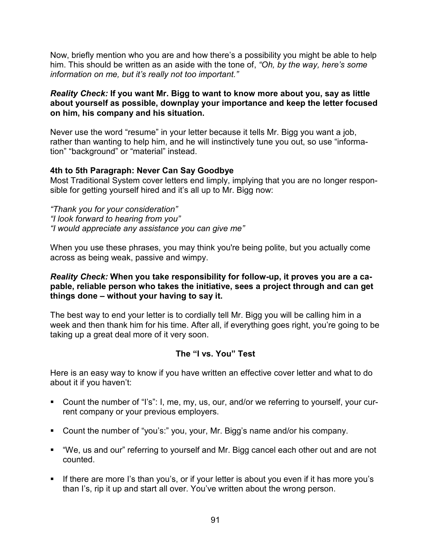Now, briefly mention who you are and how there's a possibility you might be able to help him. This should be written as an aside with the tone of, "Oh, by the way, here's some information on me, but it's really not too important."

## Reality Check: If you want Mr. Bigg to want to know more about you, say as little about yourself as possible, downplay your importance and keep the letter focused on him, his company and his situation.

Never use the word "resume" in your letter because it tells Mr. Bigg you want a job, rather than wanting to help him, and he will instinctively tune you out, so use "information" "background" or "material" instead.

## 4th to 5th Paragraph: Never Can Say Goodbye

Most Traditional System cover letters end limply, implying that you are no longer responsible for getting yourself hired and it's all up to Mr. Bigg now:

"Thank you for your consideration" "I look forward to hearing from you" "I would appreciate any assistance you can give me"

When you use these phrases, you may think you're being polite, but you actually come across as being weak, passive and wimpy.

### Reality Check: When you take responsibility for follow-up, it proves you are a capable, reliable person who takes the initiative, sees a project through and can get things done – without your having to say it.

The best way to end your letter is to cordially tell Mr. Bigg you will be calling him in a week and then thank him for his time. After all, if everything goes right, you're going to be taking up a great deal more of it very soon.

## The "I vs. You" Test

Here is an easy way to know if you have written an effective cover letter and what to do about it if you haven't:

- Count the number of "I's": I, me, my, us, our, and/or we referring to yourself, your current company or your previous employers.
- Count the number of "you's:" you, your, Mr. Bigg's name and/or his company.
- "We, us and our" referring to yourself and Mr. Bigg cancel each other out and are not counted.
- If there are more I's than you's, or if your letter is about you even if it has more you's than I's, rip it up and start all over. You've written about the wrong person.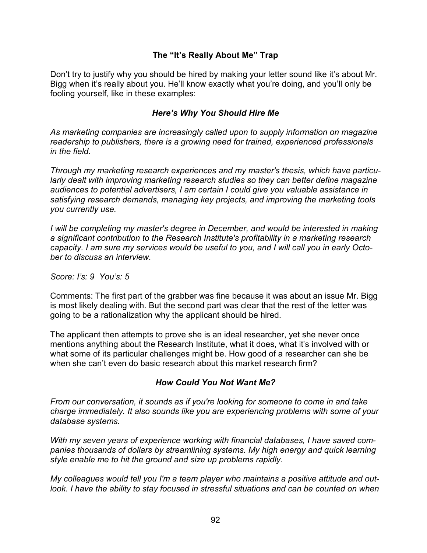## The "It's Really About Me" Trap

Don't try to justify why you should be hired by making your letter sound like it's about Mr. Bigg when it's really about you. He'll know exactly what you're doing, and you'll only be fooling yourself, like in these examples:

## Here's Why You Should Hire Me

As marketing companies are increasingly called upon to supply information on magazine readership to publishers, there is a growing need for trained, experienced professionals in the field.

Through my marketing research experiences and my master's thesis, which have particularly dealt with improving marketing research studies so they can better define magazine audiences to potential advertisers, I am certain I could give you valuable assistance in satisfying research demands, managing key projects, and improving the marketing tools you currently use.

I will be completing my master's degree in December, and would be interested in making a significant contribution to the Research Institute's profitability in a marketing research capacity. I am sure my services would be useful to you, and I will call you in early October to discuss an interview.

Score: I's: 9 You's: 5

Comments: The first part of the grabber was fine because it was about an issue Mr. Bigg is most likely dealing with. But the second part was clear that the rest of the letter was going to be a rationalization why the applicant should be hired.

The applicant then attempts to prove she is an ideal researcher, yet she never once mentions anything about the Research Institute, what it does, what it's involved with or what some of its particular challenges might be. How good of a researcher can she be when she can't even do basic research about this market research firm?

## How Could You Not Want Me?

From our conversation, it sounds as if you're looking for someone to come in and take charge immediately. It also sounds like you are experiencing problems with some of your database systems.

With my seven years of experience working with financial databases, I have saved companies thousands of dollars by streamlining systems. My high energy and quick learning style enable me to hit the ground and size up problems rapidly.

My colleagues would tell you I'm a team player who maintains a positive attitude and outlook. I have the ability to stay focused in stressful situations and can be counted on when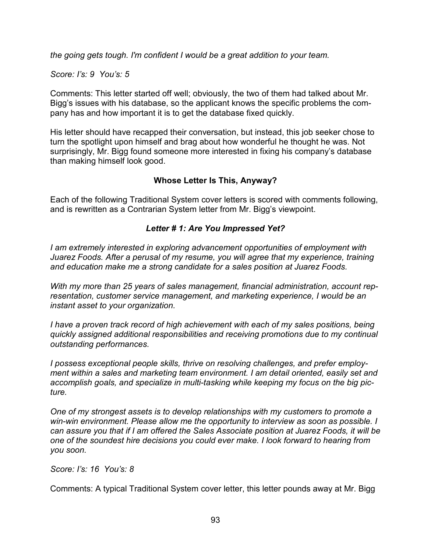the going gets tough. I'm confident I would be a great addition to your team.

Score: I's: 9 You's: 5

Comments: This letter started off well; obviously, the two of them had talked about Mr. Bigg's issues with his database, so the applicant knows the specific problems the company has and how important it is to get the database fixed quickly.

His letter should have recapped their conversation, but instead, this job seeker chose to turn the spotlight upon himself and brag about how wonderful he thought he was. Not surprisingly, Mr. Bigg found someone more interested in fixing his company's database than making himself look good.

## Whose Letter Is This, Anyway?

Each of the following Traditional System cover letters is scored with comments following, and is rewritten as a Contrarian System letter from Mr. Bigg's viewpoint.

## Letter # 1: Are You Impressed Yet?

I am extremely interested in exploring advancement opportunities of employment with Juarez Foods. After a perusal of my resume, you will agree that my experience, training and education make me a strong candidate for a sales position at Juarez Foods.

With my more than 25 years of sales management, financial administration, account representation, customer service management, and marketing experience, I would be an instant asset to your organization.

I have a proven track record of high achievement with each of my sales positions, being quickly assigned additional responsibilities and receiving promotions due to my continual outstanding performances.

I possess exceptional people skills, thrive on resolving challenges, and prefer employment within a sales and marketing team environment. I am detail oriented, easily set and accomplish goals, and specialize in multi-tasking while keeping my focus on the big picture.

One of my strongest assets is to develop relationships with my customers to promote a win-win environment. Please allow me the opportunity to interview as soon as possible. I can assure you that if I am offered the Sales Associate position at Juarez Foods, it will be one of the soundest hire decisions you could ever make. I look forward to hearing from you soon.

Score: I's: 16 You's: 8

Comments: A typical Traditional System cover letter, this letter pounds away at Mr. Bigg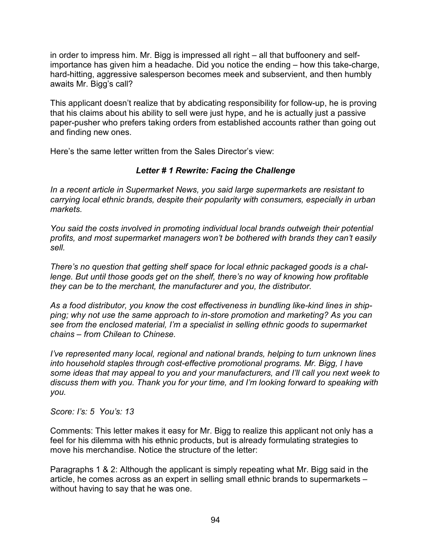in order to impress him. Mr. Bigg is impressed all right – all that buffoonery and selfimportance has given him a headache. Did you notice the ending – how this take-charge, hard-hitting, aggressive salesperson becomes meek and subservient, and then humbly awaits Mr. Bigg's call?

This applicant doesn't realize that by abdicating responsibility for follow-up, he is proving that his claims about his ability to sell were just hype, and he is actually just a passive paper-pusher who prefers taking orders from established accounts rather than going out and finding new ones.

Here's the same letter written from the Sales Director's view:

## Letter # 1 Rewrite: Facing the Challenge

In a recent article in Supermarket News, you said large supermarkets are resistant to carrying local ethnic brands, despite their popularity with consumers, especially in urban markets.

You said the costs involved in promoting individual local brands outweigh their potential profits, and most supermarket managers won't be bothered with brands they can't easily sell.

There's no question that getting shelf space for local ethnic packaged goods is a challenge. But until those goods get on the shelf, there's no way of knowing how profitable they can be to the merchant, the manufacturer and you, the distributor.

As a food distributor, you know the cost effectiveness in bundling like-kind lines in shipping; why not use the same approach to in-store promotion and marketing? As you can see from the enclosed material, I'm a specialist in selling ethnic goods to supermarket chains – from Chilean to Chinese.

I've represented many local, regional and national brands, helping to turn unknown lines into household staples through cost-effective promotional programs. Mr. Bigg, I have some ideas that may appeal to you and your manufacturers, and I'll call you next week to discuss them with you. Thank you for your time, and I'm looking forward to speaking with you.

Score: I's: 5 You's: 13

Comments: This letter makes it easy for Mr. Bigg to realize this applicant not only has a feel for his dilemma with his ethnic products, but is already formulating strategies to move his merchandise. Notice the structure of the letter:

Paragraphs 1 & 2: Although the applicant is simply repeating what Mr. Bigg said in the article, he comes across as an expert in selling small ethnic brands to supermarkets – without having to say that he was one.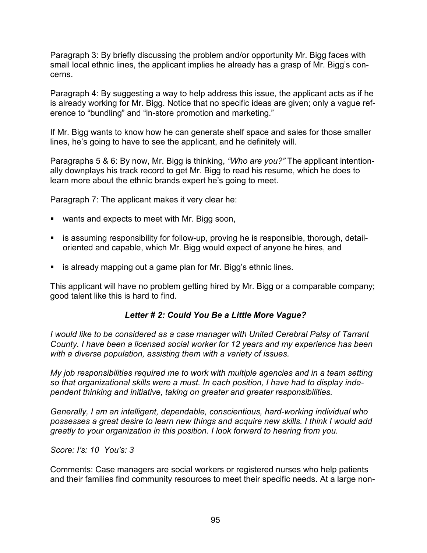Paragraph 3: By briefly discussing the problem and/or opportunity Mr. Bigg faces with small local ethnic lines, the applicant implies he already has a grasp of Mr. Bigg's concerns.

Paragraph 4: By suggesting a way to help address this issue, the applicant acts as if he is already working for Mr. Bigg. Notice that no specific ideas are given; only a vague reference to "bundling" and "in-store promotion and marketing."

If Mr. Bigg wants to know how he can generate shelf space and sales for those smaller lines, he's going to have to see the applicant, and he definitely will.

Paragraphs 5 & 6: By now, Mr. Bigg is thinking, "Who are you?" The applicant intentionally downplays his track record to get Mr. Bigg to read his resume, which he does to learn more about the ethnic brands expert he's going to meet.

Paragraph 7: The applicant makes it very clear he:

- **wants and expects to meet with Mr. Bigg soon,**
- **EXED** is assuming responsibility for follow-up, proving he is responsible, thorough, detailoriented and capable, which Mr. Bigg would expect of anyone he hires, and
- is already mapping out a game plan for Mr. Bigg's ethnic lines.

This applicant will have no problem getting hired by Mr. Bigg or a comparable company; good talent like this is hard to find.

## Letter # 2: Could You Be a Little More Vague?

I would like to be considered as a case manager with United Cerebral Palsy of Tarrant County. I have been a licensed social worker for 12 years and my experience has been with a diverse population, assisting them with a variety of issues.

My job responsibilities required me to work with multiple agencies and in a team setting so that organizational skills were a must. In each position, I have had to display independent thinking and initiative, taking on greater and greater responsibilities.

Generally, I am an intelligent, dependable, conscientious, hard-working individual who possesses a great desire to learn new things and acquire new skills. I think I would add greatly to your organization in this position. I look forward to hearing from you.

Score: I's: 10 You's: 3

Comments: Case managers are social workers or registered nurses who help patients and their families find community resources to meet their specific needs. At a large non-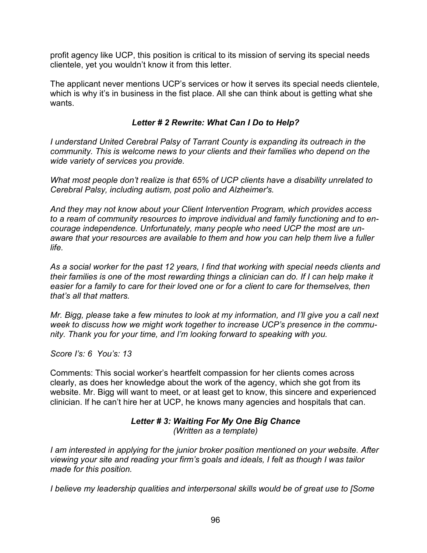profit agency like UCP, this position is critical to its mission of serving its special needs clientele, yet you wouldn't know it from this letter.

The applicant never mentions UCP's services or how it serves its special needs clientele, which is why it's in business in the fist place. All she can think about is getting what she wants.

## Letter # 2 Rewrite: What Can I Do to Help?

I understand United Cerebral Palsy of Tarrant County is expanding its outreach in the community. This is welcome news to your clients and their families who depend on the wide variety of services you provide.

What most people don't realize is that 65% of UCP clients have a disability unrelated to Cerebral Palsy, including autism, post polio and Alzheimer's.

And they may not know about your Client Intervention Program, which provides access to a ream of community resources to improve individual and family functioning and to encourage independence. Unfortunately, many people who need UCP the most are unaware that your resources are available to them and how you can help them live a fuller life.

As a social worker for the past 12 years, I find that working with special needs clients and their families is one of the most rewarding things a clinician can do. If I can help make it easier for a family to care for their loved one or for a client to care for themselves, then that's all that matters.

Mr. Bigg, please take a few minutes to look at my information, and I'll give you a call next week to discuss how we might work together to increase UCP's presence in the community. Thank you for your time, and I'm looking forward to speaking with you.

Score I's: 6 You's: 13

Comments: This social worker's heartfelt compassion for her clients comes across clearly, as does her knowledge about the work of the agency, which she got from its website. Mr. Bigg will want to meet, or at least get to know, this sincere and experienced clinician. If he can't hire her at UCP, he knows many agencies and hospitals that can.

### Letter # 3: Waiting For My One Big Chance (Written as a template)

I am interested in applying for the junior broker position mentioned on your website. After viewing your site and reading your firm's goals and ideals, I felt as though I was tailor made for this position.

I believe my leadership qualities and interpersonal skills would be of great use to [Some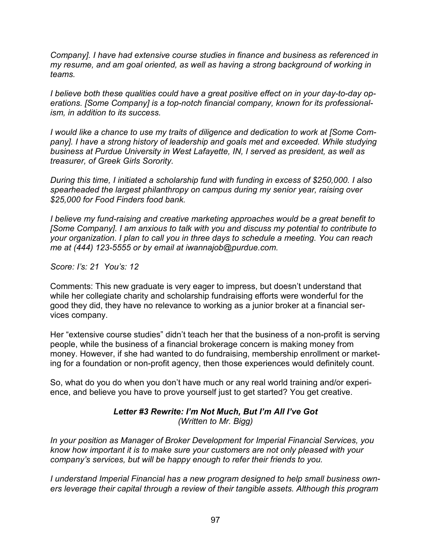Company]. I have had extensive course studies in finance and business as referenced in my resume, and am goal oriented, as well as having a strong background of working in teams.

I believe both these qualities could have a great positive effect on in your day-to-day operations. [Some Company] is a top-notch financial company, known for its professionalism, in addition to its success.

I would like a chance to use my traits of diligence and dedication to work at [Some Company]. I have a strong history of leadership and goals met and exceeded. While studying business at Purdue University in West Lafayette, IN, I served as president, as well as treasurer, of Greek Girls Sorority.

During this time, I initiated a scholarship fund with funding in excess of \$250,000. I also spearheaded the largest philanthropy on campus during my senior year, raising over \$25,000 for Food Finders food bank.

I believe my fund-raising and creative marketing approaches would be a great benefit to [Some Company]. I am anxious to talk with you and discuss my potential to contribute to your organization. I plan to call you in three days to schedule a meeting. You can reach me at (444) 123-5555 or by email at iwannajob@purdue.com.

Score: I's: 21 You's: 12

Comments: This new graduate is very eager to impress, but doesn't understand that while her collegiate charity and scholarship fundraising efforts were wonderful for the good they did, they have no relevance to working as a junior broker at a financial services company.

Her "extensive course studies" didn't teach her that the business of a non-profit is serving people, while the business of a financial brokerage concern is making money from money. However, if she had wanted to do fundraising, membership enrollment or marketing for a foundation or non-profit agency, then those experiences would definitely count.

So, what do you do when you don't have much or any real world training and/or experience, and believe you have to prove yourself just to get started? You get creative.

## Letter #3 Rewrite: I'm Not Much, But I'm All I've Got (Written to Mr. Bigg)

In your position as Manager of Broker Development for Imperial Financial Services, you know how important it is to make sure your customers are not only pleased with your company's services, but will be happy enough to refer their friends to you.

I understand Imperial Financial has a new program designed to help small business owners leverage their capital through a review of their tangible assets. Although this program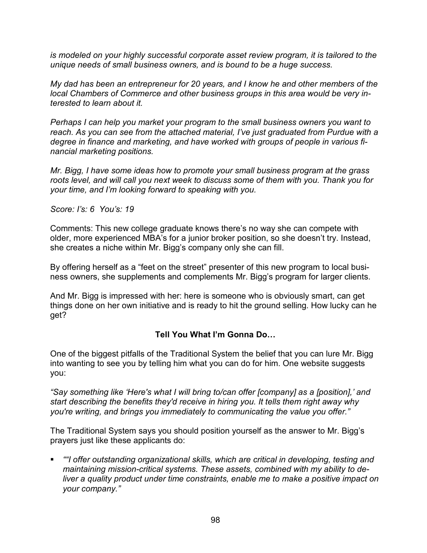is modeled on your highly successful corporate asset review program, it is tailored to the unique needs of small business owners, and is bound to be a huge success.

My dad has been an entrepreneur for 20 years, and I know he and other members of the local Chambers of Commerce and other business groups in this area would be very interested to learn about it.

Perhaps I can help you market your program to the small business owners you want to reach. As you can see from the attached material, I've just graduated from Purdue with a degree in finance and marketing, and have worked with groups of people in various financial marketing positions.

Mr. Bigg, I have some ideas how to promote your small business program at the grass roots level, and will call you next week to discuss some of them with you. Thank you for your time, and I'm looking forward to speaking with you.

Score: I's: 6 You's: 19

Comments: This new college graduate knows there's no way she can compete with older, more experienced MBA's for a junior broker position, so she doesn't try. Instead, she creates a niche within Mr. Bigg's company only she can fill.

By offering herself as a "feet on the street" presenter of this new program to local business owners, she supplements and complements Mr. Bigg's program for larger clients.

And Mr. Bigg is impressed with her: here is someone who is obviously smart, can get things done on her own initiative and is ready to hit the ground selling. How lucky can he get?

## Tell You What I'm Gonna Do…

One of the biggest pitfalls of the Traditional System the belief that you can lure Mr. Bigg into wanting to see you by telling him what you can do for him. One website suggests you:

"Say something like 'Here's what I will bring to/can offer [company] as a [position],' and start describing the benefits they'd receive in hiring you. It tells them right away why you're writing, and brings you immediately to communicating the value you offer."

The Traditional System says you should position yourself as the answer to Mr. Bigg's prayers just like these applicants do:

 ""I offer outstanding organizational skills, which are critical in developing, testing and maintaining mission-critical systems. These assets, combined with my ability to deliver a quality product under time constraints, enable me to make a positive impact on your company."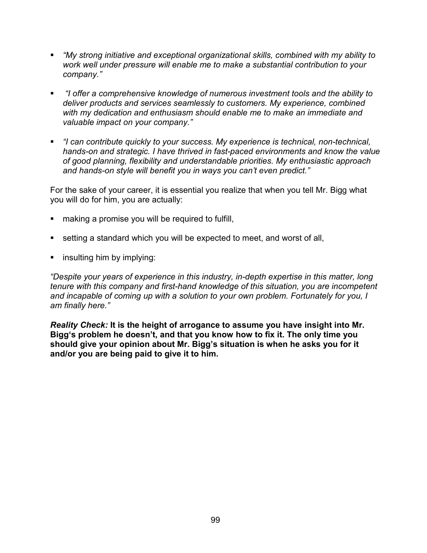- "My strong initiative and exceptional organizational skills, combined with my ability to work well under pressure will enable me to make a substantial contribution to your company."
- "I offer a comprehensive knowledge of numerous investment tools and the ability to deliver products and services seamlessly to customers. My experience, combined with my dedication and enthusiasm should enable me to make an immediate and valuable impact on your company."
- "I can contribute quickly to your success. My experience is technical, non-technical, hands-on and strategic. I have thrived in fast-paced environments and know the value of good planning, flexibility and understandable priorities. My enthusiastic approach and hands-on style will benefit you in ways you can't even predict."

For the sake of your career, it is essential you realize that when you tell Mr. Bigg what you will do for him, you are actually:

- making a promise you will be required to fulfill,
- setting a standard which you will be expected to meet, and worst of all,
- insulting him by implying:

"Despite your years of experience in this industry, in-depth expertise in this matter, long tenure with this company and first-hand knowledge of this situation, you are incompetent and incapable of coming up with a solution to your own problem. Fortunately for you, I am finally here."

Reality Check: It is the height of arrogance to assume you have insight into Mr. Bigg's problem he doesn't, and that you know how to fix it. The only time you should give your opinion about Mr. Bigg's situation is when he asks you for it and/or you are being paid to give it to him.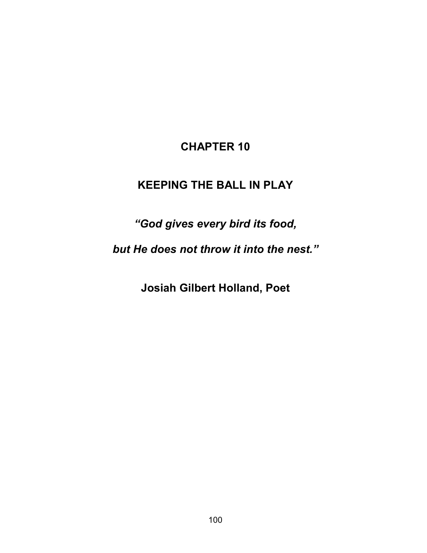## CHAPTER 10

## KEEPING THE BALL IN PLAY

"God gives every bird its food,

but He does not throw it into the nest."

Josiah Gilbert Holland, Poet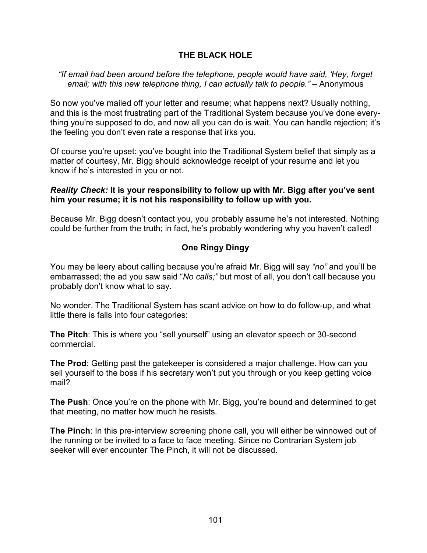## THE BLACK HOLE

"If email had been around before the telephone, people would have said, 'Hey, forget email; with this new telephone thing, I can actually talk to people." – Anonymous

So now you've mailed off your letter and resume; what happens next? Usually nothing, and this is the most frustrating part of the Traditional System because you've done everything you're supposed to do, and now all you can do is wait. You can handle rejection; it's the feeling you don't even rate a response that irks you.

Of course you're upset: you've bought into the Traditional System belief that simply as a matter of courtesy, Mr. Bigg should acknowledge receipt of your resume and let you know if he's interested in you or not.

#### Reality Check: It is your responsibility to follow up with Mr. Bigg after you've sent him your resume; it is not his responsibility to follow up with you.

Because Mr. Bigg doesn't contact you, you probably assume he's not interested. Nothing could be further from the truth; in fact, he's probably wondering why you haven't called!

## One Ringy Dingy

You may be leery about calling because you're afraid Mr. Bigg will say "no" and you'll be embarrassed; the ad you saw said "No calls;" but most of all, you don't call because you probably don't know what to say.

No wonder. The Traditional System has scant advice on how to do follow-up, and what little there is falls into four categories:

The Pitch: This is where you "sell yourself" using an elevator speech or 30-second commercial.

The Prod: Getting past the gatekeeper is considered a major challenge. How can you sell yourself to the boss if his secretary won't put you through or you keep getting voice mail?

The Push: Once you're on the phone with Mr. Bigg, you're bound and determined to get that meeting, no matter how much he resists.

The Pinch: In this pre-interview screening phone call, you will either be winnowed out of the running or be invited to a face to face meeting. Since no Contrarian System job seeker will ever encounter The Pinch, it will not be discussed.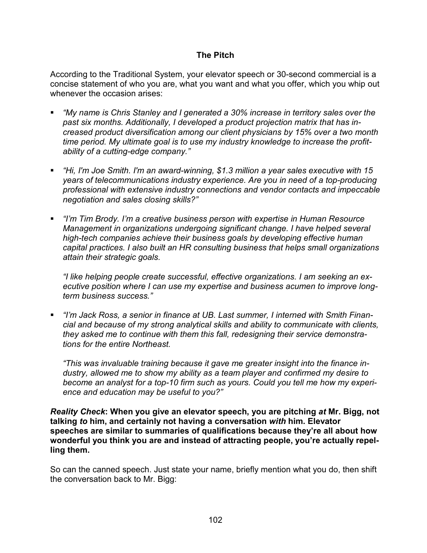## The Pitch

According to the Traditional System, your elevator speech or 30-second commercial is a concise statement of who you are, what you want and what you offer, which you whip out whenever the occasion arises:

- "My name is Chris Stanley and I generated a 30% increase in territory sales over the past six months. Additionally, I developed a product projection matrix that has increased product diversification among our client physicians by 15% over a two month time period. My ultimate goal is to use my industry knowledge to increase the profitability of a cutting-edge company."
- "Hi, I'm Joe Smith. I'm an award-winning, \$1.3 million a year sales executive with 15 years of telecommunications industry experience. Are you in need of a top-producing professional with extensive industry connections and vendor contacts and impeccable negotiation and sales closing skills?"
- "I'm Tim Brody. I'm a creative business person with expertise in Human Resource Management in organizations undergoing significant change. I have helped several high-tech companies achieve their business goals by developing effective human capital practices. I also built an HR consulting business that helps small organizations attain their strategic goals.

"I like helping people create successful, effective organizations. I am seeking an executive position where I can use my expertise and business acumen to improve longterm business success."

■ "I'm Jack Ross, a senior in finance at UB. Last summer, I interned with Smith Financial and because of my strong analytical skills and ability to communicate with clients, they asked me to continue with them this fall, redesigning their service demonstrations for the entire Northeast.

"This was invaluable training because it gave me greater insight into the finance industry, allowed me to show my ability as a team player and confirmed my desire to become an analyst for a top-10 firm such as yours. Could you tell me how my experience and education may be useful to you?"

Reality Check: When you give an elevator speech, you are pitching at Mr. Bigg, not talking to him, and certainly not having a conversation with him. Elevator speeches are similar to summaries of qualifications because they're all about how wonderful you think you are and instead of attracting people, you're actually repelling them.

So can the canned speech. Just state your name, briefly mention what you do, then shift the conversation back to Mr. Bigg: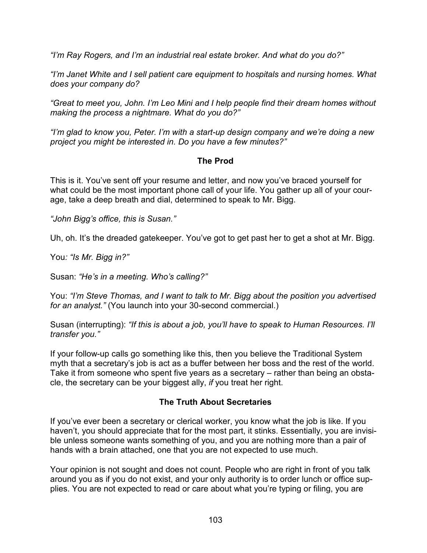"I'm Ray Rogers, and I'm an industrial real estate broker. And what do you do?"

"I'm Janet White and I sell patient care equipment to hospitals and nursing homes. What does your company do?

"Great to meet you, John. I'm Leo Mini and I help people find their dream homes without making the process a nightmare. What do you do?"

"I'm glad to know you, Peter. I'm with a start-up design company and we're doing a new project you might be interested in. Do you have a few minutes?"

## The Prod

This is it. You've sent off your resume and letter, and now you've braced yourself for what could be the most important phone call of your life. You gather up all of your courage, take a deep breath and dial, determined to speak to Mr. Bigg.

"John Bigg's office, this is Susan."

Uh, oh. It's the dreaded gatekeeper. You've got to get past her to get a shot at Mr. Bigg.

You: "Is Mr. Bigg in?"

Susan: "He's in a meeting. Who's calling?"

You: "I'm Steve Thomas, and I want to talk to Mr. Bigg about the position you advertised for an analyst." (You launch into your 30-second commercial.)

Susan (interrupting): "If this is about a job, you'll have to speak to Human Resources. I'll transfer you."

If your follow-up calls go something like this, then you believe the Traditional System myth that a secretary's job is act as a buffer between her boss and the rest of the world. Take it from someone who spent five years as a secretary – rather than being an obstacle, the secretary can be your biggest ally, if you treat her right.

## The Truth About Secretaries

If you've ever been a secretary or clerical worker, you know what the job is like. If you haven't, you should appreciate that for the most part, it stinks. Essentially, you are invisible unless someone wants something of you, and you are nothing more than a pair of hands with a brain attached, one that you are not expected to use much.

Your opinion is not sought and does not count. People who are right in front of you talk around you as if you do not exist, and your only authority is to order lunch or office supplies. You are not expected to read or care about what you're typing or filing, you are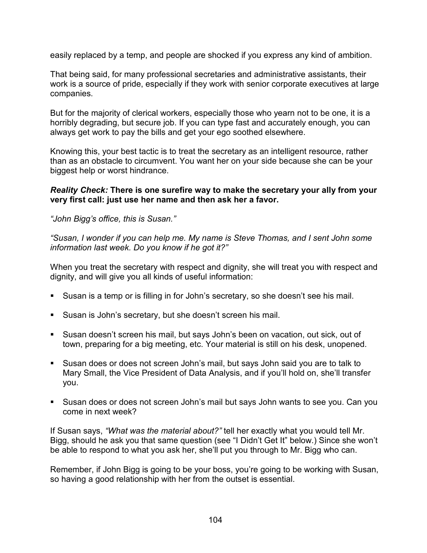easily replaced by a temp, and people are shocked if you express any kind of ambition.

That being said, for many professional secretaries and administrative assistants, their work is a source of pride, especially if they work with senior corporate executives at large companies.

But for the majority of clerical workers, especially those who yearn not to be one, it is a horribly degrading, but secure job. If you can type fast and accurately enough, you can always get work to pay the bills and get your ego soothed elsewhere.

Knowing this, your best tactic is to treat the secretary as an intelligent resource, rather than as an obstacle to circumvent. You want her on your side because she can be your biggest help or worst hindrance.

## Reality Check: There is one surefire way to make the secretary your ally from your very first call: just use her name and then ask her a favor.

"John Bigg's office, this is Susan."

"Susan, I wonder if you can help me. My name is Steve Thomas, and I sent John some information last week. Do you know if he got it?"

When you treat the secretary with respect and dignity, she will treat you with respect and dignity, and will give you all kinds of useful information:

- Susan is a temp or is filling in for John's secretary, so she doesn't see his mail.
- Susan is John's secretary, but she doesn't screen his mail.
- Susan doesn't screen his mail, but says John's been on vacation, out sick, out of town, preparing for a big meeting, etc. Your material is still on his desk, unopened.
- Susan does or does not screen John's mail, but says John said you are to talk to Mary Small, the Vice President of Data Analysis, and if you'll hold on, she'll transfer you.
- Susan does or does not screen John's mail but says John wants to see you. Can you come in next week?

If Susan says, "What was the material about?" tell her exactly what you would tell Mr. Bigg, should he ask you that same question (see "I Didn't Get It" below.) Since she won't be able to respond to what you ask her, she'll put you through to Mr. Bigg who can.

Remember, if John Bigg is going to be your boss, you're going to be working with Susan, so having a good relationship with her from the outset is essential.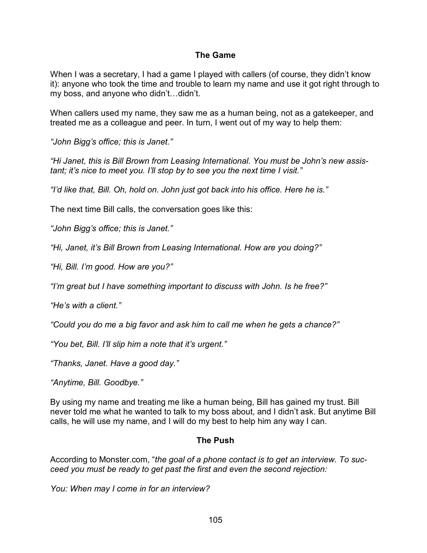## The Game

When I was a secretary, I had a game I played with callers (of course, they didn't know it): anyone who took the time and trouble to learn my name and use it got right through to my boss, and anyone who didn't…didn't.

When callers used my name, they saw me as a human being, not as a gatekeeper, and treated me as a colleague and peer. In turn, I went out of my way to help them:

"John Bigg's office; this is Janet."

"Hi Janet, this is Bill Brown from Leasing International. You must be John's new assistant; it's nice to meet you. I'll stop by to see you the next time I visit."

"I'd like that, Bill. Oh, hold on. John just got back into his office. Here he is."

The next time Bill calls, the conversation goes like this:

"John Bigg's office; this is Janet."

"Hi, Janet, it's Bill Brown from Leasing International. How are you doing?"

"Hi, Bill. I'm good. How are you?"

"I'm great but I have something important to discuss with John. Is he free?"

"He's with a client."

"Could you do me a big favor and ask him to call me when he gets a chance?"

"You bet, Bill. I'll slip him a note that it's urgent."

"Thanks, Janet. Have a good day."

"Anytime, Bill. Goodbye."

By using my name and treating me like a human being, Bill has gained my trust. Bill never told me what he wanted to talk to my boss about, and I didn't ask. But anytime Bill calls, he will use my name, and I will do my best to help him any way I can.

### The Push

According to Monster.com, "the goal of a phone contact is to get an interview. To succeed you must be ready to get past the first and even the second rejection:

You: When may I come in for an interview?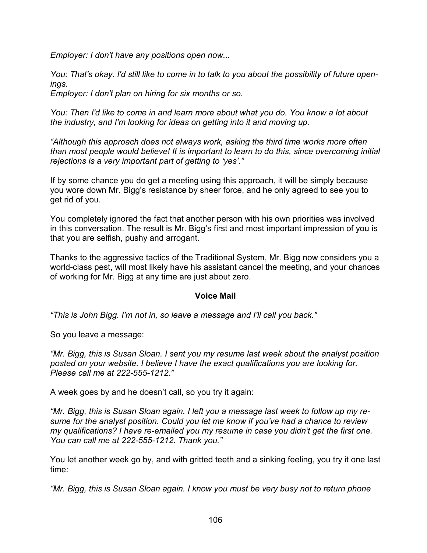Employer: I don't have any positions open now...

You: That's okay. I'd still like to come in to talk to you about the possibility of future openings.

Employer: I don't plan on hiring for six months or so.

You: Then I'd like to come in and learn more about what you do. You know a lot about the industry, and I'm looking for ideas on getting into it and moving up.

"Although this approach does not always work, asking the third time works more often than most people would believe! It is important to learn to do this, since overcoming initial rejections is a very important part of getting to 'yes'."

If by some chance you do get a meeting using this approach, it will be simply because you wore down Mr. Bigg's resistance by sheer force, and he only agreed to see you to get rid of you.

You completely ignored the fact that another person with his own priorities was involved in this conversation. The result is Mr. Bigg's first and most important impression of you is that you are selfish, pushy and arrogant.

Thanks to the aggressive tactics of the Traditional System, Mr. Bigg now considers you a world-class pest, will most likely have his assistant cancel the meeting, and your chances of working for Mr. Bigg at any time are just about zero.

### Voice Mail

"This is John Bigg. I'm not in, so leave a message and I'll call you back."

So you leave a message:

"Mr. Bigg, this is Susan Sloan. I sent you my resume last week about the analyst position posted on your website. I believe I have the exact qualifications you are looking for. Please call me at 222-555-1212."

A week goes by and he doesn't call, so you try it again:

"Mr. Bigg, this is Susan Sloan again. I left you a message last week to follow up my resume for the analyst position. Could you let me know if you've had a chance to review my qualifications? I have re-emailed you my resume in case you didn't get the first one. You can call me at 222-555-1212. Thank you."

You let another week go by, and with gritted teeth and a sinking feeling, you try it one last time:

"Mr. Bigg, this is Susan Sloan again. I know you must be very busy not to return phone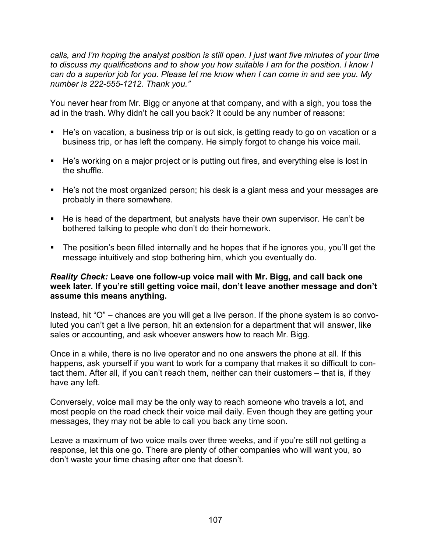calls, and I'm hoping the analyst position is still open. I just want five minutes of your time to discuss my qualifications and to show you how suitable I am for the position. I know I can do a superior job for you. Please let me know when I can come in and see you. My number is 222-555-1212. Thank you."

You never hear from Mr. Bigg or anyone at that company, and with a sigh, you toss the ad in the trash. Why didn't he call you back? It could be any number of reasons:

- He's on vacation, a business trip or is out sick, is getting ready to go on vacation or a business trip, or has left the company. He simply forgot to change his voice mail.
- He's working on a major project or is putting out fires, and everything else is lost in the shuffle.
- He's not the most organized person; his desk is a giant mess and your messages are probably in there somewhere.
- He is head of the department, but analysts have their own supervisor. He can't be bothered talking to people who don't do their homework.
- The position's been filled internally and he hopes that if he ignores you, you'll get the message intuitively and stop bothering him, which you eventually do.

## Reality Check: Leave one follow-up voice mail with Mr. Bigg, and call back one week later. If you're still getting voice mail, don't leave another message and don't assume this means anything.

Instead, hit "O" – chances are you will get a live person. If the phone system is so convoluted you can't get a live person, hit an extension for a department that will answer, like sales or accounting, and ask whoever answers how to reach Mr. Bigg.

Once in a while, there is no live operator and no one answers the phone at all. If this happens, ask yourself if you want to work for a company that makes it so difficult to contact them. After all, if you can't reach them, neither can their customers – that is, if they have any left.

Conversely, voice mail may be the only way to reach someone who travels a lot, and most people on the road check their voice mail daily. Even though they are getting your messages, they may not be able to call you back any time soon.

Leave a maximum of two voice mails over three weeks, and if you're still not getting a response, let this one go. There are plenty of other companies who will want you, so don't waste your time chasing after one that doesn't.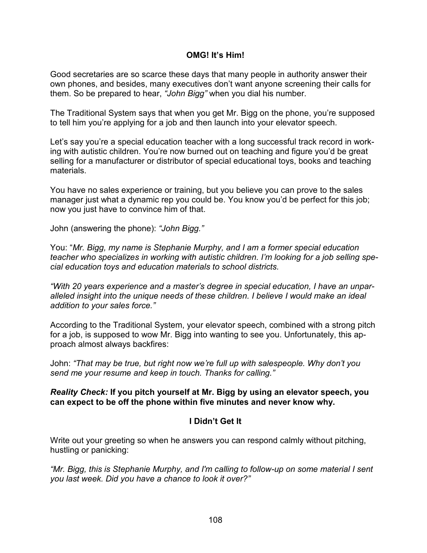### OMG! It's Him!

Good secretaries are so scarce these days that many people in authority answer their own phones, and besides, many executives don't want anyone screening their calls for them. So be prepared to hear, "John Bigg" when you dial his number.

The Traditional System says that when you get Mr. Bigg on the phone, you're supposed to tell him you're applying for a job and then launch into your elevator speech.

Let's say you're a special education teacher with a long successful track record in working with autistic children. You're now burned out on teaching and figure you'd be great selling for a manufacturer or distributor of special educational toys, books and teaching materials.

You have no sales experience or training, but you believe you can prove to the sales manager just what a dynamic rep you could be. You know you'd be perfect for this job; now you just have to convince him of that.

John (answering the phone): "John Bigg."

You: "Mr. Bigg, my name is Stephanie Murphy, and I am a former special education teacher who specializes in working with autistic children. I'm looking for a job selling special education toys and education materials to school districts.

"With 20 years experience and a master's degree in special education, I have an unparalleled insight into the unique needs of these children. I believe I would make an ideal addition to your sales force."

According to the Traditional System, your elevator speech, combined with a strong pitch for a job, is supposed to wow Mr. Bigg into wanting to see you. Unfortunately, this approach almost always backfires:

John: "That may be true, but right now we're full up with salespeople. Why don't you send me your resume and keep in touch. Thanks for calling."

#### Reality Check: If you pitch yourself at Mr. Bigg by using an elevator speech, you can expect to be off the phone within five minutes and never know why.

### I Didn't Get It

Write out your greeting so when he answers you can respond calmly without pitching, hustling or panicking:

"Mr. Bigg, this is Stephanie Murphy, and I'm calling to follow-up on some material I sent you last week. Did you have a chance to look it over?"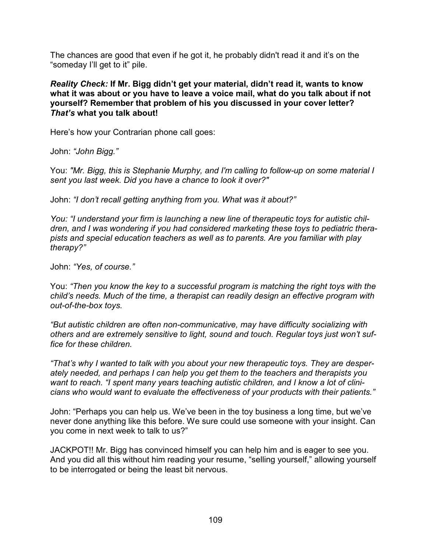The chances are good that even if he got it, he probably didn't read it and it's on the "someday I'll get to it" pile.

Reality Check: If Mr. Bigg didn't get your material, didn't read it, wants to know what it was about or you have to leave a voice mail, what do you talk about if not yourself? Remember that problem of his you discussed in your cover letter? That's what you talk about!

Here's how your Contrarian phone call goes:

John: "John Bigg."

You: "Mr. Bigg, this is Stephanie Murphy, and I'm calling to follow-up on some material I sent you last week. Did you have a chance to look it over?"

John: "I don't recall getting anything from you. What was it about?"

You: "I understand your firm is launching a new line of therapeutic toys for autistic children, and I was wondering if you had considered marketing these toys to pediatric therapists and special education teachers as well as to parents. Are you familiar with play therapy?"

John: "Yes, of course."

You: "Then you know the key to a successful program is matching the right toys with the child's needs. Much of the time, a therapist can readily design an effective program with out-of-the-box toys.

"But autistic children are often non-communicative, may have difficulty socializing with others and are extremely sensitive to light, sound and touch. Regular toys just won't suffice for these children.

"That's why I wanted to talk with you about your new therapeutic toys. They are desperately needed, and perhaps I can help you get them to the teachers and therapists you want to reach. "I spent many years teaching autistic children, and I know a lot of clinicians who would want to evaluate the effectiveness of your products with their patients."

John: "Perhaps you can help us. We've been in the toy business a long time, but we've never done anything like this before. We sure could use someone with your insight. Can you come in next week to talk to us?"

JACKPOT!! Mr. Bigg has convinced himself you can help him and is eager to see you. And you did all this without him reading your resume, "selling yourself," allowing yourself to be interrogated or being the least bit nervous.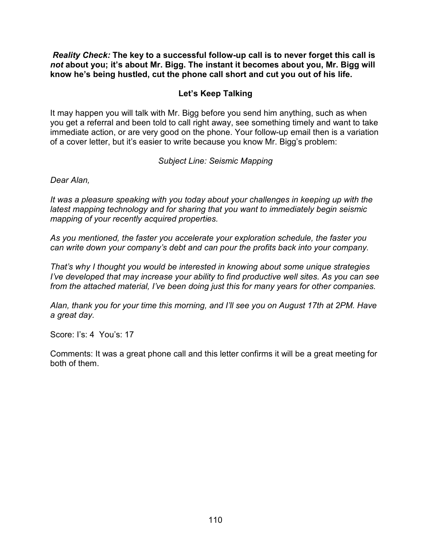Reality Check: The key to a successful follow-up call is to never forget this call is not about you; it's about Mr. Bigg. The instant it becomes about you, Mr. Bigg will know he's being hustled, cut the phone call short and cut you out of his life.

# Let's Keep Talking

It may happen you will talk with Mr. Bigg before you send him anything, such as when you get a referral and been told to call right away, see something timely and want to take immediate action, or are very good on the phone. Your follow-up email then is a variation of a cover letter, but it's easier to write because you know Mr. Bigg's problem:

## Subject Line: Seismic Mapping

Dear Alan,

It was a pleasure speaking with you today about your challenges in keeping up with the latest mapping technology and for sharing that you want to immediately begin seismic mapping of your recently acquired properties.

As you mentioned, the faster you accelerate your exploration schedule, the faster you can write down your company's debt and can pour the profits back into your company.

That's why I thought you would be interested in knowing about some unique strategies I've developed that may increase your ability to find productive well sites. As you can see from the attached material, I've been doing just this for many years for other companies.

Alan, thank you for your time this morning, and I'll see you on August 17th at 2PM. Have a great day.

Score: I's: 4 You's: 17

Comments: It was a great phone call and this letter confirms it will be a great meeting for both of them.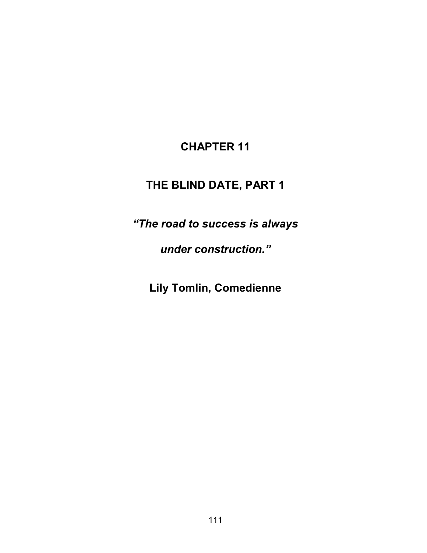# CHAPTER 11

# THE BLIND DATE, PART 1

"The road to success is always

under construction."

Lily Tomlin, Comedienne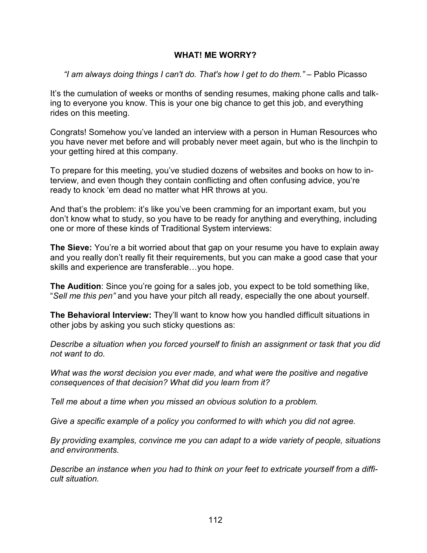### WHAT! ME WORRY?

"I am always doing things I can't do. That's how I get to do them." – Pablo Picasso

It's the cumulation of weeks or months of sending resumes, making phone calls and talking to everyone you know. This is your one big chance to get this job, and everything rides on this meeting.

Congrats! Somehow you've landed an interview with a person in Human Resources who you have never met before and will probably never meet again, but who is the linchpin to your getting hired at this company.

To prepare for this meeting, you've studied dozens of websites and books on how to interview, and even though they contain conflicting and often confusing advice, you're ready to knock 'em dead no matter what HR throws at you.

And that's the problem: it's like you've been cramming for an important exam, but you don't know what to study, so you have to be ready for anything and everything, including one or more of these kinds of Traditional System interviews:

The Sieve: You're a bit worried about that gap on your resume you have to explain away and you really don't really fit their requirements, but you can make a good case that your skills and experience are transferable…you hope.

The Audition: Since you're going for a sales job, you expect to be told something like, "Sell me this pen" and you have your pitch all ready, especially the one about yourself.

The Behavioral Interview: They'll want to know how you handled difficult situations in other jobs by asking you such sticky questions as:

Describe a situation when you forced yourself to finish an assignment or task that you did not want to do.

What was the worst decision you ever made, and what were the positive and negative consequences of that decision? What did you learn from it?

Tell me about a time when you missed an obvious solution to a problem.

Give a specific example of a policy you conformed to with which you did not agree.

By providing examples, convince me you can adapt to a wide variety of people, situations and environments.

Describe an instance when you had to think on your feet to extricate yourself from a difficult situation.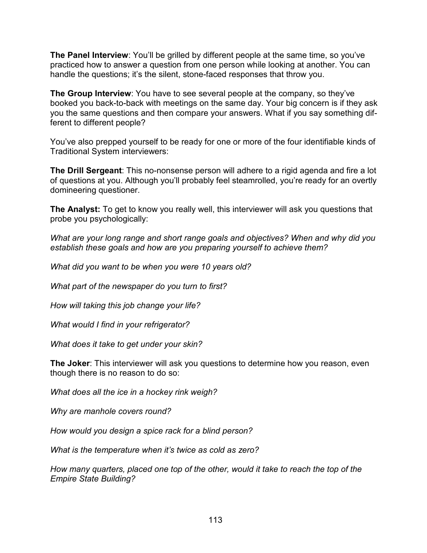The Panel Interview: You'll be grilled by different people at the same time, so you've practiced how to answer a question from one person while looking at another. You can handle the questions; it's the silent, stone-faced responses that throw you.

The Group Interview: You have to see several people at the company, so they've booked you back-to-back with meetings on the same day. Your big concern is if they ask you the same questions and then compare your answers. What if you say something different to different people?

You've also prepped yourself to be ready for one or more of the four identifiable kinds of Traditional System interviewers:

The Drill Sergeant: This no-nonsense person will adhere to a rigid agenda and fire a lot of questions at you. Although you'll probably feel steamrolled, you're ready for an overtly domineering questioner.

The Analyst: To get to know you really well, this interviewer will ask you questions that probe you psychologically:

What are your long range and short range goals and objectives? When and why did you establish these goals and how are you preparing yourself to achieve them?

What did you want to be when you were 10 years old?

What part of the newspaper do you turn to first?

How will taking this job change your life?

What would I find in your refrigerator?

What does it take to get under your skin?

The Joker: This interviewer will ask you questions to determine how you reason, even though there is no reason to do so:

What does all the ice in a hockey rink weigh?

Why are manhole covers round?

How would you design a spice rack for a blind person?

What is the temperature when it's twice as cold as zero?

How many quarters, placed one top of the other, would it take to reach the top of the Empire State Building?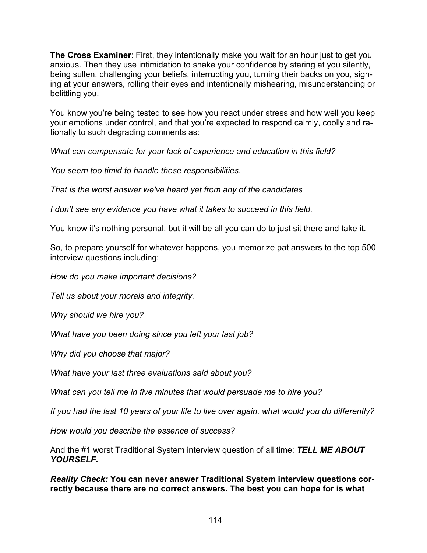The Cross Examiner: First, they intentionally make you wait for an hour just to get you anxious. Then they use intimidation to shake your confidence by staring at you silently, being sullen, challenging your beliefs, interrupting you, turning their backs on you, sighing at your answers, rolling their eyes and intentionally mishearing, misunderstanding or belittling you.

You know you're being tested to see how you react under stress and how well you keep your emotions under control, and that you're expected to respond calmly, coolly and rationally to such degrading comments as:

What can compensate for your lack of experience and education in this field?

You seem too timid to handle these responsibilities.

That is the worst answer we've heard yet from any of the candidates

I don't see any evidence you have what it takes to succeed in this field.

You know it's nothing personal, but it will be all you can do to just sit there and take it.

So, to prepare yourself for whatever happens, you memorize pat answers to the top 500 interview questions including:

How do you make important decisions?

Tell us about your morals and integrity.

Why should we hire you?

What have you been doing since you left your last job?

Why did you choose that major?

What have your last three evaluations said about you?

What can you tell me in five minutes that would persuade me to hire you?

If you had the last 10 years of your life to live over again, what would you do differently?

How would you describe the essence of success?

And the #1 worst Traditional System interview question of all time: TELL ME ABOUT YOURSELF.

Reality Check: You can never answer Traditional System interview questions correctly because there are no correct answers. The best you can hope for is what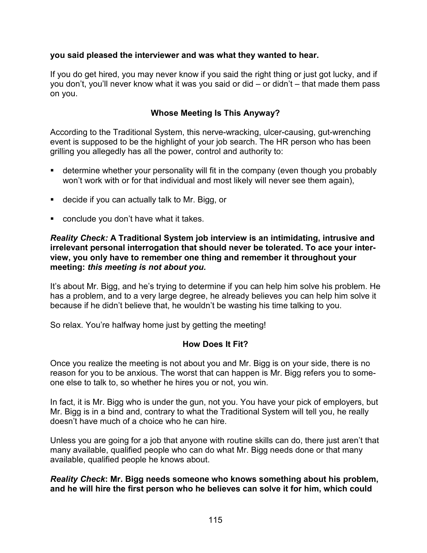### you said pleased the interviewer and was what they wanted to hear.

If you do get hired, you may never know if you said the right thing or just got lucky, and if you don't, you'll never know what it was you said or did – or didn't – that made them pass on you.

# Whose Meeting Is This Anyway?

According to the Traditional System, this nerve-wracking, ulcer-causing, gut-wrenching event is supposed to be the highlight of your job search. The HR person who has been grilling you allegedly has all the power, control and authority to:

- determine whether your personality will fit in the company (even though you probably won't work with or for that individual and most likely will never see them again),
- decide if you can actually talk to Mr. Bigg, or
- conclude you don't have what it takes.

#### Reality Check: A Traditional System job interview is an intimidating, intrusive and irrelevant personal interrogation that should never be tolerated. To ace your interview, you only have to remember one thing and remember it throughout your meeting: this meeting is not about you.

It's about Mr. Bigg, and he's trying to determine if you can help him solve his problem. He has a problem, and to a very large degree, he already believes you can help him solve it because if he didn't believe that, he wouldn't be wasting his time talking to you.

So relax. You're halfway home just by getting the meeting!

# How Does It Fit?

Once you realize the meeting is not about you and Mr. Bigg is on your side, there is no reason for you to be anxious. The worst that can happen is Mr. Bigg refers you to someone else to talk to, so whether he hires you or not, you win.

In fact, it is Mr. Bigg who is under the gun, not you. You have your pick of employers, but Mr. Bigg is in a bind and, contrary to what the Traditional System will tell you, he really doesn't have much of a choice who he can hire.

Unless you are going for a job that anyone with routine skills can do, there just aren't that many available, qualified people who can do what Mr. Bigg needs done or that many available, qualified people he knows about.

#### Reality Check: Mr. Bigg needs someone who knows something about his problem, and he will hire the first person who he believes can solve it for him, which could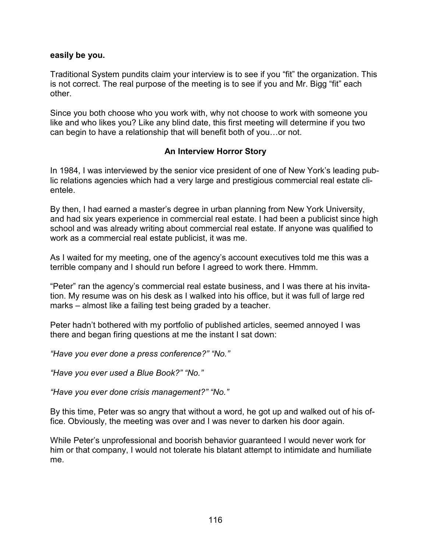#### easily be you.

Traditional System pundits claim your interview is to see if you "fit" the organization. This is not correct. The real purpose of the meeting is to see if you and Mr. Bigg "fit" each other.

Since you both choose who you work with, why not choose to work with someone you like and who likes you? Like any blind date, this first meeting will determine if you two can begin to have a relationship that will benefit both of you…or not.

#### An Interview Horror Story

In 1984, I was interviewed by the senior vice president of one of New York's leading public relations agencies which had a very large and prestigious commercial real estate clientele.

By then, I had earned a master's degree in urban planning from New York University, and had six years experience in commercial real estate. I had been a publicist since high school and was already writing about commercial real estate. If anyone was qualified to work as a commercial real estate publicist, it was me.

As I waited for my meeting, one of the agency's account executives told me this was a terrible company and I should run before I agreed to work there. Hmmm.

"Peter" ran the agency's commercial real estate business, and I was there at his invitation. My resume was on his desk as I walked into his office, but it was full of large red marks – almost like a failing test being graded by a teacher.

Peter hadn't bothered with my portfolio of published articles, seemed annoyed I was there and began firing questions at me the instant I sat down:

"Have you ever done a press conference?" "No."

"Have you ever used a Blue Book?" "No."

"Have you ever done crisis management?" "No."

By this time, Peter was so angry that without a word, he got up and walked out of his office. Obviously, the meeting was over and I was never to darken his door again.

While Peter's unprofessional and boorish behavior guaranteed I would never work for him or that company, I would not tolerate his blatant attempt to intimidate and humiliate me.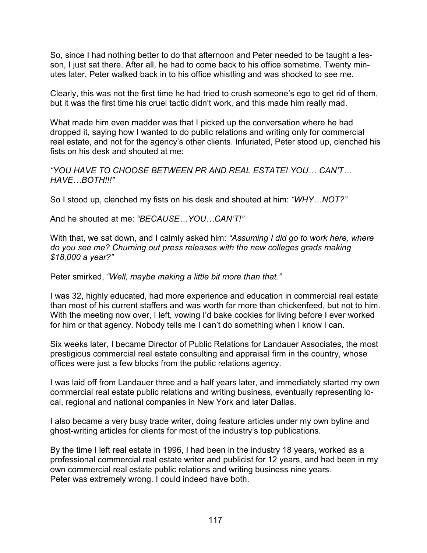So, since I had nothing better to do that afternoon and Peter needed to be taught a lesson, I just sat there. After all, he had to come back to his office sometime. Twenty minutes later, Peter walked back in to his office whistling and was shocked to see me.

Clearly, this was not the first time he had tried to crush someone's ego to get rid of them, but it was the first time his cruel tactic didn't work, and this made him really mad.

What made him even madder was that I picked up the conversation where he had dropped it, saying how I wanted to do public relations and writing only for commercial real estate, and not for the agency's other clients. Infuriated, Peter stood up, clenched his fists on his desk and shouted at me:

"YOU HAVE TO CHOOSE BETWEEN PR AND REAL ESTATE! YOU… CAN'T… HAVE…BOTH!!!"

So I stood up, clenched my fists on his desk and shouted at him: "WHY…NOT?"

And he shouted at me: "BECAUSE…YOU…CAN'T!"

With that, we sat down, and I calmly asked him: "Assuming I did go to work here, where do you see me? Churning out press releases with the new colleges grads making \$18,000 a year?"

Peter smirked, "Well, maybe making a little bit more than that."

I was 32, highly educated, had more experience and education in commercial real estate than most of his current staffers and was worth far more than chickenfeed, but not to him. With the meeting now over, I left, vowing I'd bake cookies for living before I ever worked for him or that agency. Nobody tells me I can't do something when I know I can.

Six weeks later, I became Director of Public Relations for Landauer Associates, the most prestigious commercial real estate consulting and appraisal firm in the country, whose offices were just a few blocks from the public relations agency.

I was laid off from Landauer three and a half years later, and immediately started my own commercial real estate public relations and writing business, eventually representing local, regional and national companies in New York and later Dallas.

I also became a very busy trade writer, doing feature articles under my own byline and ghost-writing articles for clients for most of the industry's top publications.

By the time I left real estate in 1996, I had been in the industry 18 years, worked as a professional commercial real estate writer and publicist for 12 years, and had been in my own commercial real estate public relations and writing business nine years. Peter was extremely wrong. I could indeed have both.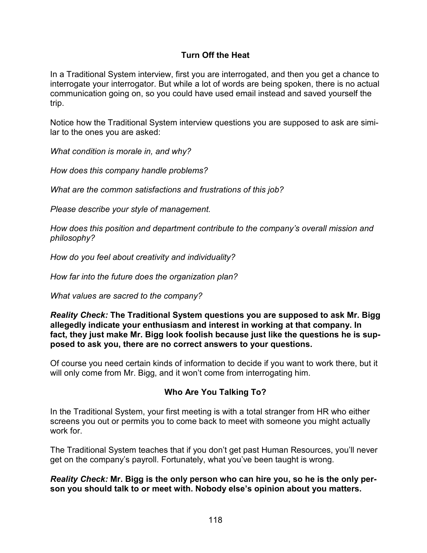# Turn Off the Heat

In a Traditional System interview, first you are interrogated, and then you get a chance to interrogate your interrogator. But while a lot of words are being spoken, there is no actual communication going on, so you could have used email instead and saved yourself the trip.

Notice how the Traditional System interview questions you are supposed to ask are similar to the ones you are asked:

What condition is morale in, and why?

How does this company handle problems?

What are the common satisfactions and frustrations of this job?

Please describe your style of management.

How does this position and department contribute to the company's overall mission and philosophy?

How do you feel about creativity and individuality?

How far into the future does the organization plan?

What values are sacred to the company?

Reality Check: The Traditional System questions you are supposed to ask Mr. Bigg allegedly indicate your enthusiasm and interest in working at that company. In fact, they just make Mr. Bigg look foolish because just like the questions he is supposed to ask you, there are no correct answers to your questions.

Of course you need certain kinds of information to decide if you want to work there, but it will only come from Mr. Bigg, and it won't come from interrogating him.

#### Who Are You Talking To?

In the Traditional System, your first meeting is with a total stranger from HR who either screens you out or permits you to come back to meet with someone you might actually work for.

The Traditional System teaches that if you don't get past Human Resources, you'll never get on the company's payroll. Fortunately, what you've been taught is wrong.

#### Reality Check: Mr. Bigg is the only person who can hire you, so he is the only person you should talk to or meet with. Nobody else's opinion about you matters.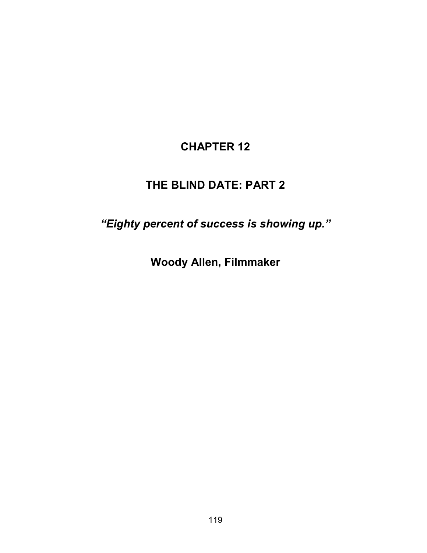# CHAPTER 12

# THE BLIND DATE: PART 2

"Eighty percent of success is showing up."

Woody Allen, Filmmaker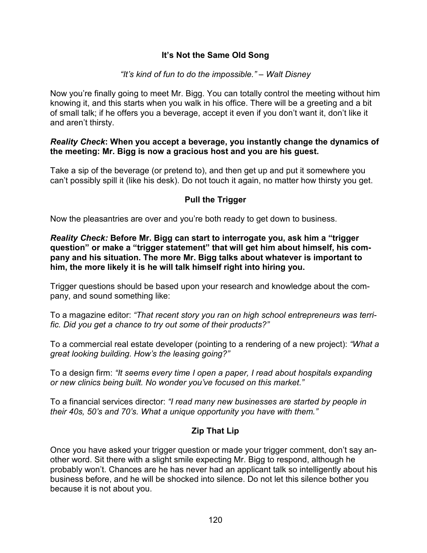# It's Not the Same Old Song

#### "It's kind of fun to do the impossible." – Walt Disney

Now you're finally going to meet Mr. Bigg. You can totally control the meeting without him knowing it, and this starts when you walk in his office. There will be a greeting and a bit of small talk; if he offers you a beverage, accept it even if you don't want it, don't like it and aren't thirsty.

#### Reality Check: When you accept a beverage, you instantly change the dynamics of the meeting: Mr. Bigg is now a gracious host and you are his guest.

Take a sip of the beverage (or pretend to), and then get up and put it somewhere you can't possibly spill it (like his desk). Do not touch it again, no matter how thirsty you get.

## Pull the Trigger

Now the pleasantries are over and you're both ready to get down to business.

Reality Check: Before Mr. Bigg can start to interrogate you, ask him a "trigger question" or make a "trigger statement" that will get him about himself, his company and his situation. The more Mr. Bigg talks about whatever is important to him, the more likely it is he will talk himself right into hiring you.

Trigger questions should be based upon your research and knowledge about the company, and sound something like:

To a magazine editor: "That recent story you ran on high school entrepreneurs was terrific. Did you get a chance to try out some of their products?"

To a commercial real estate developer (pointing to a rendering of a new project): "What a great looking building. How's the leasing going?"

To a design firm: "It seems every time I open a paper, I read about hospitals expanding or new clinics being built. No wonder you've focused on this market."

To a financial services director: "I read many new businesses are started by people in their 40s, 50's and 70's. What a unique opportunity you have with them."

#### Zip That Lip

Once you have asked your trigger question or made your trigger comment, don't say another word. Sit there with a slight smile expecting Mr. Bigg to respond, although he probably won't. Chances are he has never had an applicant talk so intelligently about his business before, and he will be shocked into silence. Do not let this silence bother you because it is not about you.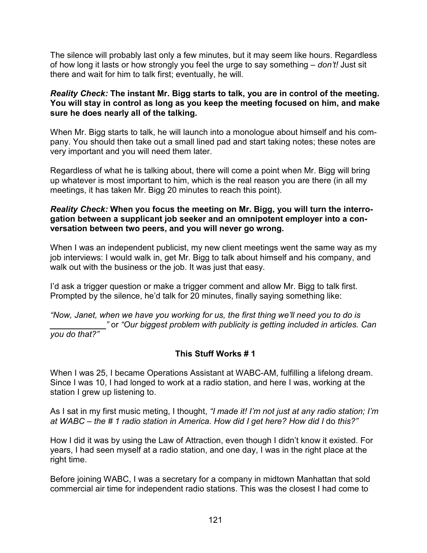The silence will probably last only a few minutes, but it may seem like hours. Regardless of how long it lasts or how strongly you feel the urge to say something – don't! Just sit there and wait for him to talk first; eventually, he will.

## Reality Check: The instant Mr. Bigg starts to talk, you are in control of the meeting. You will stay in control as long as you keep the meeting focused on him, and make sure he does nearly all of the talking.

When Mr. Bigg starts to talk, he will launch into a monologue about himself and his company. You should then take out a small lined pad and start taking notes; these notes are very important and you will need them later.

Regardless of what he is talking about, there will come a point when Mr. Bigg will bring up whatever is most important to him, which is the real reason you are there (in all my meetings, it has taken Mr. Bigg 20 minutes to reach this point).

### Reality Check: When you focus the meeting on Mr. Bigg, you will turn the interrogation between a supplicant job seeker and an omnipotent employer into a conversation between two peers, and you will never go wrong.

When I was an independent publicist, my new client meetings went the same way as my job interviews: I would walk in, get Mr. Bigg to talk about himself and his company, and walk out with the business or the job. It was just that easy.

I'd ask a trigger question or make a trigger comment and allow Mr. Bigg to talk first. Prompted by the silence, he'd talk for 20 minutes, finally saying something like:

"Now, Janet, when we have you working for us, the first thing we'll need you to do is or "Our biggest problem with publicity is getting included in articles. Can

you do that?"

# This Stuff Works # 1

When I was 25, I became Operations Assistant at WABC-AM, fulfilling a lifelong dream. Since I was 10, I had longed to work at a radio station, and here I was, working at the station I grew up listening to.

As I sat in my first music meting, I thought, "I made it! I'm not just at any radio station; I'm at WABC – the # 1 radio station in America. How did I get here? How did I do this?"

How I did it was by using the Law of Attraction, even though I didn't know it existed. For years, I had seen myself at a radio station, and one day, I was in the right place at the right time.

Before joining WABC, I was a secretary for a company in midtown Manhattan that sold commercial air time for independent radio stations. This was the closest I had come to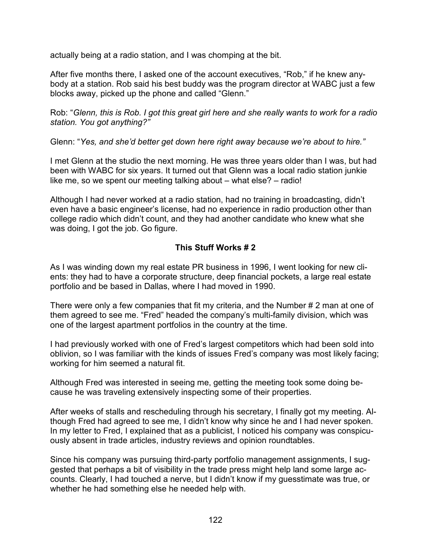actually being at a radio station, and I was chomping at the bit.

After five months there, I asked one of the account executives, "Rob," if he knew anybody at a station. Rob said his best buddy was the program director at WABC just a few blocks away, picked up the phone and called "Glenn."

Rob: "Glenn, this is Rob. I got this great girl here and she really wants to work for a radio station. You got anything?"

Glenn: "Yes, and she'd better get down here right away because we're about to hire."

I met Glenn at the studio the next morning. He was three years older than I was, but had been with WABC for six years. It turned out that Glenn was a local radio station junkie like me, so we spent our meeting talking about – what else? – radio!

Although I had never worked at a radio station, had no training in broadcasting, didn't even have a basic engineer's license, had no experience in radio production other than college radio which didn't count, and they had another candidate who knew what she was doing, I got the job. Go figure.

# This Stuff Works # 2

As I was winding down my real estate PR business in 1996, I went looking for new clients: they had to have a corporate structure, deep financial pockets, a large real estate portfolio and be based in Dallas, where I had moved in 1990.

There were only a few companies that fit my criteria, and the Number # 2 man at one of them agreed to see me. "Fred" headed the company's multi-family division, which was one of the largest apartment portfolios in the country at the time.

I had previously worked with one of Fred's largest competitors which had been sold into oblivion, so I was familiar with the kinds of issues Fred's company was most likely facing; working for him seemed a natural fit.

Although Fred was interested in seeing me, getting the meeting took some doing because he was traveling extensively inspecting some of their properties.

After weeks of stalls and rescheduling through his secretary, I finally got my meeting. Although Fred had agreed to see me, I didn't know why since he and I had never spoken. In my letter to Fred, I explained that as a publicist, I noticed his company was conspicuously absent in trade articles, industry reviews and opinion roundtables.

Since his company was pursuing third-party portfolio management assignments, I suggested that perhaps a bit of visibility in the trade press might help land some large accounts. Clearly, I had touched a nerve, but I didn't know if my guesstimate was true, or whether he had something else he needed help with.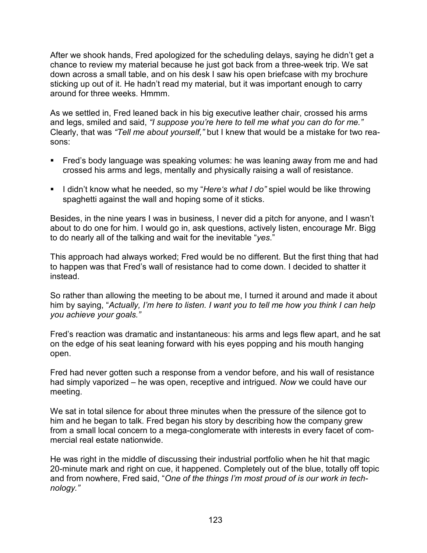After we shook hands, Fred apologized for the scheduling delays, saying he didn't get a chance to review my material because he just got back from a three-week trip. We sat down across a small table, and on his desk I saw his open briefcase with my brochure sticking up out of it. He hadn't read my material, but it was important enough to carry around for three weeks. Hmmm.

As we settled in, Fred leaned back in his big executive leather chair, crossed his arms and legs, smiled and said, "I suppose you're here to tell me what you can do for me." Clearly, that was "Tell me about yourself," but I knew that would be a mistake for two reasons:

- Fred's body language was speaking volumes: he was leaning away from me and had crossed his arms and legs, mentally and physically raising a wall of resistance.
- I didn't know what he needed, so my "Here's what  $I$  do" spiel would be like throwing spaghetti against the wall and hoping some of it sticks.

Besides, in the nine years I was in business, I never did a pitch for anyone, and I wasn't about to do one for him. I would go in, ask questions, actively listen, encourage Mr. Bigg to do nearly all of the talking and wait for the inevitable "yes."

This approach had always worked; Fred would be no different. But the first thing that had to happen was that Fred's wall of resistance had to come down. I decided to shatter it instead.

So rather than allowing the meeting to be about me, I turned it around and made it about him by saying, "Actually, I'm here to listen. I want you to tell me how you think I can help you achieve your goals."

Fred's reaction was dramatic and instantaneous: his arms and legs flew apart, and he sat on the edge of his seat leaning forward with his eyes popping and his mouth hanging open.

Fred had never gotten such a response from a vendor before, and his wall of resistance had simply vaporized – he was open, receptive and intrigued. Now we could have our meeting.

We sat in total silence for about three minutes when the pressure of the silence got to him and he began to talk. Fred began his story by describing how the company grew from a small local concern to a mega-conglomerate with interests in every facet of commercial real estate nationwide.

He was right in the middle of discussing their industrial portfolio when he hit that magic 20-minute mark and right on cue, it happened. Completely out of the blue, totally off topic and from nowhere, Fred said, "One of the things I'm most proud of is our work in technology."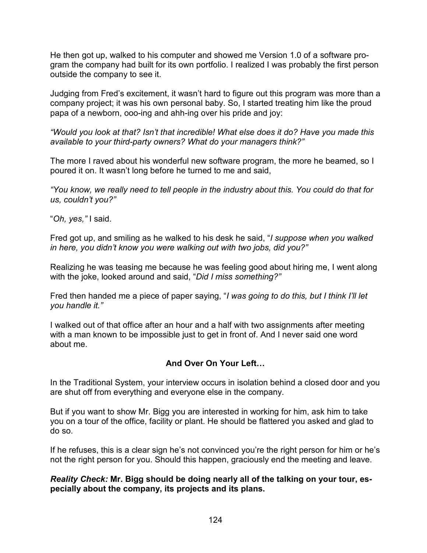He then got up, walked to his computer and showed me Version 1.0 of a software program the company had built for its own portfolio. I realized I was probably the first person outside the company to see it.

Judging from Fred's excitement, it wasn't hard to figure out this program was more than a company project; it was his own personal baby. So, I started treating him like the proud papa of a newborn, ooo-ing and ahh-ing over his pride and joy:

"Would you look at that? Isn't that incredible! What else does it do? Have you made this available to your third-party owners? What do your managers think?"

The more I raved about his wonderful new software program, the more he beamed, so I poured it on. It wasn't long before he turned to me and said,

"You know, we really need to tell people in the industry about this. You could do that for us, couldn't you?"

"Oh, yes," I said.

Fred got up, and smiling as he walked to his desk he said, "I suppose when you walked in here, you didn't know you were walking out with two jobs, did you?"

Realizing he was teasing me because he was feeling good about hiring me, I went along with the joke, looked around and said, "Did I miss something?"

Fred then handed me a piece of paper saying, "I was going to do this, but I think I'll let you handle it."

I walked out of that office after an hour and a half with two assignments after meeting with a man known to be impossible just to get in front of. And I never said one word about me.

# And Over On Your Left…

In the Traditional System, your interview occurs in isolation behind a closed door and you are shut off from everything and everyone else in the company.

But if you want to show Mr. Bigg you are interested in working for him, ask him to take you on a tour of the office, facility or plant. He should be flattered you asked and glad to do so.

If he refuses, this is a clear sign he's not convinced you're the right person for him or he's not the right person for you. Should this happen, graciously end the meeting and leave.

Reality Check: Mr. Bigg should be doing nearly all of the talking on your tour, especially about the company, its projects and its plans.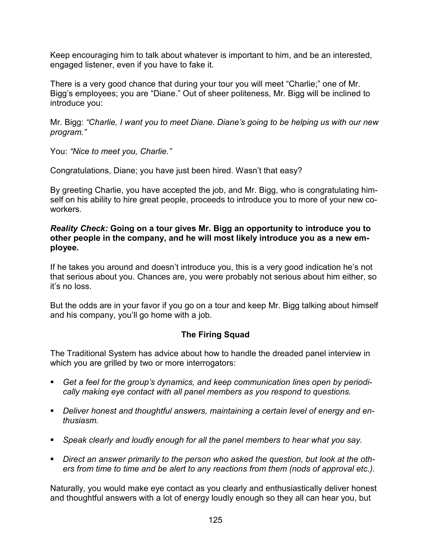Keep encouraging him to talk about whatever is important to him, and be an interested, engaged listener, even if you have to fake it.

There is a very good chance that during your tour you will meet "Charlie;" one of Mr. Bigg's employees; you are "Diane." Out of sheer politeness, Mr. Bigg will be inclined to introduce you:

Mr. Bigg: "Charlie, I want you to meet Diane. Diane's going to be helping us with our new program."

You: "Nice to meet you, Charlie."

Congratulations, Diane; you have just been hired. Wasn't that easy?

By greeting Charlie, you have accepted the job, and Mr. Bigg, who is congratulating himself on his ability to hire great people, proceeds to introduce you to more of your new coworkers.

#### Reality Check: Going on a tour gives Mr. Bigg an opportunity to introduce you to other people in the company, and he will most likely introduce you as a new employee.

If he takes you around and doesn't introduce you, this is a very good indication he's not that serious about you. Chances are, you were probably not serious about him either, so it's no loss.

But the odds are in your favor if you go on a tour and keep Mr. Bigg talking about himself and his company, you'll go home with a job.

# The Firing Squad

The Traditional System has advice about how to handle the dreaded panel interview in which you are grilled by two or more interrogators:

- Get a feel for the group's dynamics, and keep communication lines open by periodically making eye contact with all panel members as you respond to questions.
- **•** Deliver honest and thoughtful answers, maintaining a certain level of energy and enthusiasm.
- **Speak clearly and loudly enough for all the panel members to hear what you say.**
- Direct an answer primarily to the person who asked the question, but look at the others from time to time and be alert to any reactions from them (nods of approval etc.).

Naturally, you would make eye contact as you clearly and enthusiastically deliver honest and thoughtful answers with a lot of energy loudly enough so they all can hear you, but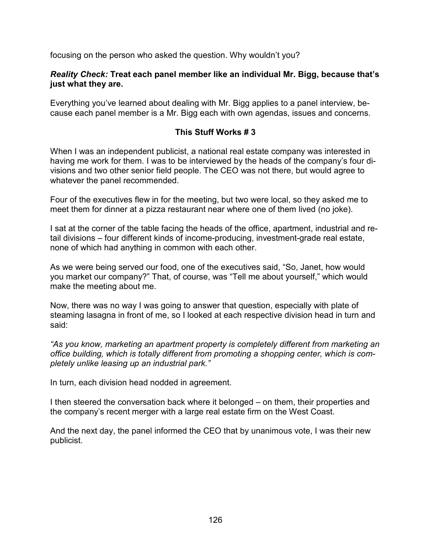focusing on the person who asked the question. Why wouldn't you?

### Reality Check: Treat each panel member like an individual Mr. Bigg, because that's just what they are.

Everything you've learned about dealing with Mr. Bigg applies to a panel interview, because each panel member is a Mr. Bigg each with own agendas, issues and concerns.

# This Stuff Works # 3

When I was an independent publicist, a national real estate company was interested in having me work for them. I was to be interviewed by the heads of the company's four divisions and two other senior field people. The CEO was not there, but would agree to whatever the panel recommended.

Four of the executives flew in for the meeting, but two were local, so they asked me to meet them for dinner at a pizza restaurant near where one of them lived (no joke).

I sat at the corner of the table facing the heads of the office, apartment, industrial and retail divisions – four different kinds of income-producing, investment-grade real estate, none of which had anything in common with each other.

As we were being served our food, one of the executives said, "So, Janet, how would you market our company?" That, of course, was "Tell me about yourself," which would make the meeting about me.

Now, there was no way I was going to answer that question, especially with plate of steaming lasagna in front of me, so I looked at each respective division head in turn and said:

"As you know, marketing an apartment property is completely different from marketing an office building, which is totally different from promoting a shopping center, which is completely unlike leasing up an industrial park."

In turn, each division head nodded in agreement.

I then steered the conversation back where it belonged – on them, their properties and the company's recent merger with a large real estate firm on the West Coast.

And the next day, the panel informed the CEO that by unanimous vote, I was their new publicist.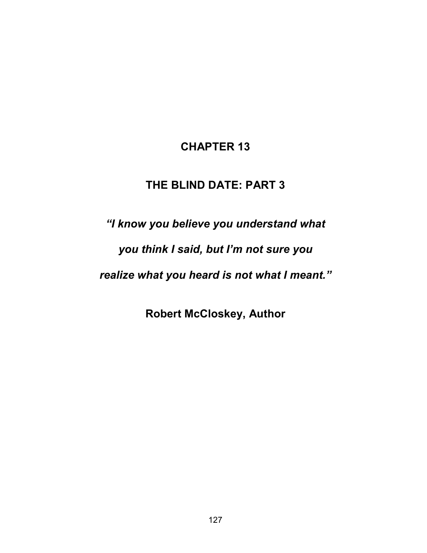# CHAPTER 13

# THE BLIND DATE: PART 3

# "I know you believe you understand what

# you think I said, but I'm not sure you

realize what you heard is not what I meant."

Robert McCloskey, Author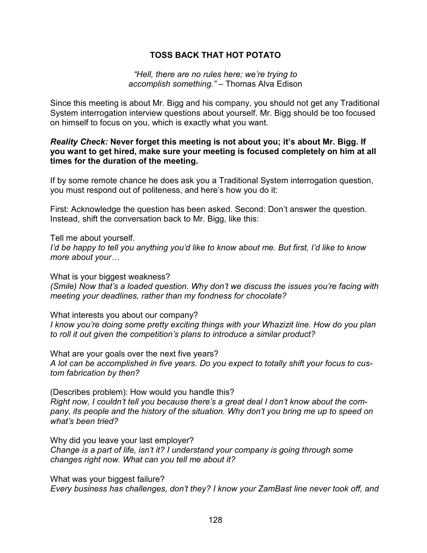## TOSS BACK THAT HOT POTATO

#### "Hell, there are no rules here; we're trying to accomplish something." – Thomas Alva Edison

Since this meeting is about Mr. Bigg and his company, you should not get any Traditional System interrogation interview questions about yourself. Mr. Bigg should be too focused on himself to focus on you, which is exactly what you want.

#### Reality Check: Never forget this meeting is not about you; it's about Mr. Bigg. If you want to get hired, make sure your meeting is focused completely on him at all times for the duration of the meeting.

If by some remote chance he does ask you a Traditional System interrogation question, you must respond out of politeness, and here's how you do it:

First: Acknowledge the question has been asked. Second: Don't answer the question. Instead, shift the conversation back to Mr. Bigg, like this:

Tell me about yourself.

I'd be happy to tell you anything you'd like to know about me. But first, I'd like to know more about your…

What is your biggest weakness? (Smile) Now that's a loaded question. Why don't we discuss the issues you're facing with meeting your deadlines, rather than my fondness for chocolate?

What interests you about our company? I know you're doing some pretty exciting things with your Whazizit line. How do you plan to roll it out given the competition's plans to introduce a similar product?

What are your goals over the next five years? A lot can be accomplished in five years. Do you expect to totally shift your focus to custom fabrication by then?

(Describes problem): How would you handle this? Right now, I couldn't tell you because there's a great deal I don't know about the company, its people and the history of the situation. Why don't you bring me up to speed on what's been tried?

Why did you leave your last employer? Change is a part of life, isn't it? I understand your company is going through some changes right now. What can you tell me about it?

What was your biggest failure? Every business has challenges, don't they? I know your ZamBast line never took off, and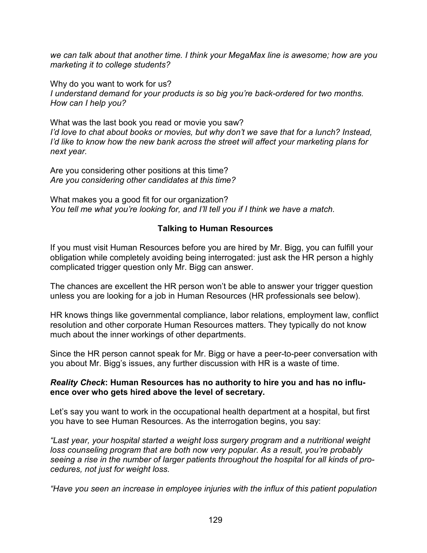we can talk about that another time. I think your MegaMax line is awesome; how are you marketing it to college students?

Why do you want to work for us? I understand demand for your products is so big you're back-ordered for two months. How can I help you?

What was the last book you read or movie you saw? I'd love to chat about books or movies, but why don't we save that for a lunch? Instead, I'd like to know how the new bank across the street will affect your marketing plans for next year.

Are you considering other positions at this time? Are you considering other candidates at this time?

What makes you a good fit for our organization? You tell me what you're looking for, and I'll tell you if I think we have a match.

# Talking to Human Resources

If you must visit Human Resources before you are hired by Mr. Bigg, you can fulfill your obligation while completely avoiding being interrogated: just ask the HR person a highly complicated trigger question only Mr. Bigg can answer.

The chances are excellent the HR person won't be able to answer your trigger question unless you are looking for a job in Human Resources (HR professionals see below).

HR knows things like governmental compliance, labor relations, employment law, conflict resolution and other corporate Human Resources matters. They typically do not know much about the inner workings of other departments.

Since the HR person cannot speak for Mr. Bigg or have a peer-to-peer conversation with you about Mr. Bigg's issues, any further discussion with HR is a waste of time.

#### Reality Check: Human Resources has no authority to hire you and has no influence over who gets hired above the level of secretary.

Let's say you want to work in the occupational health department at a hospital, but first you have to see Human Resources. As the interrogation begins, you say:

"Last year, your hospital started a weight loss surgery program and a nutritional weight loss counseling program that are both now very popular. As a result, you're probably seeing a rise in the number of larger patients throughout the hospital for all kinds of procedures, not just for weight loss.

"Have you seen an increase in employee injuries with the influx of this patient population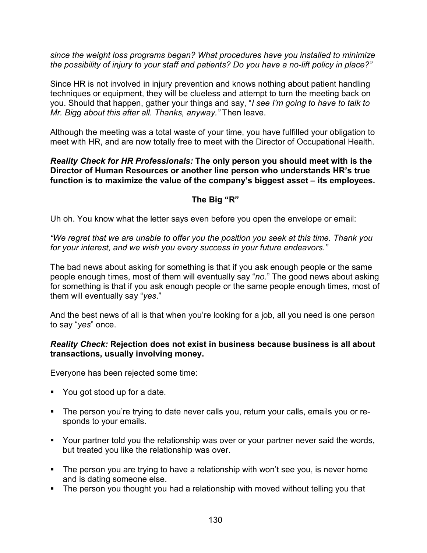since the weight loss programs began? What procedures have you installed to minimize the possibility of injury to your staff and patients? Do you have a no-lift policy in place?"

Since HR is not involved in injury prevention and knows nothing about patient handling techniques or equipment, they will be clueless and attempt to turn the meeting back on you. Should that happen, gather your things and say, "I see I'm going to have to talk to Mr. Bigg about this after all. Thanks, anyway." Then leave.

Although the meeting was a total waste of your time, you have fulfilled your obligation to meet with HR, and are now totally free to meet with the Director of Occupational Health.

### Reality Check for HR Professionals: The only person you should meet with is the Director of Human Resources or another line person who understands HR's true function is to maximize the value of the company's biggest asset – its employees.

# The Big "R"

Uh oh. You know what the letter says even before you open the envelope or email:

"We regret that we are unable to offer you the position you seek at this time. Thank you for your interest, and we wish you every success in your future endeavors."

The bad news about asking for something is that if you ask enough people or the same people enough times, most of them will eventually say "no." The good news about asking for something is that if you ask enough people or the same people enough times, most of them will eventually say "yes."

And the best news of all is that when you're looking for a job, all you need is one person to say "yes" once.

## Reality Check: Rejection does not exist in business because business is all about transactions, usually involving money.

Everyone has been rejected some time:

- You got stood up for a date.
- The person you're trying to date never calls you, return your calls, emails you or responds to your emails.
- Your partner told you the relationship was over or your partner never said the words, but treated you like the relationship was over.
- The person you are trying to have a relationship with won't see you, is never home and is dating someone else.
- **The person you thought you had a relationship with moved without telling you that**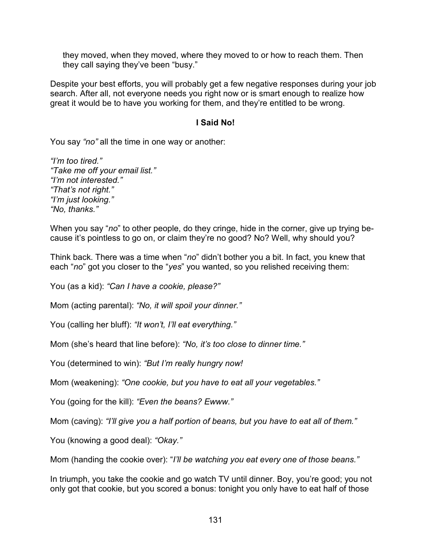they moved, when they moved, where they moved to or how to reach them. Then they call saying they've been "busy."

Despite your best efforts, you will probably get a few negative responses during your job search. After all, not everyone needs you right now or is smart enough to realize how great it would be to have you working for them, and they're entitled to be wrong.

### I Said No!

You say "no" all the time in one way or another:

"I'm too tired." "Take me off your email list." "I'm not interested." "That's not right." "I'm just looking." "No, thanks."

When you say "no" to other people, do they cringe, hide in the corner, give up trying because it's pointless to go on, or claim they're no good? No? Well, why should you?

Think back. There was a time when "no" didn't bother you a bit. In fact, you knew that each "no" got you closer to the "yes" you wanted, so you relished receiving them:

You (as a kid): "Can I have a cookie, please?"

Mom (acting parental): "No, it will spoil your dinner."

You (calling her bluff): "It won't, I'll eat everything."

Mom (she's heard that line before): "No, it's too close to dinner time."

You (determined to win): "But I'm really hungry now!

Mom (weakening): "One cookie, but you have to eat all your vegetables."

You (going for the kill): "Even the beans? Ewww."

Mom (caving): "I'll give you a half portion of beans, but you have to eat all of them."

You (knowing a good deal): "Okay."

Mom (handing the cookie over): "I'll be watching you eat every one of those beans."

In triumph, you take the cookie and go watch TV until dinner. Boy, you're good; you not only got that cookie, but you scored a bonus: tonight you only have to eat half of those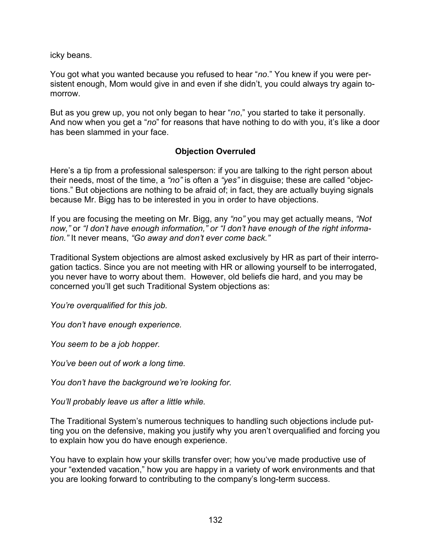icky beans.

You got what you wanted because you refused to hear "no." You knew if you were persistent enough, Mom would give in and even if she didn't, you could always try again tomorrow.

But as you grew up, you not only began to hear "no," you started to take it personally. And now when you get a "no" for reasons that have nothing to do with you, it's like a door has been slammed in your face.

# Objection Overruled

Here's a tip from a professional salesperson: if you are talking to the right person about their needs, most of the time, a "no" is often a "yes" in disguise; these are called "objections." But objections are nothing to be afraid of; in fact, they are actually buying signals because Mr. Bigg has to be interested in you in order to have objections.

If you are focusing the meeting on Mr. Bigg, any "no" you may get actually means, "Not now," or "I don't have enough information," or "I don't have enough of the right information." It never means, "Go away and don't ever come back."

Traditional System objections are almost asked exclusively by HR as part of their interrogation tactics. Since you are not meeting with HR or allowing yourself to be interrogated, you never have to worry about them. However, old beliefs die hard, and you may be concerned you'll get such Traditional System objections as:

You're overqualified for this job.

You don't have enough experience.

You seem to be a job hopper.

You've been out of work a long time.

You don't have the background we're looking for.

You'll probably leave us after a little while.

The Traditional System's numerous techniques to handling such objections include putting you on the defensive, making you justify why you aren't overqualified and forcing you to explain how you do have enough experience.

You have to explain how your skills transfer over; how you've made productive use of your "extended vacation," how you are happy in a variety of work environments and that you are looking forward to contributing to the company's long-term success.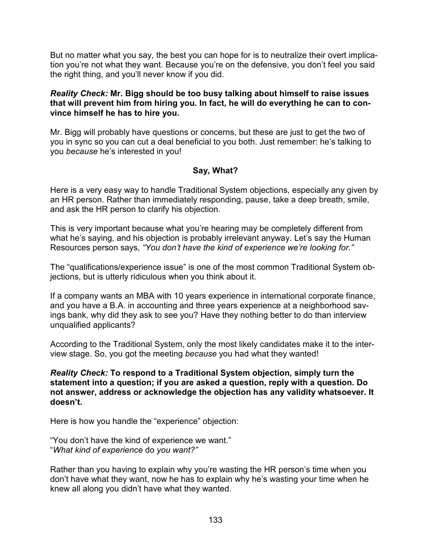But no matter what you say, the best you can hope for is to neutralize their overt implication you're not what they want. Because you're on the defensive, you don't feel you said the right thing, and you'll never know if you did.

### Reality Check: Mr. Bigg should be too busy talking about himself to raise issues that will prevent him from hiring you. In fact, he will do everything he can to convince himself he has to hire you.

Mr. Bigg will probably have questions or concerns, but these are just to get the two of you in sync so you can cut a deal beneficial to you both. Just remember: he's talking to you because he's interested in you!

## Say, What?

Here is a very easy way to handle Traditional System objections, especially any given by an HR person. Rather than immediately responding, pause, take a deep breath, smile, and ask the HR person to clarify his objection.

This is very important because what you're hearing may be completely different from what he's saying, and his objection is probably irrelevant anyway. Let's say the Human Resources person says, "You don't have the kind of experience we're looking for."

The "qualifications/experience issue" is one of the most common Traditional System objections, but is utterly ridiculous when you think about it.

If a company wants an MBA with 10 years experience in international corporate finance, and you have a B.A. in accounting and three years experience at a neighborhood savings bank, why did they ask to see you? Have they nothing better to do than interview unqualified applicants?

According to the Traditional System, only the most likely candidates make it to the interview stage. So, you got the meeting because you had what they wanted!

Reality Check: To respond to a Traditional System objection, simply turn the statement into a question; if you are asked a question, reply with a question. Do not answer, address or acknowledge the objection has any validity whatsoever. It doesn't.

Here is how you handle the "experience" objection:

"You don't have the kind of experience we want." "What kind of experience do you want?"

Rather than you having to explain why you're wasting the HR person's time when you don't have what they want, now he has to explain why he's wasting your time when he knew all along you didn't have what they wanted.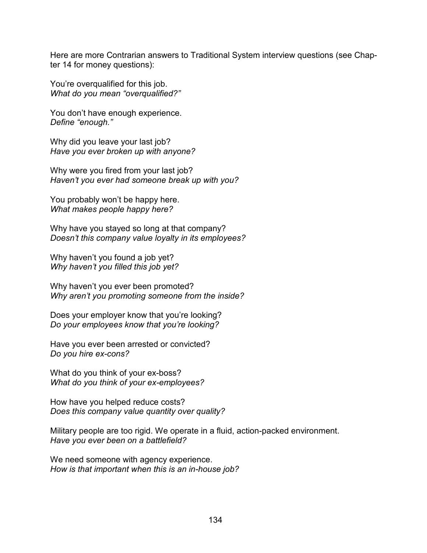Here are more Contrarian answers to Traditional System interview questions (see Chapter 14 for money questions):

You're overqualified for this job. What do you mean "overqualified?"

You don't have enough experience. Define "enough."

Why did you leave your last job? Have you ever broken up with anyone?

Why were you fired from your last job? Haven't you ever had someone break up with you?

You probably won't be happy here. What makes people happy here?

Why have you stayed so long at that company? Doesn't this company value loyalty in its employees?

Why haven't you found a job yet? Why haven't you filled this job yet?

Why haven't you ever been promoted? Why aren't you promoting someone from the inside?

Does your employer know that you're looking? Do your employees know that you're looking?

Have you ever been arrested or convicted? Do you hire ex-cons?

What do you think of your ex-boss? What do you think of your ex-employees?

How have you helped reduce costs? Does this company value quantity over quality?

Military people are too rigid. We operate in a fluid, action-packed environment. Have you ever been on a battlefield?

We need someone with agency experience. How is that important when this is an in-house job?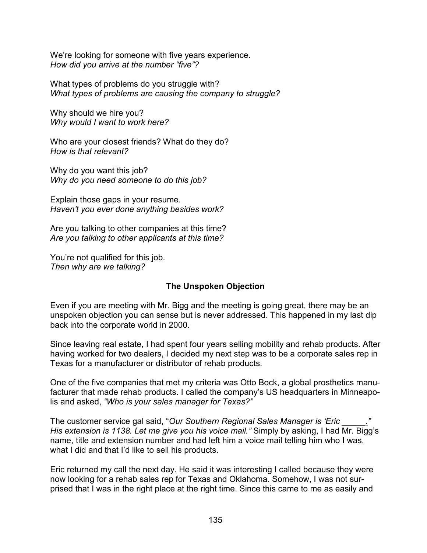We're looking for someone with five years experience. How did you arrive at the number "five"?

What types of problems do you struggle with? What types of problems are causing the company to struggle?

Why should we hire you? Why would I want to work here?

Who are your closest friends? What do they do? How is that relevant?

Why do you want this job? Why do you need someone to do this job?

Explain those gaps in your resume. Haven't you ever done anything besides work?

Are you talking to other companies at this time? Are you talking to other applicants at this time?

You're not qualified for this job. Then why are we talking?

# The Unspoken Objection

Even if you are meeting with Mr. Bigg and the meeting is going great, there may be an unspoken objection you can sense but is never addressed. This happened in my last dip back into the corporate world in 2000.

Since leaving real estate, I had spent four years selling mobility and rehab products. After having worked for two dealers, I decided my next step was to be a corporate sales rep in Texas for a manufacturer or distributor of rehab products.

One of the five companies that met my criteria was Otto Bock, a global prosthetics manufacturer that made rehab products. I called the company's US headquarters in Minneapolis and asked, "Who is your sales manager for Texas?"

The customer service gal said, "Our Southern Regional Sales Manager is 'Eric His extension is 1138. Let me give you his voice mail." Simply by asking, I had Mr. Bigg's name, title and extension number and had left him a voice mail telling him who I was, what I did and that I'd like to sell his products.

Eric returned my call the next day. He said it was interesting I called because they were now looking for a rehab sales rep for Texas and Oklahoma. Somehow, I was not surprised that I was in the right place at the right time. Since this came to me as easily and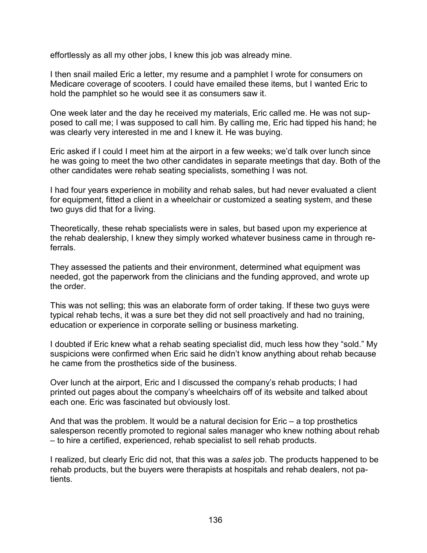effortlessly as all my other jobs, I knew this job was already mine.

I then snail mailed Eric a letter, my resume and a pamphlet I wrote for consumers on Medicare coverage of scooters. I could have emailed these items, but I wanted Eric to hold the pamphlet so he would see it as consumers saw it.

One week later and the day he received my materials, Eric called me. He was not supposed to call me; I was supposed to call him. By calling me, Eric had tipped his hand; he was clearly very interested in me and I knew it. He was buying.

Eric asked if I could I meet him at the airport in a few weeks; we'd talk over lunch since he was going to meet the two other candidates in separate meetings that day. Both of the other candidates were rehab seating specialists, something I was not.

I had four years experience in mobility and rehab sales, but had never evaluated a client for equipment, fitted a client in a wheelchair or customized a seating system, and these two guys did that for a living.

Theoretically, these rehab specialists were in sales, but based upon my experience at the rehab dealership, I knew they simply worked whatever business came in through referrals.

They assessed the patients and their environment, determined what equipment was needed, got the paperwork from the clinicians and the funding approved, and wrote up the order.

This was not selling; this was an elaborate form of order taking. If these two guys were typical rehab techs, it was a sure bet they did not sell proactively and had no training, education or experience in corporate selling or business marketing.

I doubted if Eric knew what a rehab seating specialist did, much less how they "sold." My suspicions were confirmed when Eric said he didn't know anything about rehab because he came from the prosthetics side of the business.

Over lunch at the airport, Eric and I discussed the company's rehab products; I had printed out pages about the company's wheelchairs off of its website and talked about each one. Eric was fascinated but obviously lost.

And that was the problem. It would be a natural decision for Eric – a top prosthetics salesperson recently promoted to regional sales manager who knew nothing about rehab – to hire a certified, experienced, rehab specialist to sell rehab products.

I realized, but clearly Eric did not, that this was a sales job. The products happened to be rehab products, but the buyers were therapists at hospitals and rehab dealers, not patients.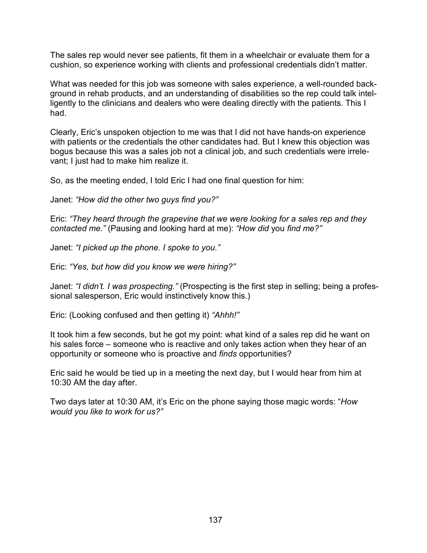The sales rep would never see patients, fit them in a wheelchair or evaluate them for a cushion, so experience working with clients and professional credentials didn't matter.

What was needed for this job was someone with sales experience, a well-rounded background in rehab products, and an understanding of disabilities so the rep could talk intelligently to the clinicians and dealers who were dealing directly with the patients. This I had.

Clearly, Eric's unspoken objection to me was that I did not have hands-on experience with patients or the credentials the other candidates had. But I knew this objection was bogus because this was a sales job not a clinical job, and such credentials were irrelevant; I just had to make him realize it.

So, as the meeting ended, I told Eric I had one final question for him:

Janet: "How did the other two guys find you?"

Eric: "They heard through the grapevine that we were looking for a sales rep and they contacted me." (Pausing and looking hard at me): "How did you find me?"

Janet: "I picked up the phone. I spoke to you."

Eric: "Yes, but how did you know we were hiring?"

Janet: "I didn't. I was prospecting." (Prospecting is the first step in selling; being a professional salesperson, Eric would instinctively know this.)

Eric: (Looking confused and then getting it) "Ahhh!"

It took him a few seconds, but he got my point: what kind of a sales rep did he want on his sales force – someone who is reactive and only takes action when they hear of an opportunity or someone who is proactive and finds opportunities?

Eric said he would be tied up in a meeting the next day, but I would hear from him at 10:30 AM the day after.

Two days later at 10:30 AM, it's Eric on the phone saying those magic words: "How would you like to work for us?"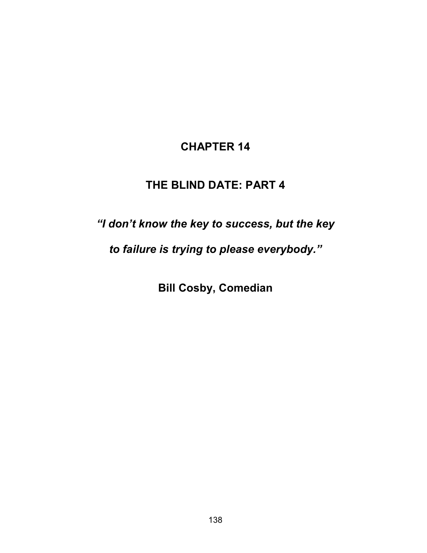# CHAPTER 14

# THE BLIND DATE: PART 4

# "I don't know the key to success, but the key

# to failure is trying to please everybody."

Bill Cosby, Comedian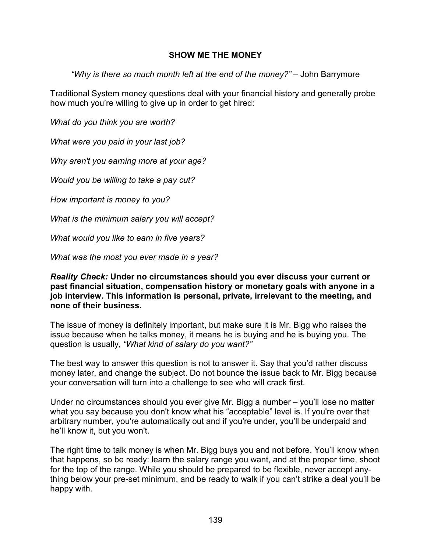## SHOW ME THE MONEY

"Why is there so much month left at the end of the money?" – John Barrymore

Traditional System money questions deal with your financial history and generally probe how much you're willing to give up in order to get hired:

What do you think you are worth?

What were you paid in your last job?

Why aren't you earning more at your age?

Would you be willing to take a pay cut?

How important is money to you?

What is the minimum salary you will accept?

What would you like to earn in five years?

What was the most you ever made in a year?

#### Reality Check: Under no circumstances should you ever discuss your current or past financial situation, compensation history or monetary goals with anyone in a job interview. This information is personal, private, irrelevant to the meeting, and none of their business.

The issue of money is definitely important, but make sure it is Mr. Bigg who raises the issue because when he talks money, it means he is buying and he is buying you. The question is usually, "What kind of salary do you want?"

The best way to answer this question is not to answer it. Say that you'd rather discuss money later, and change the subject. Do not bounce the issue back to Mr. Bigg because your conversation will turn into a challenge to see who will crack first.

Under no circumstances should you ever give Mr. Bigg a number – you'll lose no matter what you say because you don't know what his "acceptable" level is. If you're over that arbitrary number, you're automatically out and if you're under, you'll be underpaid and he'll know it, but you won't.

The right time to talk money is when Mr. Bigg buys you and not before. You'll know when that happens, so be ready: learn the salary range you want, and at the proper time, shoot for the top of the range. While you should be prepared to be flexible, never accept anything below your pre-set minimum, and be ready to walk if you can't strike a deal you'll be happy with.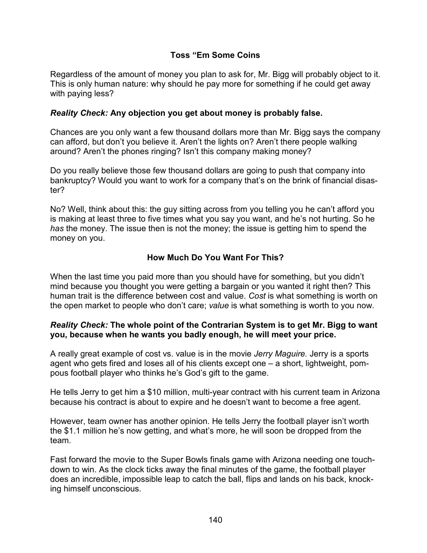# Toss "Em Some Coins

Regardless of the amount of money you plan to ask for, Mr. Bigg will probably object to it. This is only human nature: why should he pay more for something if he could get away with paying less?

#### Reality Check: Any objection you get about money is probably false.

Chances are you only want a few thousand dollars more than Mr. Bigg says the company can afford, but don't you believe it. Aren't the lights on? Aren't there people walking around? Aren't the phones ringing? Isn't this company making money?

Do you really believe those few thousand dollars are going to push that company into bankruptcy? Would you want to work for a company that's on the brink of financial disaster?

No? Well, think about this: the guy sitting across from you telling you he can't afford you is making at least three to five times what you say you want, and he's not hurting. So he has the money. The issue then is not the money; the issue is getting him to spend the money on you.

## How Much Do You Want For This?

When the last time you paid more than you should have for something, but you didn't mind because you thought you were getting a bargain or you wanted it right then? This human trait is the difference between cost and value. Cost is what something is worth on the open market to people who don't care; value is what something is worth to you now.

#### Reality Check: The whole point of the Contrarian System is to get Mr. Bigg to want you, because when he wants you badly enough, he will meet your price.

A really great example of cost vs. value is in the movie Jerry Maguire. Jerry is a sports agent who gets fired and loses all of his clients except one – a short, lightweight, pompous football player who thinks he's God's gift to the game.

He tells Jerry to get him a \$10 million, multi-year contract with his current team in Arizona because his contract is about to expire and he doesn't want to become a free agent.

However, team owner has another opinion. He tells Jerry the football player isn't worth the \$1.1 million he's now getting, and what's more, he will soon be dropped from the team.

Fast forward the movie to the Super Bowls finals game with Arizona needing one touchdown to win. As the clock ticks away the final minutes of the game, the football player does an incredible, impossible leap to catch the ball, flips and lands on his back, knocking himself unconscious.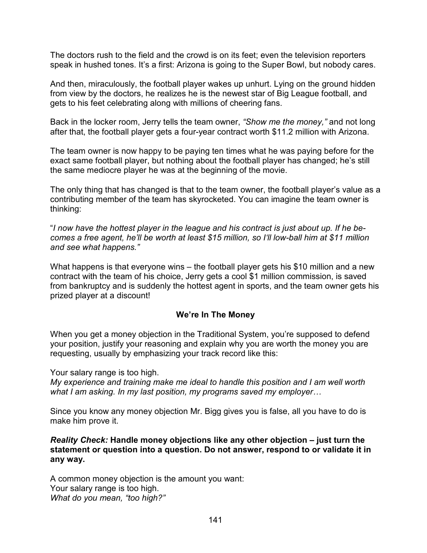The doctors rush to the field and the crowd is on its feet; even the television reporters speak in hushed tones. It's a first: Arizona is going to the Super Bowl, but nobody cares.

And then, miraculously, the football player wakes up unhurt. Lying on the ground hidden from view by the doctors, he realizes he is the newest star of Big League football, and gets to his feet celebrating along with millions of cheering fans.

Back in the locker room, Jerry tells the team owner, "Show me the money," and not long after that, the football player gets a four-year contract worth \$11.2 million with Arizona.

The team owner is now happy to be paying ten times what he was paying before for the exact same football player, but nothing about the football player has changed; he's still the same mediocre player he was at the beginning of the movie.

The only thing that has changed is that to the team owner, the football player's value as a contributing member of the team has skyrocketed. You can imagine the team owner is thinking:

"I now have the hottest player in the league and his contract is just about up. If he becomes a free agent, he'll be worth at least \$15 million, so I'll low-ball him at \$11 million and see what happens."

What happens is that everyone wins – the football player gets his \$10 million and a new contract with the team of his choice, Jerry gets a cool \$1 million commission, is saved from bankruptcy and is suddenly the hottest agent in sports, and the team owner gets his prized player at a discount!

#### We're In The Money

When you get a money objection in the Traditional System, you're supposed to defend your position, justify your reasoning and explain why you are worth the money you are requesting, usually by emphasizing your track record like this:

Your salary range is too high.

My experience and training make me ideal to handle this position and I am well worth what I am asking. In my last position, my programs saved my employer…

Since you know any money objection Mr. Bigg gives you is false, all you have to do is make him prove it.

Reality Check: Handle money objections like any other objection – just turn the statement or question into a question. Do not answer, respond to or validate it in any way.

A common money objection is the amount you want: Your salary range is too high. What do you mean, "too high?"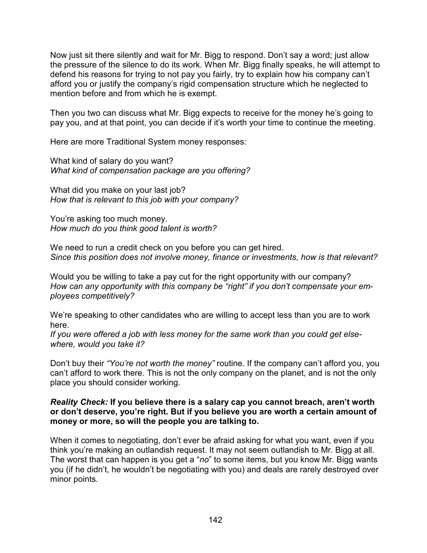Now just sit there silently and wait for Mr. Bigg to respond. Don't say a word; just allow the pressure of the silence to do its work. When Mr. Bigg finally speaks, he will attempt to defend his reasons for trying to not pay you fairly, try to explain how his company can't afford you or justify the company's rigid compensation structure which he neglected to mention before and from which he is exempt.

Then you two can discuss what Mr. Bigg expects to receive for the money he's going to pay you, and at that point, you can decide if it's worth your time to continue the meeting.

Here are more Traditional System money responses:

What kind of salary do you want? What kind of compensation package are you offering?

What did you make on your last job? How that is relevant to this job with your company?

You're asking too much money. How much do you think good talent is worth?

We need to run a credit check on you before you can get hired. Since this position does not involve money, finance or investments, how is that relevant?

Would you be willing to take a pay cut for the right opportunity with our company? How can any opportunity with this company be "right" if you don't compensate your employees competitively?

We're speaking to other candidates who are willing to accept less than you are to work here.

If you were offered a job with less money for the same work than you could get elsewhere, would you take it?

Don't buy their "You're not worth the money" routine. If the company can't afford you, you can't afford to work there. This is not the only company on the planet, and is not the only place you should consider working.

#### Reality Check: If you believe there is a salary cap you cannot breach, aren't worth or don't deserve, you're right. But if you believe you are worth a certain amount of money or more, so will the people you are talking to.

When it comes to negotiating, don't ever be afraid asking for what you want, even if you think you're making an outlandish request. It may not seem outlandish to Mr. Bigg at all. The worst that can happen is you get a "no" to some items, but you know Mr. Bigg wants you (if he didn't, he wouldn't be negotiating with you) and deals are rarely destroyed over minor points.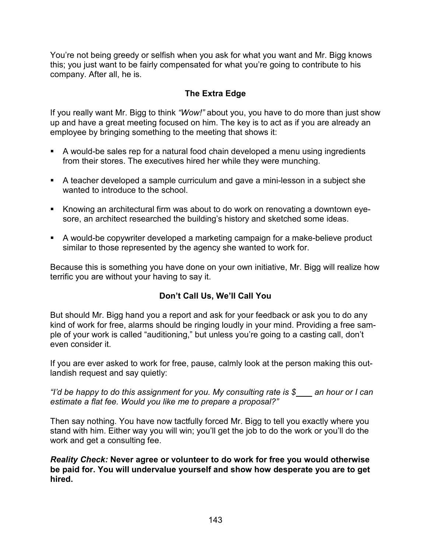You're not being greedy or selfish when you ask for what you want and Mr. Bigg knows this; you just want to be fairly compensated for what you're going to contribute to his company. After all, he is.

# The Extra Edge

If you really want Mr. Bigg to think "Wow!" about you, you have to do more than just show up and have a great meeting focused on him. The key is to act as if you are already an employee by bringing something to the meeting that shows it:

- A would-be sales rep for a natural food chain developed a menu using ingredients from their stores. The executives hired her while they were munching.
- A teacher developed a sample curriculum and gave a mini-lesson in a subject she wanted to introduce to the school
- Knowing an architectural firm was about to do work on renovating a downtown eyesore, an architect researched the building's history and sketched some ideas.
- A would-be copywriter developed a marketing campaign for a make-believe product similar to those represented by the agency she wanted to work for.

Because this is something you have done on your own initiative, Mr. Bigg will realize how terrific you are without your having to say it.

# Don't Call Us, We'll Call You

But should Mr. Bigg hand you a report and ask for your feedback or ask you to do any kind of work for free, alarms should be ringing loudly in your mind. Providing a free sample of your work is called "auditioning," but unless you're going to a casting call, don't even consider it.

If you are ever asked to work for free, pause, calmly look at the person making this outlandish request and say quietly:

"I'd be happy to do this assignment for you. My consulting rate is  $\$  an hour or I can estimate a flat fee. Would you like me to prepare a proposal?"

Then say nothing. You have now tactfully forced Mr. Bigg to tell you exactly where you stand with him. Either way you will win; you'll get the job to do the work or you'll do the work and get a consulting fee.

Reality Check: Never agree or volunteer to do work for free you would otherwise be paid for. You will undervalue yourself and show how desperate you are to get hired.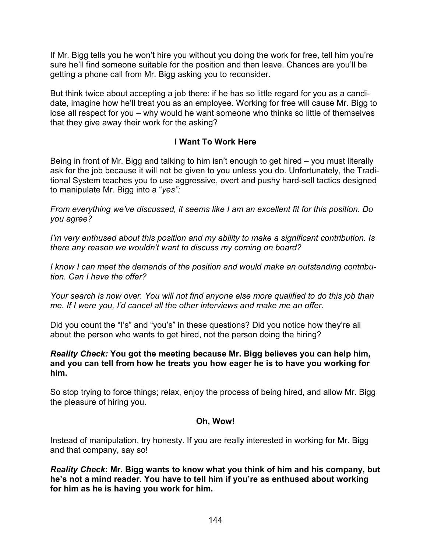If Mr. Bigg tells you he won't hire you without you doing the work for free, tell him you're sure he'll find someone suitable for the position and then leave. Chances are you'll be getting a phone call from Mr. Bigg asking you to reconsider.

But think twice about accepting a job there: if he has so little regard for you as a candidate, imagine how he'll treat you as an employee. Working for free will cause Mr. Bigg to lose all respect for you – why would he want someone who thinks so little of themselves that they give away their work for the asking?

# I Want To Work Here

Being in front of Mr. Bigg and talking to him isn't enough to get hired – you must literally ask for the job because it will not be given to you unless you do. Unfortunately, the Traditional System teaches you to use aggressive, overt and pushy hard-sell tactics designed to manipulate Mr. Bigg into a "yes":

From everything we've discussed, it seems like I am an excellent fit for this position. Do you agree?

I'm very enthused about this position and my ability to make a significant contribution. Is there any reason we wouldn't want to discuss my coming on board?

I know I can meet the demands of the position and would make an outstanding contribution. Can I have the offer?

Your search is now over. You will not find anyone else more qualified to do this job than me. If I were you, I'd cancel all the other interviews and make me an offer.

Did you count the "I's" and "you's" in these questions? Did you notice how they're all about the person who wants to get hired, not the person doing the hiring?

#### Reality Check: You got the meeting because Mr. Bigg believes you can help him, and you can tell from how he treats you how eager he is to have you working for him.

So stop trying to force things; relax, enjoy the process of being hired, and allow Mr. Bigg the pleasure of hiring you.

#### Oh, Wow!

Instead of manipulation, try honesty. If you are really interested in working for Mr. Bigg and that company, say so!

Reality Check: Mr. Bigg wants to know what you think of him and his company, but he's not a mind reader. You have to tell him if you're as enthused about working for him as he is having you work for him.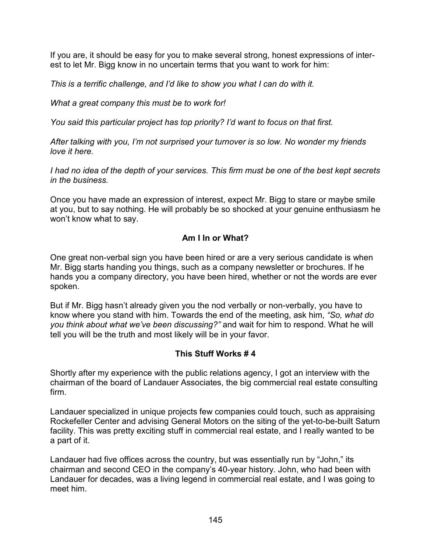If you are, it should be easy for you to make several strong, honest expressions of interest to let Mr. Bigg know in no uncertain terms that you want to work for him:

This is a terrific challenge, and I'd like to show you what I can do with it.

What a great company this must be to work for!

You said this particular project has top priority? I'd want to focus on that first.

After talking with you, I'm not surprised your turnover is so low. No wonder my friends love it here.

I had no idea of the depth of your services. This firm must be one of the best kept secrets in the business.

Once you have made an expression of interest, expect Mr. Bigg to stare or maybe smile at you, but to say nothing. He will probably be so shocked at your genuine enthusiasm he won't know what to say.

## Am I In or What?

One great non-verbal sign you have been hired or are a very serious candidate is when Mr. Bigg starts handing you things, such as a company newsletter or brochures. If he hands you a company directory, you have been hired, whether or not the words are ever spoken.

But if Mr. Bigg hasn't already given you the nod verbally or non-verbally, you have to know where you stand with him. Towards the end of the meeting, ask him, "So, what do you think about what we've been discussing?" and wait for him to respond. What he will tell you will be the truth and most likely will be in your favor.

## This Stuff Works # 4

Shortly after my experience with the public relations agency, I got an interview with the chairman of the board of Landauer Associates, the big commercial real estate consulting firm.

Landauer specialized in unique projects few companies could touch, such as appraising Rockefeller Center and advising General Motors on the siting of the yet-to-be-built Saturn facility. This was pretty exciting stuff in commercial real estate, and I really wanted to be a part of it.

Landauer had five offices across the country, but was essentially run by "John," its chairman and second CEO in the company's 40-year history. John, who had been with Landauer for decades, was a living legend in commercial real estate, and I was going to meet him.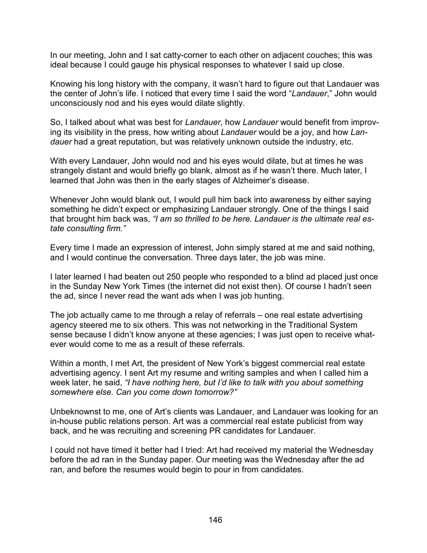In our meeting, John and I sat catty-corner to each other on adjacent couches; this was ideal because I could gauge his physical responses to whatever I said up close.

Knowing his long history with the company, it wasn't hard to figure out that Landauer was the center of John's life. I noticed that every time I said the word "Landauer," John would unconsciously nod and his eyes would dilate slightly.

So, I talked about what was best for Landauer, how Landauer would benefit from improving its visibility in the press, how writing about Landauer would be a joy, and how Landauer had a great reputation, but was relatively unknown outside the industry, etc.

With every Landauer, John would nod and his eyes would dilate, but at times he was strangely distant and would briefly go blank, almost as if he wasn't there. Much later, I learned that John was then in the early stages of Alzheimer's disease.

Whenever John would blank out, I would pull him back into awareness by either saying something he didn't expect or emphasizing Landauer strongly. One of the things I said that brought him back was, "I am so thrilled to be here. Landauer is the ultimate real estate consulting firm."

Every time I made an expression of interest, John simply stared at me and said nothing, and I would continue the conversation. Three days later, the job was mine.

I later learned I had beaten out 250 people who responded to a blind ad placed just once in the Sunday New York Times (the internet did not exist then). Of course I hadn't seen the ad, since I never read the want ads when I was job hunting.

The job actually came to me through a relay of referrals – one real estate advertising agency steered me to six others. This was not networking in the Traditional System sense because I didn't know anyone at these agencies; I was just open to receive whatever would come to me as a result of these referrals.

Within a month, I met Art, the president of New York's biggest commercial real estate advertising agency. I sent Art my resume and writing samples and when I called him a week later, he said, "I have nothing here, but I'd like to talk with you about something somewhere else. Can you come down tomorrow?"

Unbeknownst to me, one of Art's clients was Landauer, and Landauer was looking for an in-house public relations person. Art was a commercial real estate publicist from way back, and he was recruiting and screening PR candidates for Landauer.

I could not have timed it better had I tried: Art had received my material the Wednesday before the ad ran in the Sunday paper. Our meeting was the Wednesday after the ad ran, and before the resumes would begin to pour in from candidates.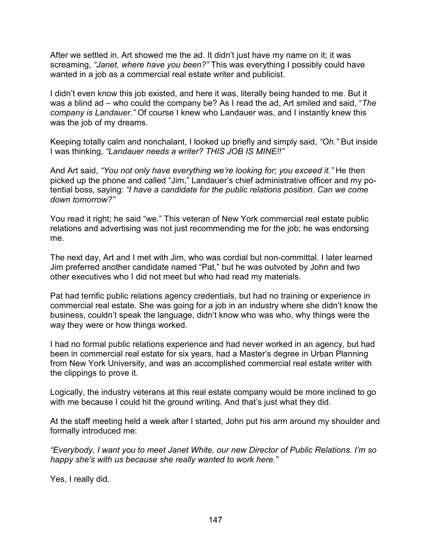After we settled in, Art showed me the ad. It didn't just have my name on it; it was screaming, "Janet, where have you been?" This was everything I possibly could have wanted in a job as a commercial real estate writer and publicist.

I didn't even know this job existed, and here it was, literally being handed to me. But it was a blind ad – who could the company be? As I read the ad, Art smiled and said, "The company is Landauer." Of course I knew who Landauer was, and I instantly knew this was the job of my dreams.

Keeping totally calm and nonchalant, I looked up briefly and simply said, "Oh." But inside I was thinking, "Landauer needs a writer? THIS JOB IS MINE!!"

And Art said, "You not only have everything we're looking for; you exceed it." He then picked up the phone and called "Jim," Landauer's chief administrative officer and my potential boss, saying: "I have a candidate for the public relations position. Can we come down tomorrow?"

You read it right; he said "we." This veteran of New York commercial real estate public relations and advertising was not just recommending me for the job; he was endorsing me.

The next day, Art and I met with Jim, who was cordial but non-committal. I later learned Jim preferred another candidate named "Pat," but he was outvoted by John and two other executives who I did not meet but who had read my materials.

Pat had terrific public relations agency credentials, but had no training or experience in commercial real estate. She was going for a job in an industry where she didn't know the business, couldn't speak the language, didn't know who was who, why things were the way they were or how things worked.

I had no formal public relations experience and had never worked in an agency, but had been in commercial real estate for six years, had a Master's degree in Urban Planning from New York University, and was an accomplished commercial real estate writer with the clippings to prove it.

Logically, the industry veterans at this real estate company would be more inclined to go with me because I could hit the ground writing. And that's just what they did.

At the staff meeting held a week after I started, John put his arm around my shoulder and formally introduced me:

"Everybody, I want you to meet Janet White, our new Director of Public Relations. I'm so happy she's with us because she really wanted to work here."

Yes, I really did.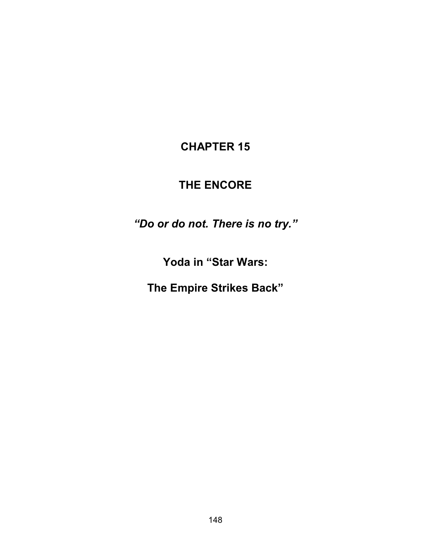## CHAPTER 15

## THE ENCORE

"Do or do not. There is no try."

Yoda in "Star Wars:

The Empire Strikes Back"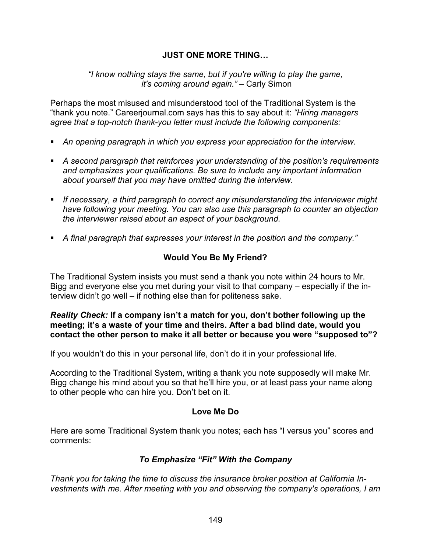## JUST ONE MORE THING…

"I know nothing stays the same, but if you're willing to play the game, it's coming around again." – Carly Simon

Perhaps the most misused and misunderstood tool of the Traditional System is the "thank you note." Careerjournal.com says has this to say about it: "Hiring managers agree that a top-notch thank-you letter must include the following components:

- An opening paragraph in which you express your appreciation for the interview.
- A second paragraph that reinforces your understanding of the position's requirements and emphasizes your qualifications. Be sure to include any important information about yourself that you may have omitted during the interview.
- If necessary, a third paragraph to correct any misunderstanding the interviewer might have following your meeting. You can also use this paragraph to counter an objection the interviewer raised about an aspect of your background.
- A final paragraph that expresses your interest in the position and the company."

#### Would You Be My Friend?

The Traditional System insists you must send a thank you note within 24 hours to Mr. Bigg and everyone else you met during your visit to that company – especially if the interview didn't go well – if nothing else than for politeness sake.

#### Reality Check: If a company isn't a match for you, don't bother following up the meeting; it's a waste of your time and theirs. After a bad blind date, would you contact the other person to make it all better or because you were "supposed to"?

If you wouldn't do this in your personal life, don't do it in your professional life.

According to the Traditional System, writing a thank you note supposedly will make Mr. Bigg change his mind about you so that he'll hire you, or at least pass your name along to other people who can hire you. Don't bet on it.

#### Love Me Do

Here are some Traditional System thank you notes; each has "I versus you" scores and comments:

#### To Emphasize "Fit" With the Company

Thank you for taking the time to discuss the insurance broker position at California Investments with me. After meeting with you and observing the company's operations, I am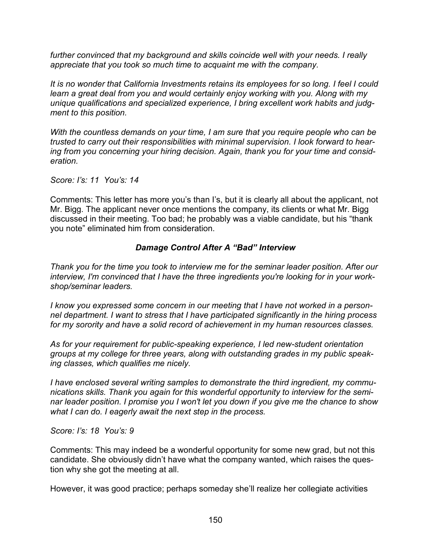further convinced that my background and skills coincide well with your needs. I really appreciate that you took so much time to acquaint me with the company.

It is no wonder that California Investments retains its employees for so long. I feel I could learn a great deal from you and would certainly enjoy working with you. Along with my unique qualifications and specialized experience, I bring excellent work habits and judgment to this position.

With the countless demands on your time, I am sure that you require people who can be trusted to carry out their responsibilities with minimal supervision. I look forward to hearing from you concerning your hiring decision. Again, thank you for your time and consideration.

Score: I's: 11 You's: 14

Comments: This letter has more you's than I's, but it is clearly all about the applicant, not Mr. Bigg. The applicant never once mentions the company, its clients or what Mr. Bigg discussed in their meeting. Too bad; he probably was a viable candidate, but his "thank you note" eliminated him from consideration.

#### Damage Control After A "Bad" Interview

Thank you for the time you took to interview me for the seminar leader position. After our interview, I'm convinced that I have the three ingredients you're looking for in your workshop/seminar leaders.

I know you expressed some concern in our meeting that I have not worked in a personnel department. I want to stress that I have participated significantly in the hiring process for my sorority and have a solid record of achievement in my human resources classes.

As for your requirement for public-speaking experience, I led new-student orientation groups at my college for three years, along with outstanding grades in my public speaking classes, which qualifies me nicely.

I have enclosed several writing samples to demonstrate the third ingredient, my communications skills. Thank you again for this wonderful opportunity to interview for the seminar leader position. I promise you I won't let you down if you give me the chance to show what I can do. I eagerly await the next step in the process.

Score: I's: 18 You's: 9

Comments: This may indeed be a wonderful opportunity for some new grad, but not this candidate. She obviously didn't have what the company wanted, which raises the question why she got the meeting at all.

However, it was good practice; perhaps someday she'll realize her collegiate activities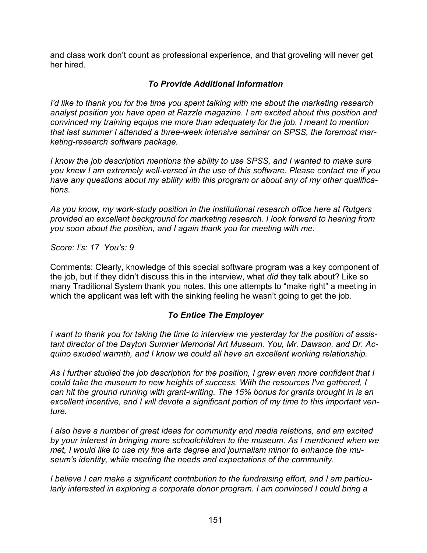and class work don't count as professional experience, and that groveling will never get her hired.

## To Provide Additional Information

I'd like to thank you for the time you spent talking with me about the marketing research analyst position you have open at Razzle magazine. I am excited about this position and convinced my training equips me more than adequately for the job. I meant to mention that last summer I attended a three-week intensive seminar on SPSS, the foremost marketing-research software package.

I know the job description mentions the ability to use SPSS, and I wanted to make sure you knew I am extremely well-versed in the use of this software. Please contact me if you have any questions about my ability with this program or about any of my other qualifications.

As you know, my work-study position in the institutional research office here at Rutgers provided an excellent background for marketing research. I look forward to hearing from you soon about the position, and I again thank you for meeting with me.

Score: I's: 17 You's: 9

Comments: Clearly, knowledge of this special software program was a key component of the job, but if they didn't discuss this in the interview, what did they talk about? Like so many Traditional System thank you notes, this one attempts to "make right" a meeting in which the applicant was left with the sinking feeling he wasn't going to get the job.

## To Entice The Employer

I want to thank you for taking the time to interview me yesterday for the position of assistant director of the Dayton Sumner Memorial Art Museum. You, Mr. Dawson, and Dr. Acquino exuded warmth, and I know we could all have an excellent working relationship.

As I further studied the job description for the position, I grew even more confident that I could take the museum to new heights of success. With the resources I've gathered, I can hit the ground running with grant-writing. The 15% bonus for grants brought in is an excellent incentive, and I will devote a significant portion of my time to this important venture.

I also have a number of great ideas for community and media relations, and am excited by your interest in bringing more schoolchildren to the museum. As I mentioned when we met, I would like to use my fine arts degree and journalism minor to enhance the museum's identity, while meeting the needs and expectations of the community.

I believe I can make a significant contribution to the fundraising effort, and I am particularly interested in exploring a corporate donor program. I am convinced I could bring a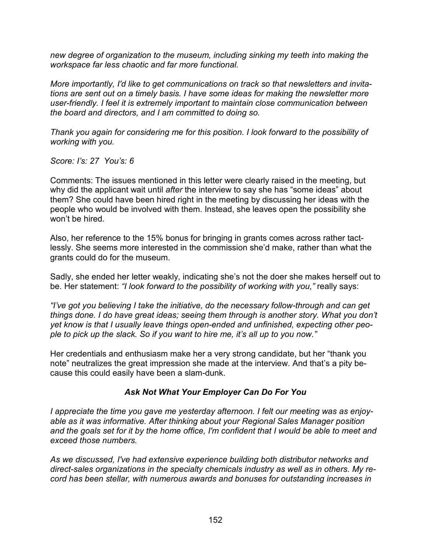new degree of organization to the museum, including sinking my teeth into making the workspace far less chaotic and far more functional.

More importantly, I'd like to get communications on track so that newsletters and invitations are sent out on a timely basis. I have some ideas for making the newsletter more user-friendly. I feel it is extremely important to maintain close communication between the board and directors, and I am committed to doing so.

Thank you again for considering me for this position. I look forward to the possibility of working with you.

Score: I's: 27 You's: 6

Comments: The issues mentioned in this letter were clearly raised in the meeting, but why did the applicant wait until after the interview to say she has "some ideas" about them? She could have been hired right in the meeting by discussing her ideas with the people who would be involved with them. Instead, she leaves open the possibility she won't be hired.

Also, her reference to the 15% bonus for bringing in grants comes across rather tactlessly. She seems more interested in the commission she'd make, rather than what the grants could do for the museum.

Sadly, she ended her letter weakly, indicating she's not the doer she makes herself out to be. Her statement: "I look forward to the possibility of working with you," really says:

"I've got you believing I take the initiative, do the necessary follow-through and can get things done. I do have great ideas; seeing them through is another story. What you don't yet know is that I usually leave things open-ended and unfinished, expecting other people to pick up the slack. So if you want to hire me, it's all up to you now."

Her credentials and enthusiasm make her a very strong candidate, but her "thank you note" neutralizes the great impression she made at the interview. And that's a pity because this could easily have been a slam-dunk.

## Ask Not What Your Employer Can Do For You

I appreciate the time you gave me yesterday afternoon. I felt our meeting was as enjoyable as it was informative. After thinking about your Regional Sales Manager position and the goals set for it by the home office, I'm confident that I would be able to meet and exceed those numbers.

As we discussed, I've had extensive experience building both distributor networks and direct-sales organizations in the specialty chemicals industry as well as in others. My record has been stellar, with numerous awards and bonuses for outstanding increases in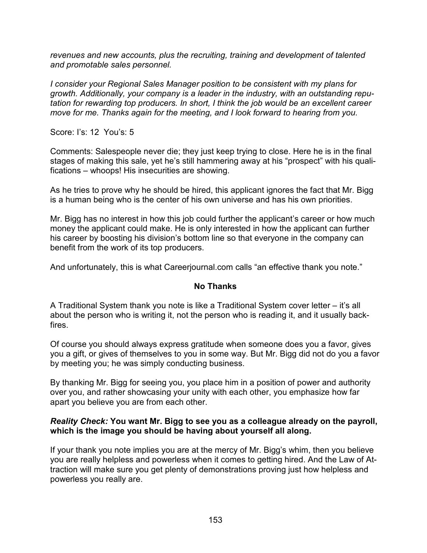revenues and new accounts, plus the recruiting, training and development of talented and promotable sales personnel.

I consider your Regional Sales Manager position to be consistent with my plans for growth. Additionally, your company is a leader in the industry, with an outstanding reputation for rewarding top producers. In short, I think the job would be an excellent career move for me. Thanks again for the meeting, and I look forward to hearing from you.

Score: I's: 12 You's: 5

Comments: Salespeople never die; they just keep trying to close. Here he is in the final stages of making this sale, yet he's still hammering away at his "prospect" with his qualifications – whoops! His insecurities are showing.

As he tries to prove why he should be hired, this applicant ignores the fact that Mr. Bigg is a human being who is the center of his own universe and has his own priorities.

Mr. Bigg has no interest in how this job could further the applicant's career or how much money the applicant could make. He is only interested in how the applicant can further his career by boosting his division's bottom line so that everyone in the company can benefit from the work of its top producers.

And unfortunately, this is what Careerjournal.com calls "an effective thank you note."

#### No Thanks

A Traditional System thank you note is like a Traditional System cover letter – it's all about the person who is writing it, not the person who is reading it, and it usually backfires.

Of course you should always express gratitude when someone does you a favor, gives you a gift, or gives of themselves to you in some way. But Mr. Bigg did not do you a favor by meeting you; he was simply conducting business.

By thanking Mr. Bigg for seeing you, you place him in a position of power and authority over you, and rather showcasing your unity with each other, you emphasize how far apart you believe you are from each other.

#### Reality Check: You want Mr. Bigg to see you as a colleague already on the payroll, which is the image you should be having about yourself all along.

If your thank you note implies you are at the mercy of Mr. Bigg's whim, then you believe you are really helpless and powerless when it comes to getting hired. And the Law of Attraction will make sure you get plenty of demonstrations proving just how helpless and powerless you really are.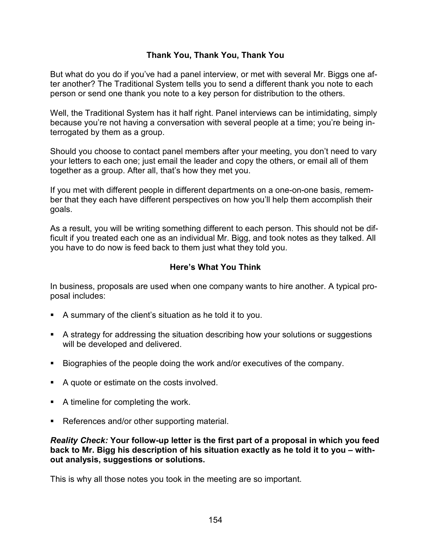### Thank You, Thank You, Thank You

But what do you do if you've had a panel interview, or met with several Mr. Biggs one after another? The Traditional System tells you to send a different thank you note to each person or send one thank you note to a key person for distribution to the others.

Well, the Traditional System has it half right. Panel interviews can be intimidating, simply because you're not having a conversation with several people at a time; you're being interrogated by them as a group.

Should you choose to contact panel members after your meeting, you don't need to vary your letters to each one; just email the leader and copy the others, or email all of them together as a group. After all, that's how they met you.

If you met with different people in different departments on a one-on-one basis, remember that they each have different perspectives on how you'll help them accomplish their goals.

As a result, you will be writing something different to each person. This should not be difficult if you treated each one as an individual Mr. Bigg, and took notes as they talked. All you have to do now is feed back to them just what they told you.

#### Here's What You Think

In business, proposals are used when one company wants to hire another. A typical proposal includes:

- A summary of the client's situation as he told it to you.
- A strategy for addressing the situation describing how your solutions or suggestions will be developed and delivered.
- Biographies of the people doing the work and/or executives of the company.
- A quote or estimate on the costs involved.
- A timeline for completing the work.
- References and/or other supporting material.

#### Reality Check: Your follow-up letter is the first part of a proposal in which you feed back to Mr. Bigg his description of his situation exactly as he told it to you – without analysis, suggestions or solutions.

This is why all those notes you took in the meeting are so important.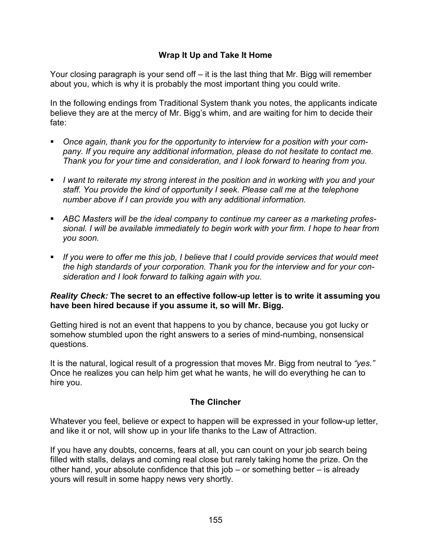## Wrap It Up and Take It Home

Your closing paragraph is your send off – it is the last thing that Mr. Bigg will remember about you, which is why it is probably the most important thing you could write.

In the following endings from Traditional System thank you notes, the applicants indicate believe they are at the mercy of Mr. Bigg's whim, and are waiting for him to decide their fate:

- Once again, thank you for the opportunity to interview for a position with your company. If you require any additional information, please do not hesitate to contact me. Thank you for your time and consideration, and I look forward to hearing from you.
- I want to reiterate my strong interest in the position and in working with you and your staff. You provide the kind of opportunity I seek. Please call me at the telephone number above if I can provide you with any additional information.
- ABC Masters will be the ideal company to continue my career as a marketing professional. I will be available immediately to begin work with your firm. I hope to hear from you soon.
- If you were to offer me this job, I believe that I could provide services that would meet the high standards of your corporation. Thank you for the interview and for your consideration and I look forward to talking again with you.

#### Reality Check: The secret to an effective follow-up letter is to write it assuming you have been hired because if you assume it, so will Mr. Bigg.

Getting hired is not an event that happens to you by chance, because you got lucky or somehow stumbled upon the right answers to a series of mind-numbing, nonsensical questions.

It is the natural, logical result of a progression that moves Mr. Bigg from neutral to "yes." Once he realizes you can help him get what he wants, he will do everything he can to hire you.

## The Clincher

Whatever you feel, believe or expect to happen will be expressed in your follow-up letter, and like it or not, will show up in your life thanks to the Law of Attraction.

If you have any doubts, concerns, fears at all, you can count on your job search being filled with stalls, delays and coming real close but rarely taking home the prize. On the other hand, your absolute confidence that this job – or something better – is already yours will result in some happy news very shortly.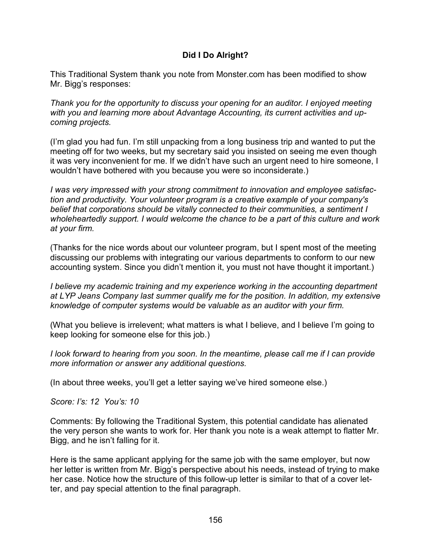## Did I Do Alright?

This Traditional System thank you note from Monster.com has been modified to show Mr. Bigg's responses:

Thank you for the opportunity to discuss your opening for an auditor. I enjoyed meeting with you and learning more about Advantage Accounting, its current activities and upcoming projects.

(I'm glad you had fun. I'm still unpacking from a long business trip and wanted to put the meeting off for two weeks, but my secretary said you insisted on seeing me even though it was very inconvenient for me. If we didn't have such an urgent need to hire someone, I wouldn't have bothered with you because you were so inconsiderate.)

I was very impressed with your strong commitment to innovation and employee satisfaction and productivity. Your volunteer program is a creative example of your company's belief that corporations should be vitally connected to their communities, a sentiment I wholeheartedly support. I would welcome the chance to be a part of this culture and work at your firm.

(Thanks for the nice words about our volunteer program, but I spent most of the meeting discussing our problems with integrating our various departments to conform to our new accounting system. Since you didn't mention it, you must not have thought it important.)

I believe my academic training and my experience working in the accounting department at LYP Jeans Company last summer qualify me for the position. In addition, my extensive knowledge of computer systems would be valuable as an auditor with your firm.

(What you believe is irrelevent; what matters is what I believe, and I believe I'm going to keep looking for someone else for this job.)

I look forward to hearing from you soon. In the meantime, please call me if I can provide more information or answer any additional questions.

(In about three weeks, you'll get a letter saying we've hired someone else.)

Score: I's: 12 You's: 10

Comments: By following the Traditional System, this potential candidate has alienated the very person she wants to work for. Her thank you note is a weak attempt to flatter Mr. Bigg, and he isn't falling for it.

Here is the same applicant applying for the same job with the same employer, but now her letter is written from Mr. Bigg's perspective about his needs, instead of trying to make her case. Notice how the structure of this follow-up letter is similar to that of a cover letter, and pay special attention to the final paragraph.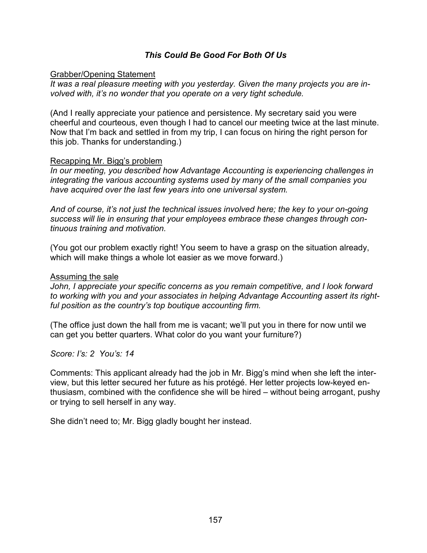## This Could Be Good For Both Of Us

#### Grabber/Opening Statement

It was a real pleasure meeting with you yesterday. Given the many projects you are involved with, it's no wonder that you operate on a very tight schedule.

(And I really appreciate your patience and persistence. My secretary said you were cheerful and courteous, even though I had to cancel our meeting twice at the last minute. Now that I'm back and settled in from my trip, I can focus on hiring the right person for this job. Thanks for understanding.)

#### Recapping Mr. Bigg's problem

In our meeting, you described how Advantage Accounting is experiencing challenges in integrating the various accounting systems used by many of the small companies you have acquired over the last few years into one universal system.

And of course, it's not just the technical issues involved here; the key to your on-going success will lie in ensuring that your employees embrace these changes through continuous training and motivation.

(You got our problem exactly right! You seem to have a grasp on the situation already, which will make things a whole lot easier as we move forward.)

#### Assuming the sale

John, I appreciate your specific concerns as you remain competitive, and I look forward to working with you and your associates in helping Advantage Accounting assert its rightful position as the country's top boutique accounting firm.

(The office just down the hall from me is vacant; we'll put you in there for now until we can get you better quarters. What color do you want your furniture?)

Score: I's: 2 You's: 14

Comments: This applicant already had the job in Mr. Bigg's mind when she left the interview, but this letter secured her future as his protégé. Her letter projects low-keyed enthusiasm, combined with the confidence she will be hired – without being arrogant, pushy or trying to sell herself in any way.

She didn't need to; Mr. Bigg gladly bought her instead.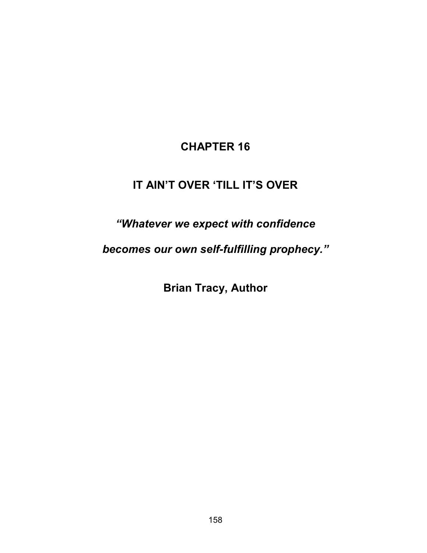## CHAPTER 16

## IT AIN'T OVER 'TILL IT'S OVER

## "Whatever we expect with confidence

# becomes our own self-fulfilling prophecy."

Brian Tracy, Author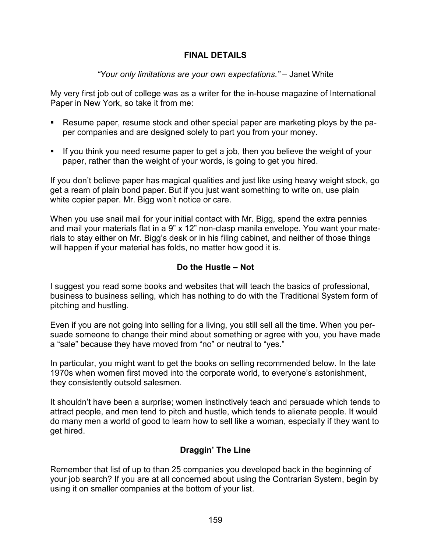## FINAL DETAILS

## "Your only limitations are your own expectations." – Janet White

My very first job out of college was as a writer for the in-house magazine of International Paper in New York, so take it from me:

- Resume paper, resume stock and other special paper are marketing ploys by the paper companies and are designed solely to part you from your money.
- If you think you need resume paper to get a job, then you believe the weight of your paper, rather than the weight of your words, is going to get you hired.

If you don't believe paper has magical qualities and just like using heavy weight stock, go get a ream of plain bond paper. But if you just want something to write on, use plain white copier paper. Mr. Bigg won't notice or care.

When you use snail mail for your initial contact with Mr. Bigg, spend the extra pennies and mail your materials flat in a 9" x 12" non-clasp manila envelope. You want your materials to stay either on Mr. Bigg's desk or in his filing cabinet, and neither of those things will happen if your material has folds, no matter how good it is.

## Do the Hustle – Not

I suggest you read some books and websites that will teach the basics of professional, business to business selling, which has nothing to do with the Traditional System form of pitching and hustling.

Even if you are not going into selling for a living, you still sell all the time. When you persuade someone to change their mind about something or agree with you, you have made a "sale" because they have moved from "no" or neutral to "yes."

In particular, you might want to get the books on selling recommended below. In the late 1970s when women first moved into the corporate world, to everyone's astonishment, they consistently outsold salesmen.

It shouldn't have been a surprise; women instinctively teach and persuade which tends to attract people, and men tend to pitch and hustle, which tends to alienate people. It would do many men a world of good to learn how to sell like a woman, especially if they want to get hired.

## Draggin' The Line

Remember that list of up to than 25 companies you developed back in the beginning of your job search? If you are at all concerned about using the Contrarian System, begin by using it on smaller companies at the bottom of your list.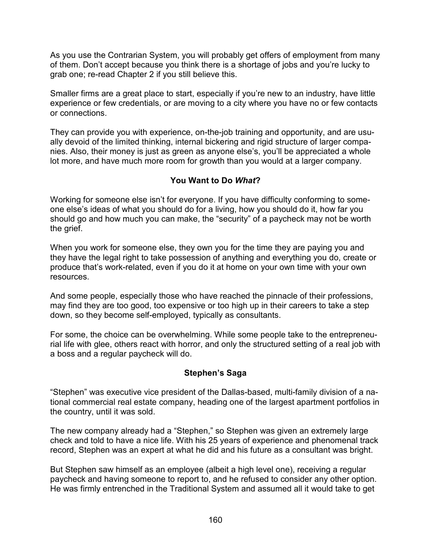As you use the Contrarian System, you will probably get offers of employment from many of them. Don't accept because you think there is a shortage of jobs and you're lucky to grab one; re-read Chapter 2 if you still believe this.

Smaller firms are a great place to start, especially if you're new to an industry, have little experience or few credentials, or are moving to a city where you have no or few contacts or connections.

They can provide you with experience, on-the-job training and opportunity, and are usually devoid of the limited thinking, internal bickering and rigid structure of larger companies. Also, their money is just as green as anyone else's, you'll be appreciated a whole lot more, and have much more room for growth than you would at a larger company.

## You Want to Do What?

Working for someone else isn't for everyone. If you have difficulty conforming to someone else's ideas of what you should do for a living, how you should do it, how far you should go and how much you can make, the "security" of a paycheck may not be worth the grief.

When you work for someone else, they own you for the time they are paying you and they have the legal right to take possession of anything and everything you do, create or produce that's work-related, even if you do it at home on your own time with your own resources.

And some people, especially those who have reached the pinnacle of their professions, may find they are too good, too expensive or too high up in their careers to take a step down, so they become self-employed, typically as consultants.

For some, the choice can be overwhelming. While some people take to the entrepreneurial life with glee, others react with horror, and only the structured setting of a real job with a boss and a regular paycheck will do.

## Stephen's Saga

"Stephen" was executive vice president of the Dallas-based, multi-family division of a national commercial real estate company, heading one of the largest apartment portfolios in the country, until it was sold.

The new company already had a "Stephen," so Stephen was given an extremely large check and told to have a nice life. With his 25 years of experience and phenomenal track record, Stephen was an expert at what he did and his future as a consultant was bright.

But Stephen saw himself as an employee (albeit a high level one), receiving a regular paycheck and having someone to report to, and he refused to consider any other option. He was firmly entrenched in the Traditional System and assumed all it would take to get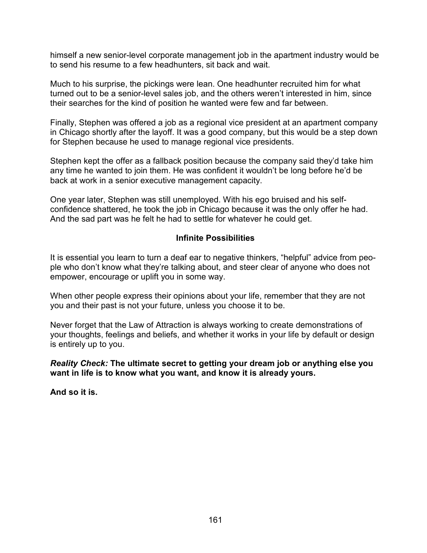himself a new senior-level corporate management job in the apartment industry would be to send his resume to a few headhunters, sit back and wait.

Much to his surprise, the pickings were lean. One headhunter recruited him for what turned out to be a senior-level sales job, and the others weren't interested in him, since their searches for the kind of position he wanted were few and far between.

Finally, Stephen was offered a job as a regional vice president at an apartment company in Chicago shortly after the layoff. It was a good company, but this would be a step down for Stephen because he used to manage regional vice presidents.

Stephen kept the offer as a fallback position because the company said they'd take him any time he wanted to join them. He was confident it wouldn't be long before he'd be back at work in a senior executive management capacity.

One year later, Stephen was still unemployed. With his ego bruised and his selfconfidence shattered, he took the job in Chicago because it was the only offer he had. And the sad part was he felt he had to settle for whatever he could get.

#### Infinite Possibilities

It is essential you learn to turn a deaf ear to negative thinkers, "helpful" advice from people who don't know what they're talking about, and steer clear of anyone who does not empower, encourage or uplift you in some way.

When other people express their opinions about your life, remember that they are not you and their past is not your future, unless you choose it to be.

Never forget that the Law of Attraction is always working to create demonstrations of your thoughts, feelings and beliefs, and whether it works in your life by default or design is entirely up to you.

Reality Check: The ultimate secret to getting your dream job or anything else you want in life is to know what you want, and know it is already yours.

And so it is.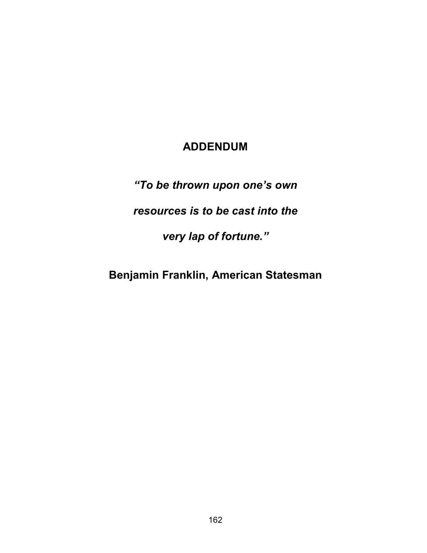## ADDENDUM

"To be thrown upon one's own

resources is to be cast into the

very lap of fortune."

Benjamin Franklin, American Statesman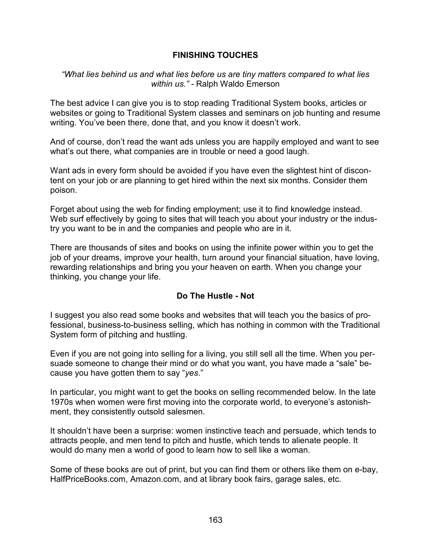### FINISHING TOUCHES

"What lies behind us and what lies before us are tiny matters compared to what lies within us." - Ralph Waldo Emerson

The best advice I can give you is to stop reading Traditional System books, articles or websites or going to Traditional System classes and seminars on job hunting and resume writing. You've been there, done that, and you know it doesn't work.

And of course, don't read the want ads unless you are happily employed and want to see what's out there, what companies are in trouble or need a good laugh.

Want ads in every form should be avoided if you have even the slightest hint of discontent on your job or are planning to get hired within the next six months. Consider them poison.

Forget about using the web for finding employment; use it to find knowledge instead. Web surf effectively by going to sites that will teach you about your industry or the industry you want to be in and the companies and people who are in it.

There are thousands of sites and books on using the infinite power within you to get the job of your dreams, improve your health, turn around your financial situation, have loving, rewarding relationships and bring you your heaven on earth. When you change your thinking, you change your life.

#### Do The Hustle - Not

I suggest you also read some books and websites that will teach you the basics of professional, business-to-business selling, which has nothing in common with the Traditional System form of pitching and hustling.

Even if you are not going into selling for a living, you still sell all the time. When you persuade someone to change their mind or do what you want, you have made a "sale" because you have gotten them to say "yes."

In particular, you might want to get the books on selling recommended below. In the late 1970s when women were first moving into the corporate world, to everyone's astonishment, they consistently outsold salesmen.

It shouldn't have been a surprise: women instinctive teach and persuade, which tends to attracts people, and men tend to pitch and hustle, which tends to alienate people. It would do many men a world of good to learn how to sell like a woman.

Some of these books are out of print, but you can find them or others like them on e-bay, HalfPriceBooks.com, Amazon.com, and at library book fairs, garage sales, etc.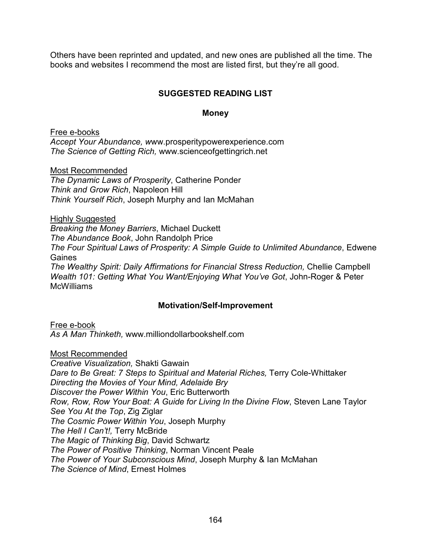Others have been reprinted and updated, and new ones are published all the time. The books and websites I recommend the most are listed first, but they're all good.

## SUGGESTED READING LIST

#### **Money**

Free e-books Accept Your Abundance, www.prosperitypowerexperience.com The Science of Getting Rich, www.scienceofgettingrich.net

#### Most Recommended

The Dynamic Laws of Prosperity, Catherine Ponder Think and Grow Rich, Napoleon Hill Think Yourself Rich, Joseph Murphy and Ian McMahan

Highly Suggested Breaking the Money Barriers, Michael Duckett The Abundance Book, John Randolph Price The Four Spiritual Laws of Prosperity: A Simple Guide to Unlimited Abundance, Edwene Gaines The Wealthy Spirit: Daily Affirmations for Financial Stress Reduction, Chellie Campbell Wealth 101: Getting What You Want/Enjoying What You've Got, John-Roger & Peter McWilliams

#### Motivation/Self-Improvement

Free e-book As A Man Thinketh, www.milliondollarbookshelf.com

Most Recommended Creative Visualization, Shakti Gawain Dare to Be Great: 7 Steps to Spiritual and Material Riches, Terry Cole-Whittaker Directing the Movies of Your Mind, Adelaide Bry Discover the Power Within You, Eric Butterworth Row, Row, Row Your Boat: A Guide for Living In the Divine Flow, Steven Lane Taylor See You At the Top, Zig Ziglar The Cosmic Power Within You, Joseph Murphy The Hell I Can't!, Terry McBride The Magic of Thinking Big, David Schwartz The Power of Positive Thinking, Norman Vincent Peale The Power of Your Subconscious Mind, Joseph Murphy & Ian McMahan The Science of Mind, Ernest Holmes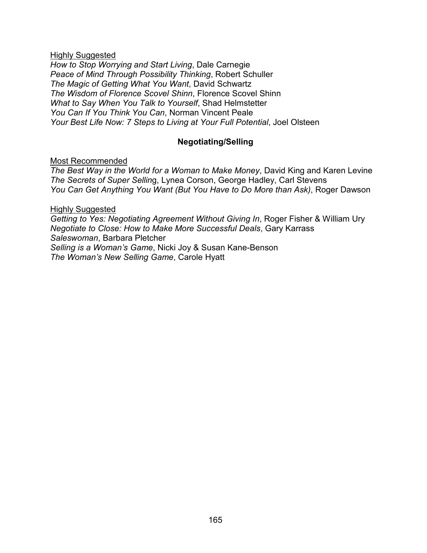#### Highly Suggested

How to Stop Worrying and Start Living, Dale Carnegie Peace of Mind Through Possibility Thinking, Robert Schuller The Magic of Getting What You Want, David Schwartz The Wisdom of Florence Scovel Shinn, Florence Scovel Shinn What to Say When You Talk to Yourself, Shad Helmstetter You Can If You Think You Can, Norman Vincent Peale Your Best Life Now: 7 Steps to Living at Your Full Potential, Joel Olsteen

#### Negotiating/Selling

#### Most Recommended

The Best Way in the World for a Woman to Make Money, David King and Karen Levine The Secrets of Super Selling, Lynea Corson, George Hadley, Carl Stevens You Can Get Anything You Want (But You Have to Do More than Ask), Roger Dawson

#### Highly Suggested

Getting to Yes: Negotiating Agreement Without Giving In, Roger Fisher & William Ury Negotiate to Close: How to Make More Successful Deals, Gary Karrass Saleswoman, Barbara Pletcher Selling is a Woman's Game, Nicki Joy & Susan Kane-Benson The Woman's New Selling Game, Carole Hyatt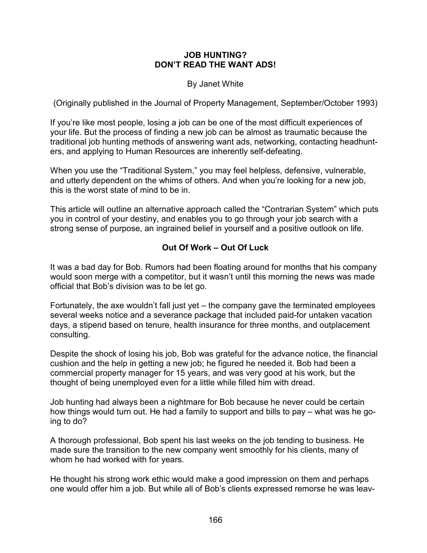#### JOB HUNTING? DON'T READ THE WANT ADS!

#### By Janet White

(Originally published in the Journal of Property Management, September/October 1993)

If you're like most people, losing a job can be one of the most difficult experiences of your life. But the process of finding a new job can be almost as traumatic because the traditional job hunting methods of answering want ads, networking, contacting headhunters, and applying to Human Resources are inherently self-defeating.

When you use the "Traditional System," you may feel helpless, defensive, vulnerable, and utterly dependent on the whims of others. And when you're looking for a new job, this is the worst state of mind to be in.

This article will outline an alternative approach called the "Contrarian System" which puts you in control of your destiny, and enables you to go through your job search with a strong sense of purpose, an ingrained belief in yourself and a positive outlook on life.

## Out Of Work – Out Of Luck

It was a bad day for Bob. Rumors had been floating around for months that his company would soon merge with a competitor, but it wasn't until this morning the news was made official that Bob's division was to be let go.

Fortunately, the axe wouldn't fall just yet – the company gave the terminated employees several weeks notice and a severance package that included paid-for untaken vacation days, a stipend based on tenure, health insurance for three months, and outplacement consulting.

Despite the shock of losing his job, Bob was grateful for the advance notice, the financial cushion and the help in getting a new job; he figured he needed it. Bob had been a commercial property manager for 15 years, and was very good at his work, but the thought of being unemployed even for a little while filled him with dread.

Job hunting had always been a nightmare for Bob because he never could be certain how things would turn out. He had a family to support and bills to pay – what was he going to do?

A thorough professional, Bob spent his last weeks on the job tending to business. He made sure the transition to the new company went smoothly for his clients, many of whom he had worked with for years.

He thought his strong work ethic would make a good impression on them and perhaps one would offer him a job. But while all of Bob's clients expressed remorse he was leav-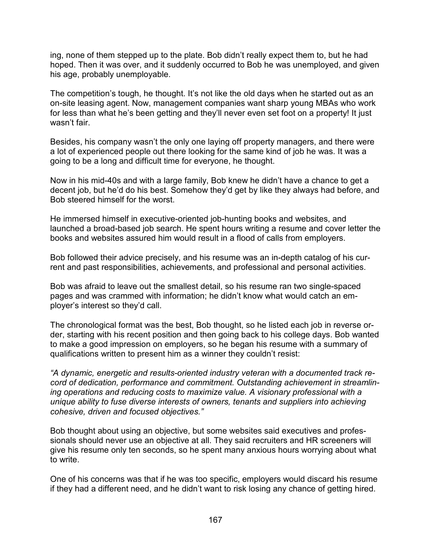ing, none of them stepped up to the plate. Bob didn't really expect them to, but he had hoped. Then it was over, and it suddenly occurred to Bob he was unemployed, and given his age, probably unemployable.

The competition's tough, he thought. It's not like the old days when he started out as an on-site leasing agent. Now, management companies want sharp young MBAs who work for less than what he's been getting and they'll never even set foot on a property! It just wasn't fair.

Besides, his company wasn't the only one laying off property managers, and there were a lot of experienced people out there looking for the same kind of job he was. It was a going to be a long and difficult time for everyone, he thought.

Now in his mid-40s and with a large family, Bob knew he didn't have a chance to get a decent job, but he'd do his best. Somehow they'd get by like they always had before, and Bob steered himself for the worst.

He immersed himself in executive-oriented job-hunting books and websites, and launched a broad-based job search. He spent hours writing a resume and cover letter the books and websites assured him would result in a flood of calls from employers.

Bob followed their advice precisely, and his resume was an in-depth catalog of his current and past responsibilities, achievements, and professional and personal activities.

Bob was afraid to leave out the smallest detail, so his resume ran two single-spaced pages and was crammed with information; he didn't know what would catch an employer's interest so they'd call.

The chronological format was the best, Bob thought, so he listed each job in reverse order, starting with his recent position and then going back to his college days. Bob wanted to make a good impression on employers, so he began his resume with a summary of qualifications written to present him as a winner they couldn't resist:

"A dynamic, energetic and results-oriented industry veteran with a documented track record of dedication, performance and commitment. Outstanding achievement in streamlining operations and reducing costs to maximize value. A visionary professional with a unique ability to fuse diverse interests of owners, tenants and suppliers into achieving cohesive, driven and focused objectives."

Bob thought about using an objective, but some websites said executives and professionals should never use an objective at all. They said recruiters and HR screeners will give his resume only ten seconds, so he spent many anxious hours worrying about what to write.

One of his concerns was that if he was too specific, employers would discard his resume if they had a different need, and he didn't want to risk losing any chance of getting hired.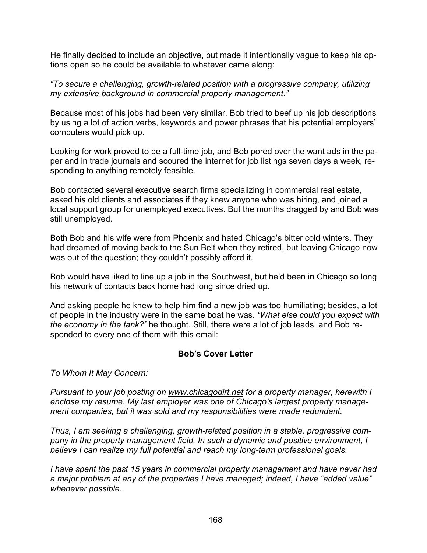He finally decided to include an objective, but made it intentionally vague to keep his options open so he could be available to whatever came along:

"To secure a challenging, growth-related position with a progressive company, utilizing my extensive background in commercial property management."

Because most of his jobs had been very similar, Bob tried to beef up his job descriptions by using a lot of action verbs, keywords and power phrases that his potential employers' computers would pick up.

Looking for work proved to be a full-time job, and Bob pored over the want ads in the paper and in trade journals and scoured the internet for job listings seven days a week, responding to anything remotely feasible.

Bob contacted several executive search firms specializing in commercial real estate, asked his old clients and associates if they knew anyone who was hiring, and joined a local support group for unemployed executives. But the months dragged by and Bob was still unemployed.

Both Bob and his wife were from Phoenix and hated Chicago's bitter cold winters. They had dreamed of moving back to the Sun Belt when they retired, but leaving Chicago now was out of the question; they couldn't possibly afford it.

Bob would have liked to line up a job in the Southwest, but he'd been in Chicago so long his network of contacts back home had long since dried up.

And asking people he knew to help him find a new job was too humiliating; besides, a lot of people in the industry were in the same boat he was. "What else could you expect with the economy in the tank?" he thought. Still, there were a lot of job leads, and Bob responded to every one of them with this email:

#### Bob's Cover Letter

To Whom It May Concern:

Pursuant to your job posting on www.chicagodirt.net for a property manager, herewith I enclose my resume. My last employer was one of Chicago's largest property management companies, but it was sold and my responsibilities were made redundant.

Thus, I am seeking a challenging, growth-related position in a stable, progressive company in the property management field. In such a dynamic and positive environment, I believe I can realize my full potential and reach my long-term professional goals.

I have spent the past 15 years in commercial property management and have never had a major problem at any of the properties I have managed; indeed, I have "added value" whenever possible.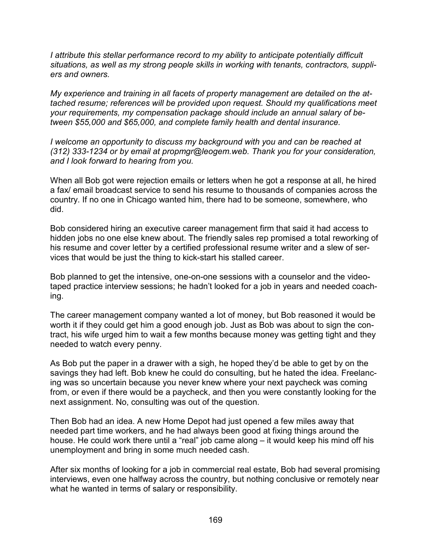I attribute this stellar performance record to my ability to anticipate potentially difficult situations, as well as my strong people skills in working with tenants, contractors, suppliers and owners.

My experience and training in all facets of property management are detailed on the attached resume; references will be provided upon request. Should my qualifications meet your requirements, my compensation package should include an annual salary of between \$55,000 and \$65,000, and complete family health and dental insurance.

I welcome an opportunity to discuss my background with you and can be reached at (312) 333-1234 or by email at propmgr@leogem.web. Thank you for your consideration, and I look forward to hearing from you.

When all Bob got were rejection emails or letters when he got a response at all, he hired a fax/ email broadcast service to send his resume to thousands of companies across the country. If no one in Chicago wanted him, there had to be someone, somewhere, who did.

Bob considered hiring an executive career management firm that said it had access to hidden jobs no one else knew about. The friendly sales rep promised a total reworking of his resume and cover letter by a certified professional resume writer and a slew of services that would be just the thing to kick-start his stalled career.

Bob planned to get the intensive, one-on-one sessions with a counselor and the videotaped practice interview sessions; he hadn't looked for a job in years and needed coaching.

The career management company wanted a lot of money, but Bob reasoned it would be worth it if they could get him a good enough job. Just as Bob was about to sign the contract, his wife urged him to wait a few months because money was getting tight and they needed to watch every penny.

As Bob put the paper in a drawer with a sigh, he hoped they'd be able to get by on the savings they had left. Bob knew he could do consulting, but he hated the idea. Freelancing was so uncertain because you never knew where your next paycheck was coming from, or even if there would be a paycheck, and then you were constantly looking for the next assignment. No, consulting was out of the question.

Then Bob had an idea. A new Home Depot had just opened a few miles away that needed part time workers, and he had always been good at fixing things around the house. He could work there until a "real" job came along – it would keep his mind off his unemployment and bring in some much needed cash.

After six months of looking for a job in commercial real estate, Bob had several promising interviews, even one halfway across the country, but nothing conclusive or remotely near what he wanted in terms of salary or responsibility.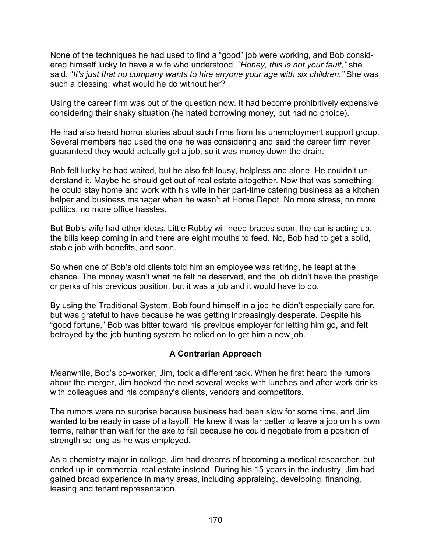None of the techniques he had used to find a "good" job were working, and Bob considered himself lucky to have a wife who understood. "Honey, this is not your fault," she said. "It's just that no company wants to hire anyone your age with six children." She was such a blessing; what would he do without her?

Using the career firm was out of the question now. It had become prohibitively expensive considering their shaky situation (he hated borrowing money, but had no choice).

He had also heard horror stories about such firms from his unemployment support group. Several members had used the one he was considering and said the career firm never guaranteed they would actually get a job, so it was money down the drain.

Bob felt lucky he had waited, but he also felt lousy, helpless and alone. He couldn't understand it. Maybe he should get out of real estate altogether. Now that was something: he could stay home and work with his wife in her part-time catering business as a kitchen helper and business manager when he wasn't at Home Depot. No more stress, no more politics, no more office hassles.

But Bob's wife had other ideas. Little Robby will need braces soon, the car is acting up, the bills keep coming in and there are eight mouths to feed. No, Bob had to get a solid, stable job with benefits, and soon.

So when one of Bob's old clients told him an employee was retiring, he leapt at the chance. The money wasn't what he felt he deserved, and the job didn't have the prestige or perks of his previous position, but it was a job and it would have to do.

By using the Traditional System, Bob found himself in a job he didn't especially care for, but was grateful to have because he was getting increasingly desperate. Despite his "good fortune," Bob was bitter toward his previous employer for letting him go, and felt betrayed by the job hunting system he relied on to get him a new job.

## A Contrarian Approach

Meanwhile, Bob's co-worker, Jim, took a different tack. When he first heard the rumors about the merger, Jim booked the next several weeks with lunches and after-work drinks with colleagues and his company's clients, vendors and competitors.

The rumors were no surprise because business had been slow for some time, and Jim wanted to be ready in case of a layoff. He knew it was far better to leave a job on his own terms, rather than wait for the axe to fall because he could negotiate from a position of strength so long as he was employed.

As a chemistry major in college, Jim had dreams of becoming a medical researcher, but ended up in commercial real estate instead. During his 15 years in the industry, Jim had gained broad experience in many areas, including appraising, developing, financing, leasing and tenant representation.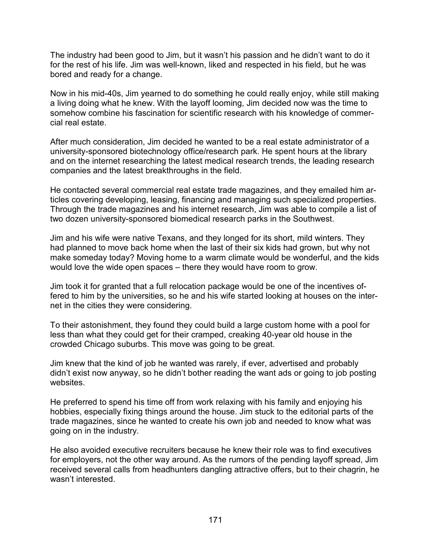The industry had been good to Jim, but it wasn't his passion and he didn't want to do it for the rest of his life. Jim was well-known, liked and respected in his field, but he was bored and ready for a change.

Now in his mid-40s, Jim yearned to do something he could really enjoy, while still making a living doing what he knew. With the layoff looming, Jim decided now was the time to somehow combine his fascination for scientific research with his knowledge of commercial real estate.

After much consideration, Jim decided he wanted to be a real estate administrator of a university-sponsored biotechnology office/research park. He spent hours at the library and on the internet researching the latest medical research trends, the leading research companies and the latest breakthroughs in the field.

He contacted several commercial real estate trade magazines, and they emailed him articles covering developing, leasing, financing and managing such specialized properties. Through the trade magazines and his internet research, Jim was able to compile a list of two dozen university-sponsored biomedical research parks in the Southwest.

Jim and his wife were native Texans, and they longed for its short, mild winters. They had planned to move back home when the last of their six kids had grown, but why not make someday today? Moving home to a warm climate would be wonderful, and the kids would love the wide open spaces – there they would have room to grow.

Jim took it for granted that a full relocation package would be one of the incentives offered to him by the universities, so he and his wife started looking at houses on the internet in the cities they were considering.

To their astonishment, they found they could build a large custom home with a pool for less than what they could get for their cramped, creaking 40-year old house in the crowded Chicago suburbs. This move was going to be great.

Jim knew that the kind of job he wanted was rarely, if ever, advertised and probably didn't exist now anyway, so he didn't bother reading the want ads or going to job posting websites.

He preferred to spend his time off from work relaxing with his family and enjoying his hobbies, especially fixing things around the house. Jim stuck to the editorial parts of the trade magazines, since he wanted to create his own job and needed to know what was going on in the industry.

He also avoided executive recruiters because he knew their role was to find executives for employers, not the other way around. As the rumors of the pending layoff spread, Jim received several calls from headhunters dangling attractive offers, but to their chagrin, he wasn't interested.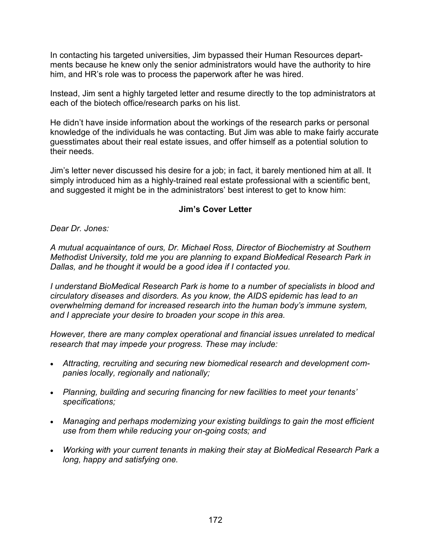In contacting his targeted universities, Jim bypassed their Human Resources departments because he knew only the senior administrators would have the authority to hire him, and HR's role was to process the paperwork after he was hired.

Instead, Jim sent a highly targeted letter and resume directly to the top administrators at each of the biotech office/research parks on his list.

He didn't have inside information about the workings of the research parks or personal knowledge of the individuals he was contacting. But Jim was able to make fairly accurate guesstimates about their real estate issues, and offer himself as a potential solution to their needs.

Jim's letter never discussed his desire for a job; in fact, it barely mentioned him at all. It simply introduced him as a highly-trained real estate professional with a scientific bent, and suggested it might be in the administrators' best interest to get to know him:

#### Jim's Cover Letter

Dear Dr. Jones:

A mutual acquaintance of ours, Dr. Michael Ross, Director of Biochemistry at Southern Methodist University, told me you are planning to expand BioMedical Research Park in Dallas, and he thought it would be a good idea if I contacted you.

I understand BioMedical Research Park is home to a number of specialists in blood and circulatory diseases and disorders. As you know, the AIDS epidemic has lead to an overwhelming demand for increased research into the human body's immune system, and I appreciate your desire to broaden your scope in this area.

However, there are many complex operational and financial issues unrelated to medical research that may impede your progress. These may include:

- Attracting, recruiting and securing new biomedical research and development companies locally, regionally and nationally;
- Planning, building and securing financing for new facilities to meet your tenants' specifications;
- Managing and perhaps modernizing your existing buildings to gain the most efficient use from them while reducing your on-going costs; and
- Working with your current tenants in making their stay at BioMedical Research Park a long, happy and satisfying one.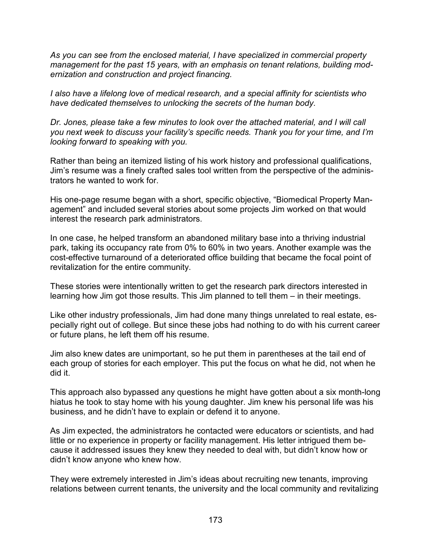As you can see from the enclosed material, I have specialized in commercial property management for the past 15 years, with an emphasis on tenant relations, building modernization and construction and project financing.

I also have a lifelong love of medical research, and a special affinity for scientists who have dedicated themselves to unlocking the secrets of the human body.

Dr. Jones, please take a few minutes to look over the attached material, and I will call you next week to discuss your facility's specific needs. Thank you for your time, and I'm looking forward to speaking with you.

Rather than being an itemized listing of his work history and professional qualifications, Jim's resume was a finely crafted sales tool written from the perspective of the administrators he wanted to work for.

His one-page resume began with a short, specific objective, "Biomedical Property Management" and included several stories about some projects Jim worked on that would interest the research park administrators.

In one case, he helped transform an abandoned military base into a thriving industrial park, taking its occupancy rate from 0% to 60% in two years. Another example was the cost-effective turnaround of a deteriorated office building that became the focal point of revitalization for the entire community.

These stories were intentionally written to get the research park directors interested in learning how Jim got those results. This Jim planned to tell them – in their meetings.

Like other industry professionals, Jim had done many things unrelated to real estate, especially right out of college. But since these jobs had nothing to do with his current career or future plans, he left them off his resume.

Jim also knew dates are unimportant, so he put them in parentheses at the tail end of each group of stories for each employer. This put the focus on what he did, not when he did it.

This approach also bypassed any questions he might have gotten about a six month-long hiatus he took to stay home with his young daughter. Jim knew his personal life was his business, and he didn't have to explain or defend it to anyone.

As Jim expected, the administrators he contacted were educators or scientists, and had little or no experience in property or facility management. His letter intrigued them because it addressed issues they knew they needed to deal with, but didn't know how or didn't know anyone who knew how.

They were extremely interested in Jim's ideas about recruiting new tenants, improving relations between current tenants, the university and the local community and revitalizing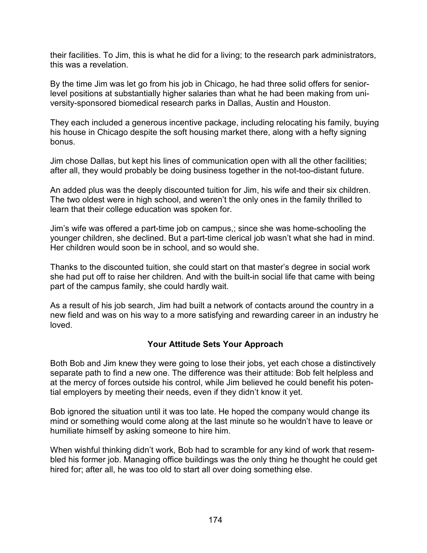their facilities. To Jim, this is what he did for a living; to the research park administrators, this was a revelation.

By the time Jim was let go from his job in Chicago, he had three solid offers for seniorlevel positions at substantially higher salaries than what he had been making from university-sponsored biomedical research parks in Dallas, Austin and Houston.

They each included a generous incentive package, including relocating his family, buying his house in Chicago despite the soft housing market there, along with a hefty signing bonus.

Jim chose Dallas, but kept his lines of communication open with all the other facilities; after all, they would probably be doing business together in the not-too-distant future.

An added plus was the deeply discounted tuition for Jim, his wife and their six children. The two oldest were in high school, and weren't the only ones in the family thrilled to learn that their college education was spoken for.

Jim's wife was offered a part-time job on campus,; since she was home-schooling the younger children, she declined. But a part-time clerical job wasn't what she had in mind. Her children would soon be in school, and so would she.

Thanks to the discounted tuition, she could start on that master's degree in social work she had put off to raise her children. And with the built-in social life that came with being part of the campus family, she could hardly wait.

As a result of his job search, Jim had built a network of contacts around the country in a new field and was on his way to a more satisfying and rewarding career in an industry he loved.

## Your Attitude Sets Your Approach

Both Bob and Jim knew they were going to lose their jobs, yet each chose a distinctively separate path to find a new one. The difference was their attitude: Bob felt helpless and at the mercy of forces outside his control, while Jim believed he could benefit his potential employers by meeting their needs, even if they didn't know it yet.

Bob ignored the situation until it was too late. He hoped the company would change its mind or something would come along at the last minute so he wouldn't have to leave or humiliate himself by asking someone to hire him.

When wishful thinking didn't work, Bob had to scramble for any kind of work that resembled his former job. Managing office buildings was the only thing he thought he could get hired for; after all, he was too old to start all over doing something else.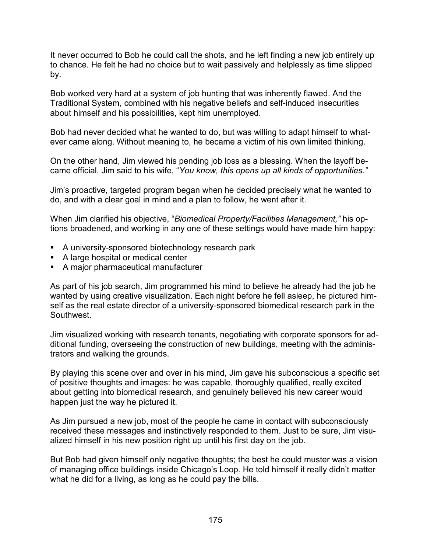It never occurred to Bob he could call the shots, and he left finding a new job entirely up to chance. He felt he had no choice but to wait passively and helplessly as time slipped by.

Bob worked very hard at a system of job hunting that was inherently flawed. And the Traditional System, combined with his negative beliefs and self-induced insecurities about himself and his possibilities, kept him unemployed.

Bob had never decided what he wanted to do, but was willing to adapt himself to whatever came along. Without meaning to, he became a victim of his own limited thinking.

On the other hand, Jim viewed his pending job loss as a blessing. When the layoff became official, Jim said to his wife, "You know, this opens up all kinds of opportunities."

Jim's proactive, targeted program began when he decided precisely what he wanted to do, and with a clear goal in mind and a plan to follow, he went after it.

When Jim clarified his objective, "Biomedical Property/Facilities Management," his options broadened, and working in any one of these settings would have made him happy:

- A university-sponsored biotechnology research park
- A large hospital or medical center
- **A major pharmaceutical manufacturer**

As part of his job search, Jim programmed his mind to believe he already had the job he wanted by using creative visualization. Each night before he fell asleep, he pictured himself as the real estate director of a university-sponsored biomedical research park in the Southwest.

Jim visualized working with research tenants, negotiating with corporate sponsors for additional funding, overseeing the construction of new buildings, meeting with the administrators and walking the grounds.

By playing this scene over and over in his mind, Jim gave his subconscious a specific set of positive thoughts and images: he was capable, thoroughly qualified, really excited about getting into biomedical research, and genuinely believed his new career would happen just the way he pictured it.

As Jim pursued a new job, most of the people he came in contact with subconsciously received these messages and instinctively responded to them. Just to be sure, Jim visualized himself in his new position right up until his first day on the job.

But Bob had given himself only negative thoughts; the best he could muster was a vision of managing office buildings inside Chicago's Loop. He told himself it really didn't matter what he did for a living, as long as he could pay the bills.